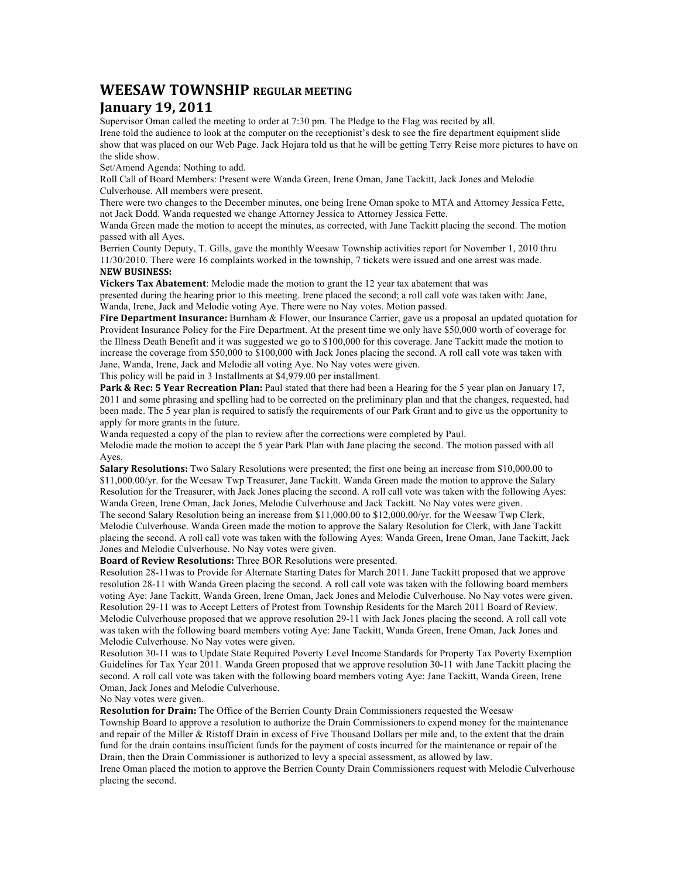## **WEESAW TOWNSHIP REGULAR MEETING**

#### **January 19, 2011**

Supervisor Oman called the meeting to order at 7:30 pm. The Pledge to the Flag was recited by all.

Irene told the audience to look at the computer on the receptionist's desk to see the fire department equipment slide show that was placed on our Web Page. Jack Hojara told us that he will be getting Terry Reise more pictures to have on the slide show.

Set/Amend Agenda: Nothing to add.

Roll Call of Board Members: Present were Wanda Green, Irene Oman, Jane Tackitt, Jack Jones and Melodie Culverhouse. All members were present.

There were two changes to the December minutes, one being Irene Oman spoke to MTA and Attorney Jessica Fette, not Jack Dodd. Wanda requested we change Attorney Jessica to Attorney Jessica Fette.

Wanda Green made the motion to accept the minutes, as corrected, with Jane Tackitt placing the second. The motion passed with all Ayes.

Berrien County Deputy, T. Gills, gave the monthly Weesaw Township activities report for November 1, 2010 thru 11/30/2010. There were 16 complaints worked in the township, 7 tickets were issued and one arrest was made. **NEW BUSINESS:**

**Vickers Tax Abatement**: Melodie made the motion to grant the 12 year tax abatement that was

presented during the hearing prior to this meeting. Irene placed the second; a roll call vote was taken with: Jane, Wanda, Irene, Jack and Melodie voting Aye. There were no Nay votes. Motion passed.

**Fire Department Insurance:** Burnham & Flower, our Insurance Carrier, gave us a proposal an updated quotation for Provident Insurance Policy for the Fire Department. At the present time we only have \$50,000 worth of coverage for the Illness Death Benefit and it was suggested we go to \$100,000 for this coverage. Jane Tackitt made the motion to increase the coverage from \$50,000 to \$100,000 with Jack Jones placing the second. A roll call vote was taken with Jane, Wanda, Irene, Jack and Melodie all voting Aye. No Nay votes were given.

This policy will be paid in 3 Installments at \$4,979.00 per installment.

**Park & Rec: 5 Year Recreation Plan:** Paul stated that there had been a Hearing for the 5 year plan on January 17, 2011 and some phrasing and spelling had to be corrected on the preliminary plan and that the changes, requested, had been made. The 5 year plan is required to satisfy the requirements of our Park Grant and to give us the opportunity to apply for more grants in the future.

Wanda requested a copy of the plan to review after the corrections were completed by Paul.

Melodie made the motion to accept the 5 year Park Plan with Jane placing the second. The motion passed with all Ayes.

**Salary Resolutions:** Two Salary Resolutions were presented; the first one being an increase from \$10,000.00 to \$11,000.00/yr. for the Weesaw Twp Treasurer, Jane Tackitt. Wanda Green made the motion to approve the Salary Resolution for the Treasurer, with Jack Jones placing the second. A roll call vote was taken with the following Ayes: Wanda Green, Irene Oman, Jack Jones, Melodie Culverhouse and Jack Tackitt. No Nay votes were given.

The second Salary Resolution being an increase from \$11,000.00 to \$12,000.00/yr. for the Weesaw Twp Clerk, Melodie Culverhouse. Wanda Green made the motion to approve the Salary Resolution for Clerk, with Jane Tackitt placing the second. A roll call vote was taken with the following Ayes: Wanda Green, Irene Oman, Jane Tackitt, Jack Jones and Melodie Culverhouse. No Nay votes were given.

**Board of Review Resolutions:** Three BOR Resolutions were presented.

Resolution 28-11was to Provide for Alternate Starting Dates for March 2011. Jane Tackitt proposed that we approve resolution 28-11 with Wanda Green placing the second. A roll call vote was taken with the following board members voting Aye: Jane Tackitt, Wanda Green, Irene Oman, Jack Jones and Melodie Culverhouse. No Nay votes were given. Resolution 29-11 was to Accept Letters of Protest from Township Residents for the March 2011 Board of Review. Melodie Culverhouse proposed that we approve resolution 29-11 with Jack Jones placing the second. A roll call vote was taken with the following board members voting Aye: Jane Tackitt, Wanda Green, Irene Oman, Jack Jones and Melodie Culverhouse. No Nay votes were given.

Resolution 30-11 was to Update State Required Poverty Level Income Standards for Property Tax Poverty Exemption Guidelines for Tax Year 2011. Wanda Green proposed that we approve resolution 30-11 with Jane Tackitt placing the second. A roll call vote was taken with the following board members voting Aye: Jane Tackitt, Wanda Green, Irene Oman, Jack Jones and Melodie Culverhouse.

No Nay votes were given.

**Resolution for Drain:** The Office of the Berrien County Drain Commissioners requested the Weesaw

Township Board to approve a resolution to authorize the Drain Commissioners to expend money for the maintenance and repair of the Miller & Ristoff Drain in excess of Five Thousand Dollars per mile and, to the extent that the drain fund for the drain contains insufficient funds for the payment of costs incurred for the maintenance or repair of the Drain, then the Drain Commissioner is authorized to levy a special assessment, as allowed by law.

Irene Oman placed the motion to approve the Berrien County Drain Commissioners request with Melodie Culverhouse placing the second.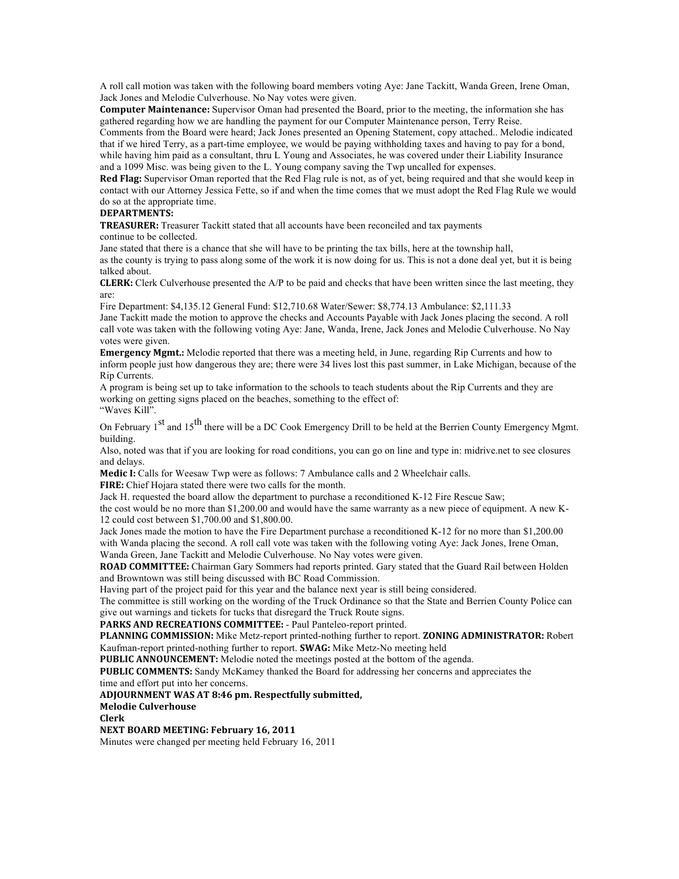A roll call motion was taken with the following board members voting Aye: Jane Tackitt, Wanda Green, Irene Oman, Jack Jones and Melodie Culverhouse. No Nay votes were given.

**Computer Maintenance:** Supervisor Oman had presented the Board, prior to the meeting, the information she has gathered regarding how we are handling the payment for our Computer Maintenance person, Terry Reise.

Comments from the Board were heard; Jack Jones presented an Opening Statement, copy attached.. Melodie indicated that if we hired Terry, as a part-time employee, we would be paying withholding taxes and having to pay for a bond, while having him paid as a consultant, thru L Young and Associates, he was covered under their Liability Insurance and a 1099 Misc. was being given to the L. Young company saving the Twp uncalled for expenses.

**Red Flag:** Supervisor Oman reported that the Red Flag rule is not, as of yet, being required and that she would keep in contact with our Attorney Jessica Fette, so if and when the time comes that we must adopt the Red Flag Rule we would do so at the appropriate time.

#### **DEPARTMENTS:**

**TREASURER:** Treasurer Tackitt stated that all accounts have been reconciled and tax payments continue to be collected.

Jane stated that there is a chance that she will have to be printing the tax bills, here at the township hall,

as the county is trying to pass along some of the work it is now doing for us. This is not a done deal yet, but it is being talked about.

**CLERK:** Clerk Culverhouse presented the A/P to be paid and checks that have been written since the last meeting, they are:

Fire Department: \$4,135.12 General Fund: \$12,710.68 Water/Sewer: \$8,774.13 Ambulance: \$2,111.33 Jane Tackitt made the motion to approve the checks and Accounts Payable with Jack Jones placing the second. A roll call vote was taken with the following voting Aye: Jane, Wanda, Irene, Jack Jones and Melodie Culverhouse. No Nay votes were given.

**Emergency Mgmt.:** Melodie reported that there was a meeting held, in June, regarding Rip Currents and how to inform people just how dangerous they are; there were 34 lives lost this past summer, in Lake Michigan, because of the Rip Currents.

A program is being set up to take information to the schools to teach students about the Rip Currents and they are working on getting signs placed on the beaches, something to the effect of: "Waves Kill".

On February 1<sup>st</sup> and 15<sup>th</sup> there will be a DC Cook Emergency Drill to be held at the Berrien County Emergency Mgmt. building.

Also, noted was that if you are looking for road conditions, you can go on line and type in: midrive.net to see closures and delays.

**Medic I:** Calls for Weesaw Twp were as follows: 7 Ambulance calls and 2 Wheelchair calls.

**FIRE:** Chief Hojara stated there were two calls for the month.

Jack H. requested the board allow the department to purchase a reconditioned K-12 Fire Rescue Saw;

the cost would be no more than \$1,200.00 and would have the same warranty as a new piece of equipment. A new K-12 could cost between \$1,700.00 and \$1,800.00.

Jack Jones made the motion to have the Fire Department purchase a reconditioned K-12 for no more than \$1,200.00 with Wanda placing the second. A roll call vote was taken with the following voting Aye: Jack Jones, Irene Oman, Wanda Green, Jane Tackitt and Melodie Culverhouse. No Nay votes were given.

**ROAD COMMITTEE:** Chairman Gary Sommers had reports printed. Gary stated that the Guard Rail between Holden and Browntown was still being discussed with BC Road Commission.

Having part of the project paid for this year and the balance next year is still being considered.

The committee is still working on the wording of the Truck Ordinance so that the State and Berrien County Police can give out warnings and tickets for tucks that disregard the Truck Route signs.

PARKS AND RECREATIONS COMMITTEE: - Paul Panteleo-report printed.

**PLANNING COMMISSION:** Mike Metz-report printed-nothing further to report. **ZONING ADMINISTRATOR:** Robert Kaufman-report printed-nothing further to report. **SWAG:** Mike Metz-No meeting held

**PUBLIC ANNOUNCEMENT:** Melodie noted the meetings posted at the bottom of the agenda.

**PUBLIC COMMENTS:** Sandy McKamey thanked the Board for addressing her concerns and appreciates the time and effort put into her concerns.

#### ADJOURNMENT WAS AT 8:46 pm. Respectfully submitted,

**Melodie Culverhouse**

**Clerk**

**NEXT BOARD MEETING: February 16, 2011** 

Minutes were changed per meeting held February 16, 2011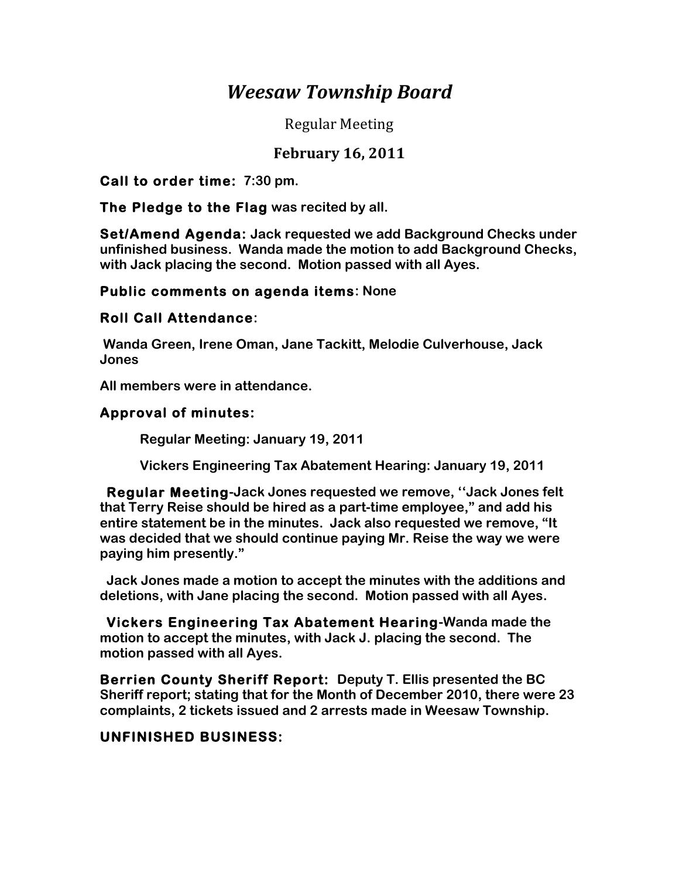# *Weesaw Township Board*

Regular Meeting

# **February 16, 2011**

## **Call to order time: 7:30 pm.**

**The Pledge to the Flag was recited by all.**

**Set/Amend Agenda: Jack requested we add Background Checks under unfinished business. Wanda made the motion to add Background Checks, with Jack placing the second. Motion passed with all Ayes.**

### **Public comments on agenda items: None**

## **Roll Call Attendance:**

 **Wanda Green, Irene Oman, Jane Tackitt, Melodie Culverhouse, Jack Jones**

**All members were in attendance.**

## **Approval of minutes:**

**Regular Meeting: January 19, 2011**

**Vickers Engineering Tax Abatement Hearing: January 19, 2011**

 **Regular Meeting-Jack Jones requested we remove, ''Jack Jones felt that Terry Reise should be hired as a part-time employee," and add his entire statement be in the minutes. Jack also requested we remove, "It was decided that we should continue paying Mr. Reise the way we were paying him presently."**

 **Jack Jones made a motion to accept the minutes with the additions and deletions, with Jane placing the second. Motion passed with all Ayes.**

 **Vickers Engineering Tax Abatement Hearing-Wanda made the motion to accept the minutes, with Jack J. placing the second. The motion passed with all Ayes.**

**Berrien County Sheriff Report: Deputy T. Ellis presented the BC Sheriff report; stating that for the Month of December 2010, there were 23 complaints, 2 tickets issued and 2 arrests made in Weesaw Township.**

## **UNFINISHED BUSINESS:**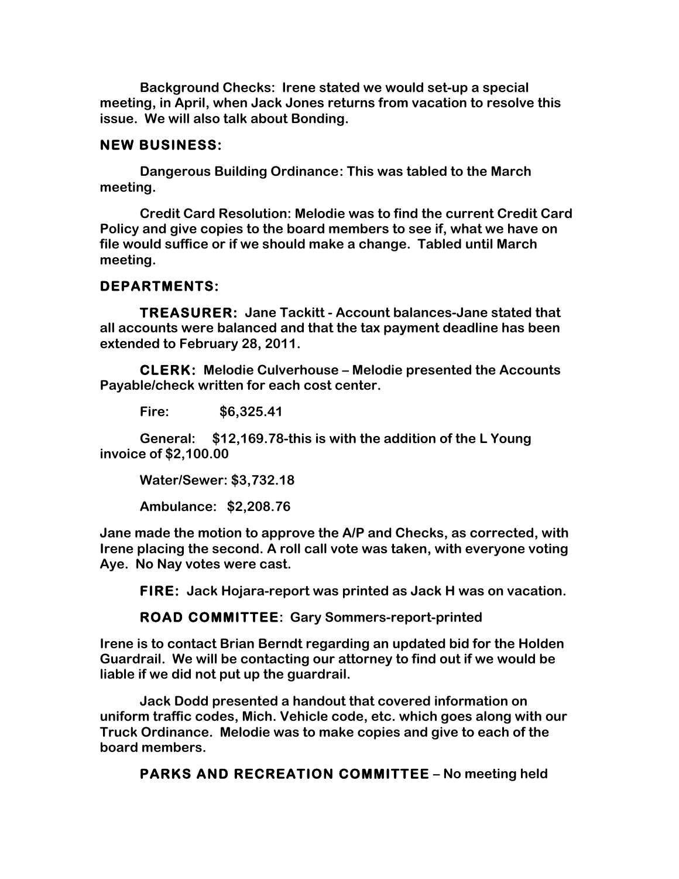**Background Checks: Irene stated we would set-up a special meeting, in April, when Jack Jones returns from vacation to resolve this issue. We will also talk about Bonding.**

## **NEW BUSINESS:**

**Dangerous Building Ordinance: This was tabled to the March meeting.**

**Credit Card Resolution: Melodie was to find the current Credit Card Policy and give copies to the board members to see if, what we have on file would suffice or if we should make a change. Tabled until March meeting.**

### **DEPARTMENTS:**

**TREASURER: Jane Tackitt - Account balances-Jane stated that all accounts were balanced and that the tax payment deadline has been extended to February 28, 2011.**

**CLERK: Melodie Culverhouse – Melodie presented the Accounts Payable/check written for each cost center.**

**Fire: \$6,325.41**

**General: \$12,169.78-this is with the addition of the L Young invoice of \$2,100.00**

**Water/Sewer: \$3,732.18**

**Ambulance: \$2,208.76**

**Jane made the motion to approve the A/P and Checks, as corrected, with Irene placing the second. A roll call vote was taken, with everyone voting Aye. No Nay votes were cast.**

**FIRE: Jack Hojara-report was printed as Jack H was on vacation.** 

**ROAD COMMITTEE: Gary Sommers-report-printed**

**Irene is to contact Brian Berndt regarding an updated bid for the Holden Guardrail. We will be contacting our attorney to find out if we would be liable if we did not put up the guardrail.**

**Jack Dodd presented a handout that covered information on uniform traffic codes, Mich. Vehicle code, etc. which goes along with our Truck Ordinance. Melodie was to make copies and give to each of the board members.**

**PARKS AND RECREATION COMMITTEE – No meeting held**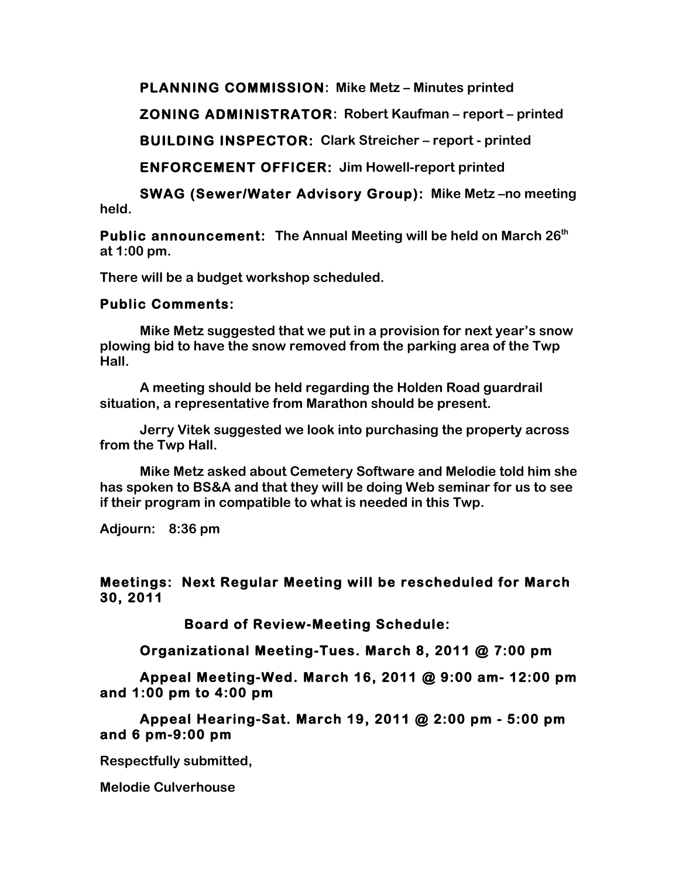**PLANNING COMMISSION: Mike Metz – Minutes printed**

**ZONING ADMINISTRATOR: Robert Kaufman – report – printed**

**BUILDING INSPECTOR: Clark Streicher – report - printed**

**ENFORCEMENT OFFICER: Jim Howell-report printed**

**SWAG (Sewer/Water Advisory Group): Mike Metz –no meeting held.**

**Public announcement: The Annual Meeting will be held on March 26<sup>th</sup> at 1:00 pm.**

**There will be a budget workshop scheduled.**

## **Public Comments:**

**Mike Metz suggested that we put in a provision for next year's snow plowing bid to have the snow removed from the parking area of the Twp Hall.**

**A meeting should be held regarding the Holden Road guardrail situation, a representative from Marathon should be present.** 

**Jerry Vitek suggested we look into purchasing the property across from the Twp Hall.**

**Mike Metz asked about Cemetery Software and Melodie told him she has spoken to BS&A and that they will be doing Web seminar for us to see if their program in compatible to what is needed in this Twp.**

**Adjourn: 8:36 pm**

## **Meetings: Next Regular Meeting will be rescheduled for March 30, 2011**

 **Board of Review-Meeting Schedule:** 

 **Organizational Meeting-Tues. March 8, 2011 @ 7:00 pm** 

 **Appeal Meeting-Wed. March 16, 2011 @ 9:00 am- 12:00 pm and 1:00 pm to 4:00 pm** 

 **Appeal Hearing-Sat. March 19, 2011 @ 2:00 pm - 5:00 pm and 6 pm-9:00 pm** 

**Respectfully submitted,**

**Melodie Culverhouse**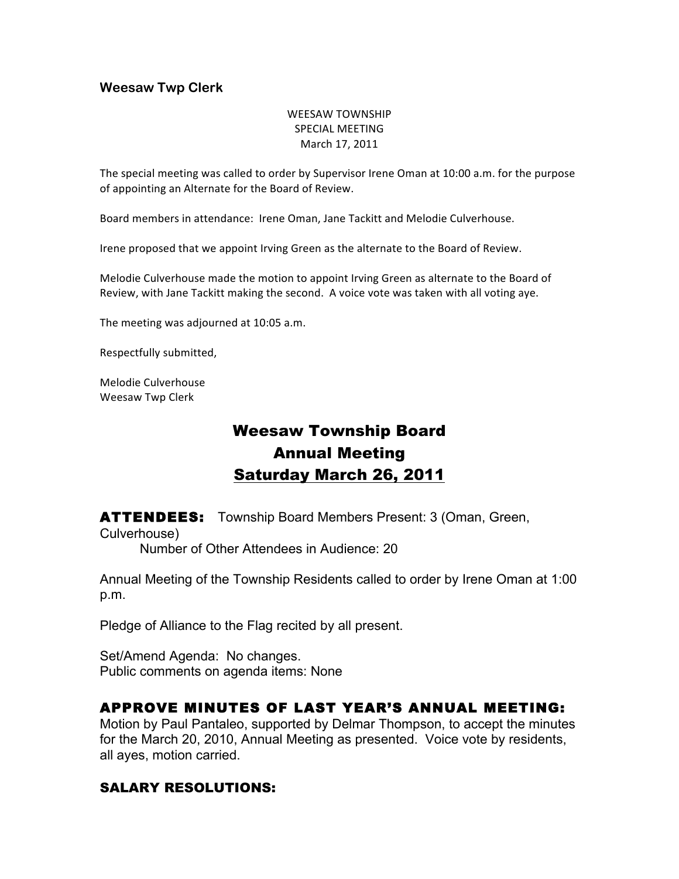### **Weesaw Twp Clerk**

#### WEESAW TOWNSHIP SPECIAL MEETING March 17, 2011

The special meeting was called to order by Supervisor Irene Oman at 10:00 a.m. for the purpose of appointing an Alternate for the Board of Review.

Board members in attendance: Irene Oman, Jane Tackitt and Melodie Culverhouse.

Irene proposed that we appoint Irving Green as the alternate to the Board of Review.

Melodie Culverhouse made the motion to appoint Irving Green as alternate to the Board of Review, with Jane Tackitt making the second. A voice vote was taken with all voting aye.

The meeting was adjourned at 10:05 a.m.

Respectfully submitted,

Melodie Culverhouse Weesaw Twp Clerk

# Weesaw Township Board Annual Meeting Saturday March 26, 2011

**ATTENDEES:** Township Board Members Present: 3 (Oman, Green,

Culverhouse)

Number of Other Attendees in Audience: 20

Annual Meeting of the Township Residents called to order by Irene Oman at 1:00 p.m.

Pledge of Alliance to the Flag recited by all present.

Set/Amend Agenda: No changes. Public comments on agenda items: None

## APPROVE MINUTES OF LAST YEAR'S ANNUAL MEETING:

Motion by Paul Pantaleo, supported by Delmar Thompson, to accept the minutes for the March 20, 2010, Annual Meeting as presented. Voice vote by residents, all ayes, motion carried.

### SALARY RESOLUTIONS: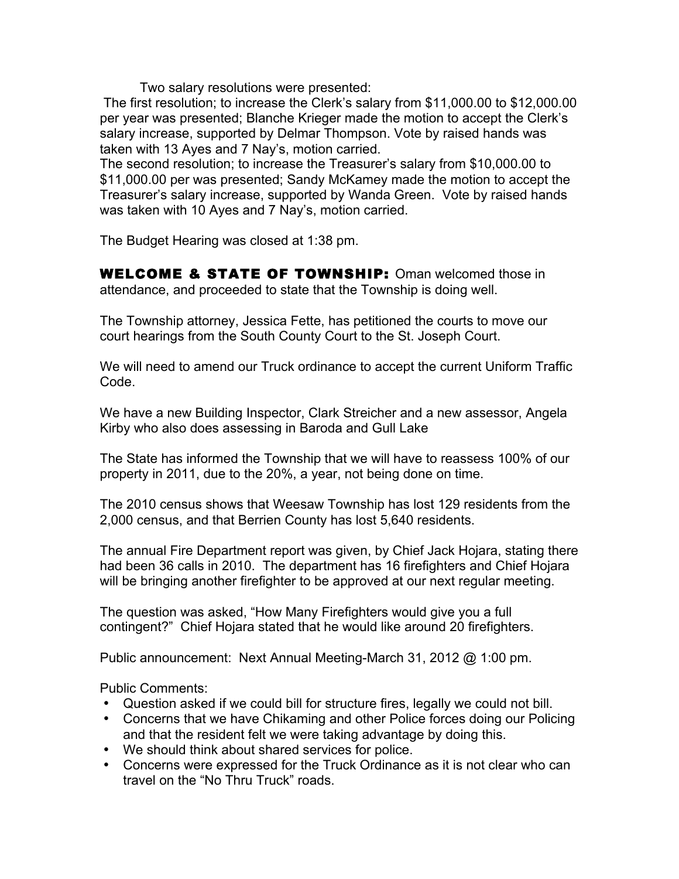Two salary resolutions were presented:

 The first resolution; to increase the Clerk's salary from \$11,000.00 to \$12,000.00 per year was presented; Blanche Krieger made the motion to accept the Clerk's salary increase, supported by Delmar Thompson. Vote by raised hands was taken with 13 Ayes and 7 Nay's, motion carried.

The second resolution; to increase the Treasurer's salary from \$10,000.00 to \$11,000.00 per was presented; Sandy McKamey made the motion to accept the Treasurer's salary increase, supported by Wanda Green. Vote by raised hands was taken with 10 Ayes and 7 Nay's, motion carried.

The Budget Hearing was closed at 1:38 pm.

WELCOME & STATE OF TOWNSHIP: Oman welcomed those in attendance, and proceeded to state that the Township is doing well.

The Township attorney, Jessica Fette, has petitioned the courts to move our court hearings from the South County Court to the St. Joseph Court.

We will need to amend our Truck ordinance to accept the current Uniform Traffic Code.

We have a new Building Inspector, Clark Streicher and a new assessor, Angela Kirby who also does assessing in Baroda and Gull Lake

The State has informed the Township that we will have to reassess 100% of our property in 2011, due to the 20%, a year, not being done on time.

The 2010 census shows that Weesaw Township has lost 129 residents from the 2,000 census, and that Berrien County has lost 5,640 residents.

The annual Fire Department report was given, by Chief Jack Hojara, stating there had been 36 calls in 2010. The department has 16 firefighters and Chief Hojara will be bringing another firefighter to be approved at our next regular meeting.

The question was asked, "How Many Firefighters would give you a full contingent?" Chief Hojara stated that he would like around 20 firefighters.

Public announcement: Next Annual Meeting-March 31, 2012 @ 1:00 pm.

Public Comments:

- Question asked if we could bill for structure fires, legally we could not bill.
- Concerns that we have Chikaming and other Police forces doing our Policing and that the resident felt we were taking advantage by doing this.
- We should think about shared services for police.
- Concerns were expressed for the Truck Ordinance as it is not clear who can travel on the "No Thru Truck" roads.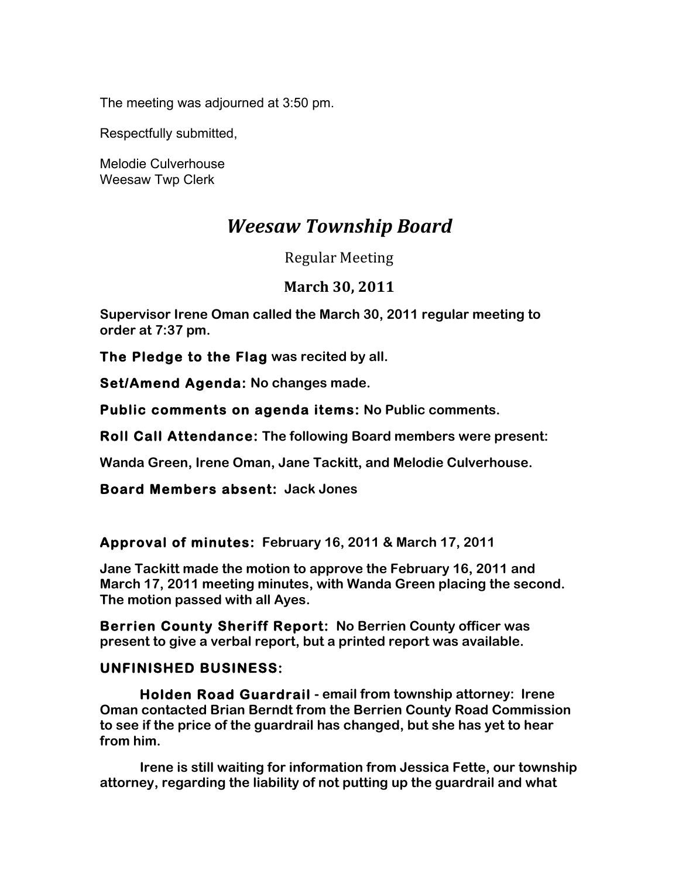The meeting was adjourned at 3:50 pm.

Respectfully submitted,

Melodie Culverhouse Weesaw Twp Clerk

# *Weesaw Township Board*

Regular Meeting

## **March 30, 2011**

**Supervisor Irene Oman called the March 30, 2011 regular meeting to order at 7:37 pm.**

**The Pledge to the Flag was recited by all.**

**Set/Amend Agenda: No changes made.**

**Public comments on agenda items: No Public comments.**

**Roll Call Attendance: The following Board members were present:**

**Wanda Green, Irene Oman, Jane Tackitt, and Melodie Culverhouse.**

**Board Members absent: Jack Jones**

### **Approval of minutes: February 16, 2011 & March 17, 2011**

**Jane Tackitt made the motion to approve the February 16, 2011 and March 17, 2011 meeting minutes, with Wanda Green placing the second. The motion passed with all Ayes.**

**Berrien County Sheriff Report: No Berrien County officer was present to give a verbal report, but a printed report was available.**

### **UNFINISHED BUSINESS:**

**Holden Road Guardrail - email from township attorney: Irene Oman contacted Brian Berndt from the Berrien County Road Commission to see if the price of the guardrail has changed, but she has yet to hear from him.**

**Irene is still waiting for information from Jessica Fette, our township attorney, regarding the liability of not putting up the guardrail and what**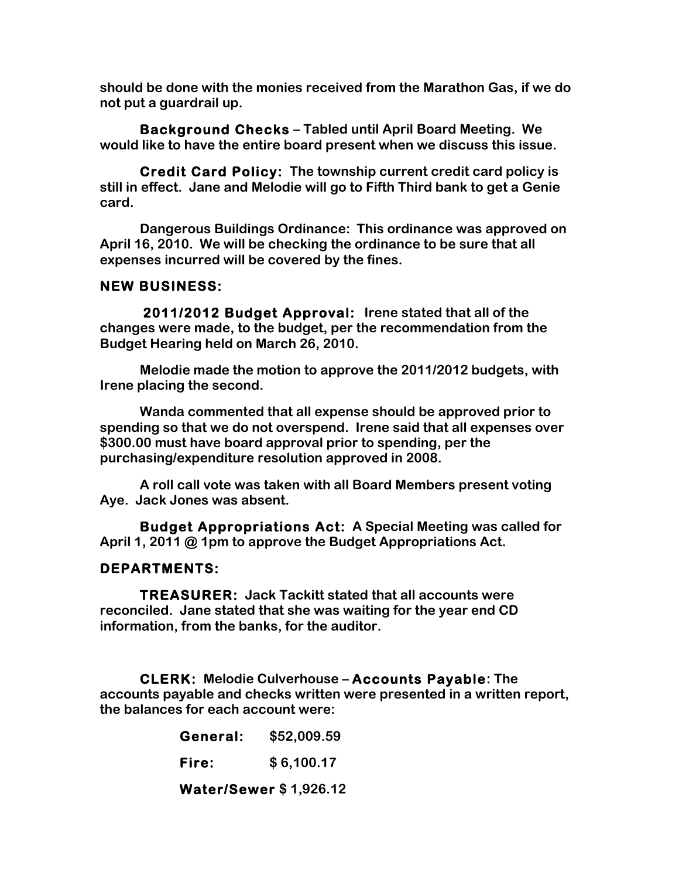**should be done with the monies received from the Marathon Gas, if we do not put a guardrail up.**

**Background Checks – Tabled until April Board Meeting. We would like to have the entire board present when we discuss this issue.**

**Credit Card Policy: The township current credit card policy is still in effect. Jane and Melodie will go to Fifth Third bank to get a Genie card.**

**Dangerous Buildings Ordinance: This ordinance was approved on April 16, 2010. We will be checking the ordinance to be sure that all expenses incurred will be covered by the fines.** 

## **NEW BUSINESS:**

**2011/2012 Budget Approval: Irene stated that all of the changes were made, to the budget, per the recommendation from the Budget Hearing held on March 26, 2010.**

**Melodie made the motion to approve the 2011/2012 budgets, with Irene placing the second.**

**Wanda commented that all expense should be approved prior to spending so that we do not overspend. Irene said that all expenses over \$300.00 must have board approval prior to spending, per the purchasing/expenditure resolution approved in 2008.**

**A roll call vote was taken with all Board Members present voting Aye. Jack Jones was absent.**

**Budget Appropriations Act: A Special Meeting was called for April 1, 2011 @ 1pm to approve the Budget Appropriations Act.**

## **DEPARTMENTS:**

**TREASURER: Jack Tackitt stated that all accounts were reconciled. Jane stated that she was waiting for the year end CD information, from the banks, for the auditor.**

**CLERK: Melodie Culverhouse – Accounts Payable: The accounts payable and checks written were presented in a written report, the balances for each account were:**

| General:                      | \$52,009.59 |
|-------------------------------|-------------|
| Fire:                         | \$6,100.17  |
| <b>Water/Sewer \$1,926.12</b> |             |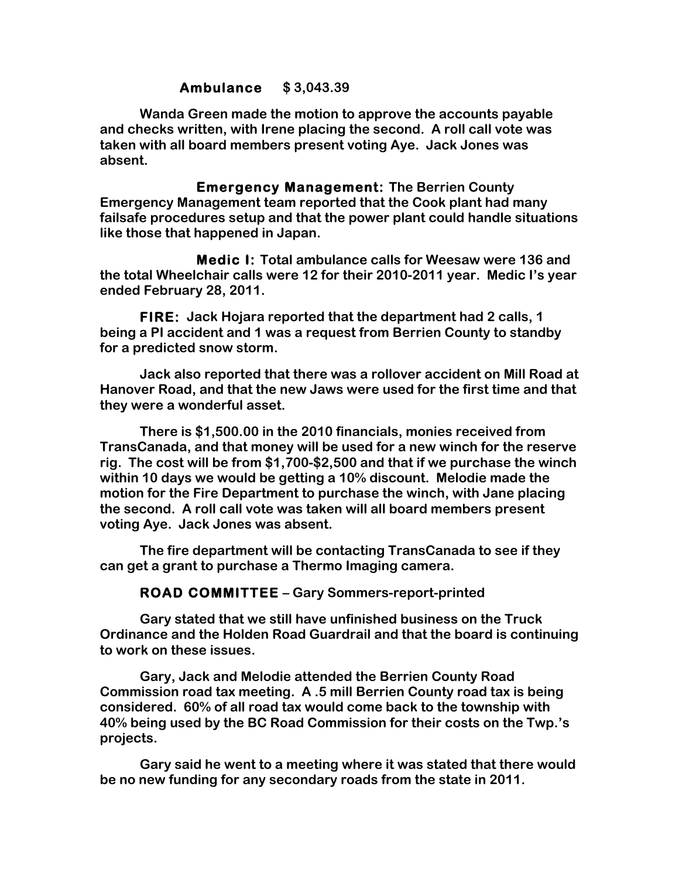### **Ambulance \$ 3,043.39**

**Wanda Green made the motion to approve the accounts payable and checks written, with Irene placing the second. A roll call vote was taken with all board members present voting Aye. Jack Jones was absent.**

 **Emergency Management: The Berrien County Emergency Management team reported that the Cook plant had many failsafe procedures setup and that the power plant could handle situations like those that happened in Japan.**

 **Medic I: Total ambulance calls for Weesaw were 136 and the total Wheelchair calls were 12 for their 2010-2011 year. Medic I's year ended February 28, 2011.**

**FIRE: Jack Hojara reported that the department had 2 calls, 1 being a PI accident and 1 was a request from Berrien County to standby for a predicted snow storm.**

**Jack also reported that there was a rollover accident on Mill Road at Hanover Road, and that the new Jaws were used for the first time and that they were a wonderful asset.**

**There is \$1,500.00 in the 2010 financials, monies received from TransCanada, and that money will be used for a new winch for the reserve rig. The cost will be from \$1,700-\$2,500 and that if we purchase the winch within 10 days we would be getting a 10% discount. Melodie made the motion for the Fire Department to purchase the winch, with Jane placing the second. A roll call vote was taken will all board members present voting Aye. Jack Jones was absent.**

**The fire department will be contacting TransCanada to see if they can get a grant to purchase a Thermo Imaging camera.**

**ROAD COMMITTEE – Gary Sommers-report-printed**

**Gary stated that we still have unfinished business on the Truck Ordinance and the Holden Road Guardrail and that the board is continuing to work on these issues.**

**Gary, Jack and Melodie attended the Berrien County Road Commission road tax meeting. A .5 mill Berrien County road tax is being considered. 60% of all road tax would come back to the township with 40% being used by the BC Road Commission for their costs on the Twp.'s projects.**

**Gary said he went to a meeting where it was stated that there would be no new funding for any secondary roads from the state in 2011.**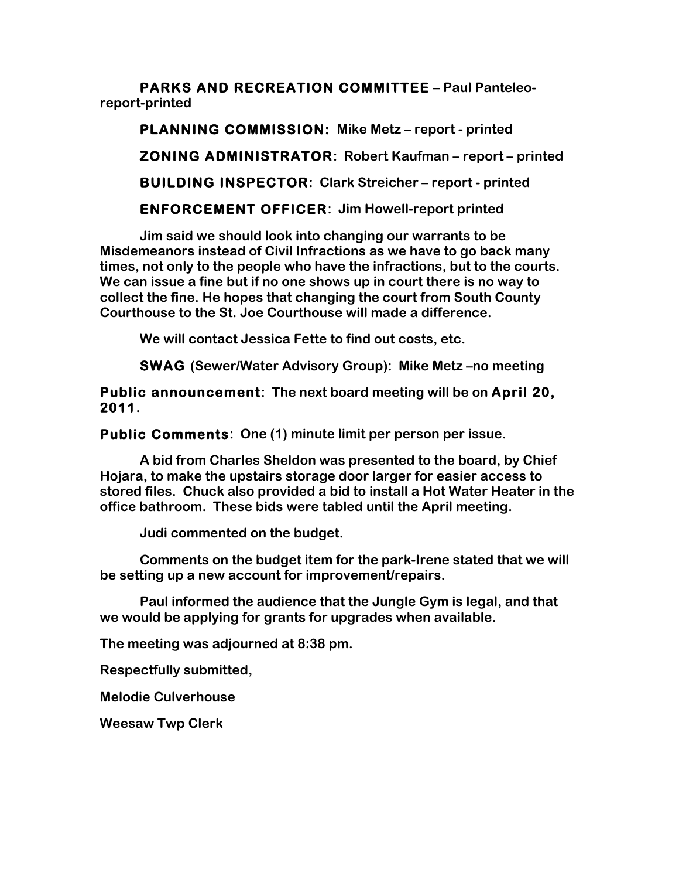**PARKS AND RECREATION COMMITTEE – Paul Panteleoreport-printed**

**PLANNING COMMISSION: Mike Metz – report - printed ZONING ADMINISTRATOR: Robert Kaufman – report – printed BUILDING INSPECTOR: Clark Streicher – report - printed ENFORCEMENT OFFICER: Jim Howell-report printed**

**Jim said we should look into changing our warrants to be Misdemeanors instead of Civil Infractions as we have to go back many times, not only to the people who have the infractions, but to the courts. We can issue a fine but if no one shows up in court there is no way to collect the fine. He hopes that changing the court from South County Courthouse to the St. Joe Courthouse will made a difference.**

**We will contact Jessica Fette to find out costs, etc.**

**SWAG (Sewer/Water Advisory Group): Mike Metz –no meeting**

**Public announcement: The next board meeting will be on April 20, 2011.**

**Public Comments: One (1) minute limit per person per issue.**

**A bid from Charles Sheldon was presented to the board, by Chief Hojara, to make the upstairs storage door larger for easier access to stored files. Chuck also provided a bid to install a Hot Water Heater in the office bathroom. These bids were tabled until the April meeting.**

**Judi commented on the budget.**

**Comments on the budget item for the park-Irene stated that we will be setting up a new account for improvement/repairs.**

**Paul informed the audience that the Jungle Gym is legal, and that we would be applying for grants for upgrades when available.**

**The meeting was adjourned at 8:38 pm.**

**Respectfully submitted,**

**Melodie Culverhouse**

**Weesaw Twp Clerk**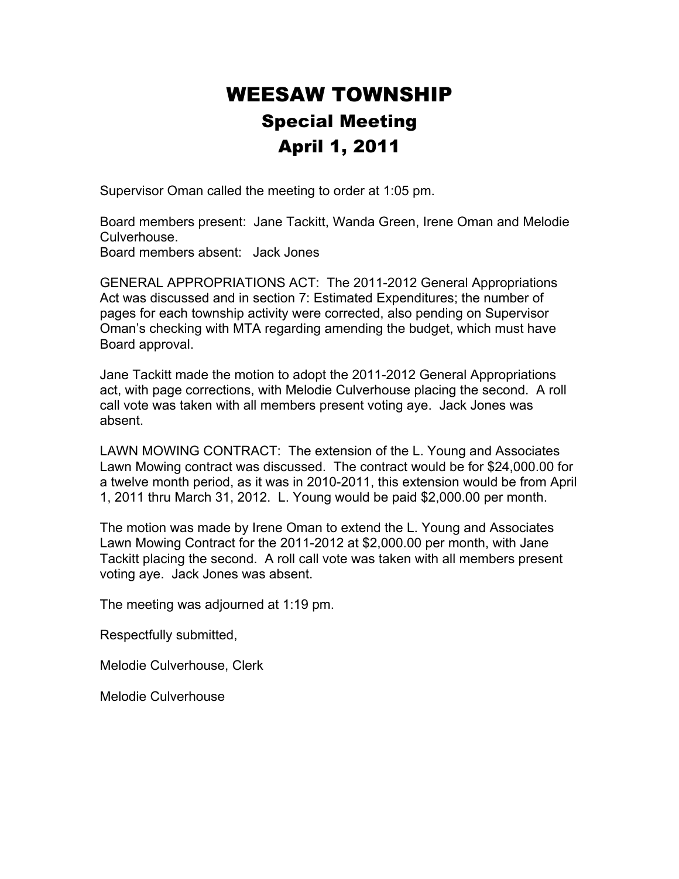# WEESAW TOWNSHIP Special Meeting April 1, 2011

Supervisor Oman called the meeting to order at 1:05 pm.

Board members present: Jane Tackitt, Wanda Green, Irene Oman and Melodie Culverhouse.

Board members absent: Jack Jones

GENERAL APPROPRIATIONS ACT: The 2011-2012 General Appropriations Act was discussed and in section 7: Estimated Expenditures; the number of pages for each township activity were corrected, also pending on Supervisor Oman's checking with MTA regarding amending the budget, which must have Board approval.

Jane Tackitt made the motion to adopt the 2011-2012 General Appropriations act, with page corrections, with Melodie Culverhouse placing the second. A roll call vote was taken with all members present voting aye. Jack Jones was absent.

LAWN MOWING CONTRACT: The extension of the L. Young and Associates Lawn Mowing contract was discussed. The contract would be for \$24,000.00 for a twelve month period, as it was in 2010-2011, this extension would be from April 1, 2011 thru March 31, 2012. L. Young would be paid \$2,000.00 per month.

The motion was made by Irene Oman to extend the L. Young and Associates Lawn Mowing Contract for the 2011-2012 at \$2,000.00 per month, with Jane Tackitt placing the second. A roll call vote was taken with all members present voting aye. Jack Jones was absent.

The meeting was adjourned at 1:19 pm.

Respectfully submitted,

Melodie Culverhouse, Clerk

Melodie Culverhouse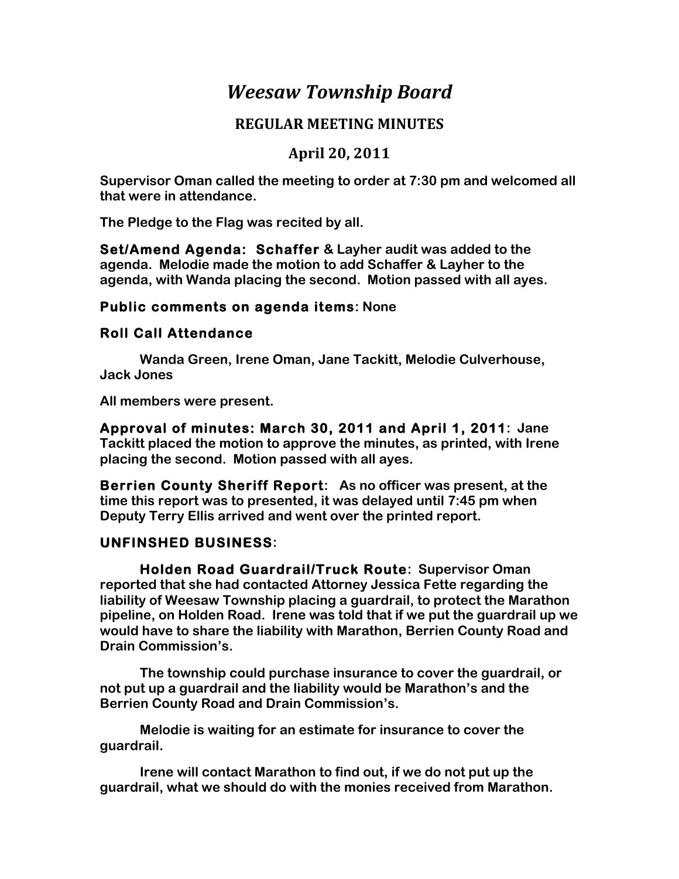# *Weesaw Township Board*

# **REGULAR MEETING MINUTES**

# **April 20, 2011**

**Supervisor Oman called the meeting to order at 7:30 pm and welcomed all that were in attendance.**

**The Pledge to the Flag was recited by all.**

**Set/Amend Agenda: Schaffer & Layher audit was added to the agenda. Melodie made the motion to add Schaffer & Layher to the agenda, with Wanda placing the second. Motion passed with all ayes.**

## **Public comments on agenda items: None**

## **Roll Call Attendance**

**Wanda Green, Irene Oman, Jane Tackitt, Melodie Culverhouse, Jack Jones**

**All members were present.**

**Approval of minutes: March 30, 2011 and April 1, 2011: Jane Tackitt placed the motion to approve the minutes, as printed, with Irene placing the second. Motion passed with all ayes.**

**Berrien County Sheriff Report: As no officer was present, at the time this report was to presented, it was delayed until 7:45 pm when Deputy Terry Ellis arrived and went over the printed report.** 

## **UNFINSHED BUSINESS:**

**Holden Road Guardrail/Truck Route: Supervisor Oman reported that she had contacted Attorney Jessica Fette regarding the liability of Weesaw Township placing a guardrail, to protect the Marathon pipeline, on Holden Road. Irene was told that if we put the guardrail up we would have to share the liability with Marathon, Berrien County Road and Drain Commission's.**

**The township could purchase insurance to cover the guardrail, or not put up a guardrail and the liability would be Marathon's and the Berrien County Road and Drain Commission's.**

**Melodie is waiting for an estimate for insurance to cover the guardrail.**

**Irene will contact Marathon to find out, if we do not put up the guardrail, what we should do with the monies received from Marathon.**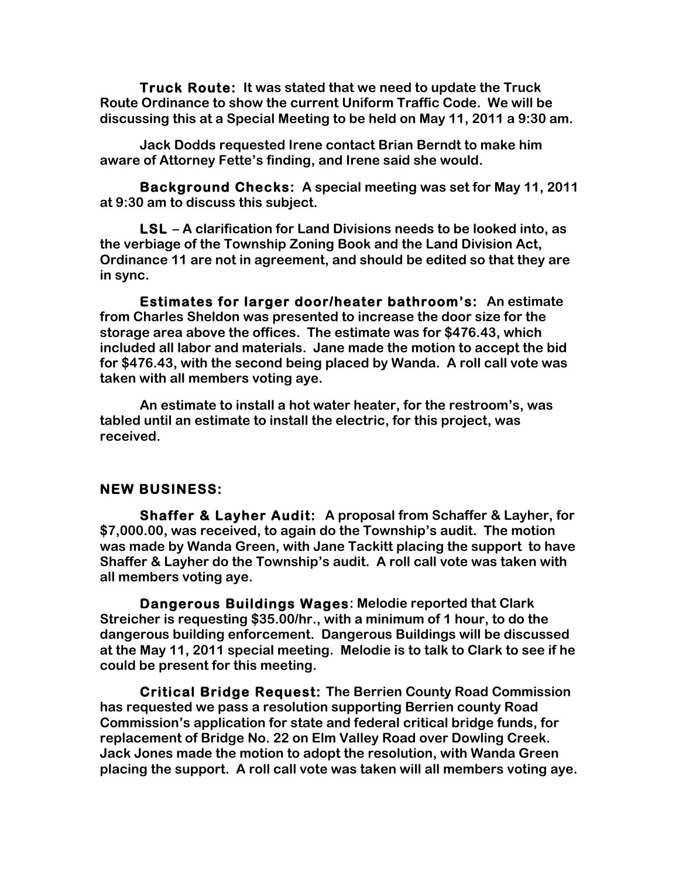**Truck Route: It was stated that we need to update the Truck Route Ordinance to show the current Uniform Traffic Code. We will be discussing this at a Special Meeting to be held on May 11, 2011 a 9:30 am.**

**Jack Dodds requested Irene contact Brian Berndt to make him aware of Attorney Fette's finding, and Irene said she would.**

**Background Checks: A special meeting was set for May 11, 2011 at 9:30 am to discuss this subject.**

**LSL – A clarification for Land Divisions needs to be looked into, as the verbiage of the Township Zoning Book and the Land Division Act, Ordinance 11 are not in agreement, and should be edited so that they are in sync.**

**Estimates for larger door/heater bathroom's: An estimate from Charles Sheldon was presented to increase the door size for the storage area above the offices. The estimate was for \$476.43, which included all labor and materials. Jane made the motion to accept the bid for \$476.43, with the second being placed by Wanda. A roll call vote was taken with all members voting aye.**

**An estimate to install a hot water heater, for the restroom's, was tabled until an estimate to install the electric, for this project, was received.** 

#### **NEW BUSINESS:**

 **Shaffer & Layher Audit: A proposal from Schaffer & Layher, for \$7,000.00, was received, to again do the Township's audit. The motion was made by Wanda Green, with Jane Tackitt placing the support to have Shaffer & Layher do the Township's audit. A roll call vote was taken with all members voting aye.**

**Dangerous Buildings Wages: Melodie reported that Clark Streicher is requesting \$35.00/hr., with a minimum of 1 hour, to do the dangerous building enforcement. Dangerous Buildings will be discussed at the May 11, 2011 special meeting. Melodie is to talk to Clark to see if he could be present for this meeting.**

**Critical Bridge Request: The Berrien County Road Commission has requested we pass a resolution supporting Berrien county Road Commission's application for state and federal critical bridge funds, for replacement of Bridge No. 22 on Elm Valley Road over Dowling Creek. Jack Jones made the motion to adopt the resolution, with Wanda Green placing the support. A roll call vote was taken will all members voting aye.**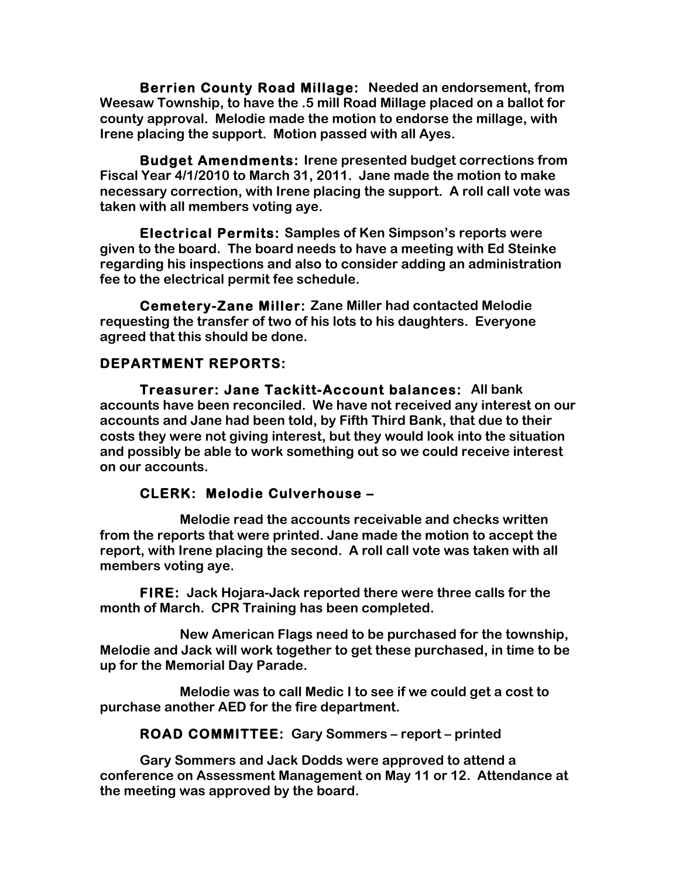**Berrien County Road Millage: Needed an endorsement, from Weesaw Township, to have the .5 mill Road Millage placed on a ballot for county approval. Melodie made the motion to endorse the millage, with Irene placing the support. Motion passed with all Ayes.** 

**Budget Amendments: Irene presented budget corrections from Fiscal Year 4/1/2010 to March 31, 2011. Jane made the motion to make necessary correction, with Irene placing the support. A roll call vote was taken with all members voting aye.**

**Electrical Permits: Samples of Ken Simpson's reports were given to the board. The board needs to have a meeting with Ed Steinke regarding his inspections and also to consider adding an administration fee to the electrical permit fee schedule.**

**Cemetery-Zane Miller: Zane Miller had contacted Melodie requesting the transfer of two of his lots to his daughters. Everyone agreed that this should be done.**

## **DEPARTMENT REPORTS:**

**Treasurer: Jane Tackitt-Account balances: All bank accounts have been reconciled. We have not received any interest on our accounts and Jane had been told, by Fifth Third Bank, that due to their costs they were not giving interest, but they would look into the situation and possibly be able to work something out so we could receive interest on our accounts.**

## **CLERK: Melodie Culverhouse –**

 **Melodie read the accounts receivable and checks written from the reports that were printed. Jane made the motion to accept the report, with Irene placing the second. A roll call vote was taken with all members voting aye.**

**FIRE: Jack Hojara-Jack reported there were three calls for the month of March. CPR Training has been completed.** 

**New American Flags need to be purchased for the township, Melodie and Jack will work together to get these purchased, in time to be up for the Memorial Day Parade.**

**Melodie was to call Medic I to see if we could get a cost to purchase another AED for the fire department.**

## **ROAD COMMITTEE: Gary Sommers – report – printed**

**Gary Sommers and Jack Dodds were approved to attend a conference on Assessment Management on May 11 or 12. Attendance at the meeting was approved by the board.**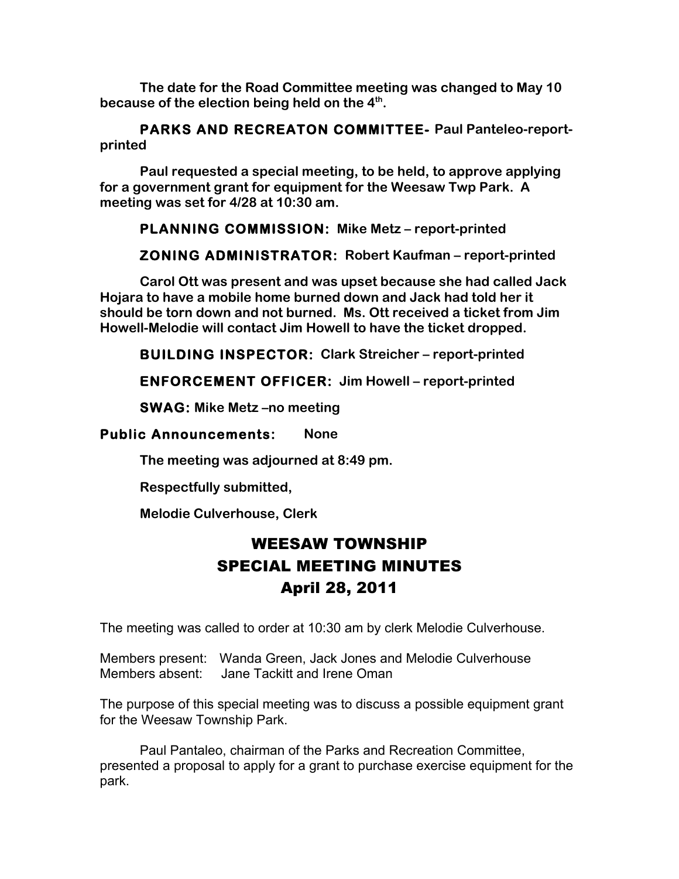**The date for the Road Committee meeting was changed to May 10**  because of the election being held on the 4<sup>th</sup>.

**PARKS AND RECREATON COMMITTEE- Paul Panteleo-reportprinted**

**Paul requested a special meeting, to be held, to approve applying for a government grant for equipment for the Weesaw Twp Park. A meeting was set for 4/28 at 10:30 am.**

**PLANNING COMMISSION: Mike Metz – report-printed**

**ZONING ADMINISTRATOR: Robert Kaufman – report-printed**

**Carol Ott was present and was upset because she had called Jack Hojara to have a mobile home burned down and Jack had told her it should be torn down and not burned. Ms. Ott received a ticket from Jim Howell-Melodie will contact Jim Howell to have the ticket dropped.**

**BUILDING INSPECTOR: Clark Streicher – report-printed**

**ENFORCEMENT OFFICER: Jim Howell – report-printed**

**SWAG: Mike Metz –no meeting**

**Public Announcements: None**

**The meeting was adjourned at 8:49 pm.**

**Respectfully submitted,**

**Melodie Culverhouse, Clerk**

# WEESAW TOWNSHIP SPECIAL MEETING MINUTES April 28, 2011

The meeting was called to order at 10:30 am by clerk Melodie Culverhouse.

Members present: Wanda Green, Jack Jones and Melodie Culverhouse Members absent: Jane Tackitt and Irene Oman

The purpose of this special meeting was to discuss a possible equipment grant for the Weesaw Township Park.

Paul Pantaleo, chairman of the Parks and Recreation Committee, presented a proposal to apply for a grant to purchase exercise equipment for the park.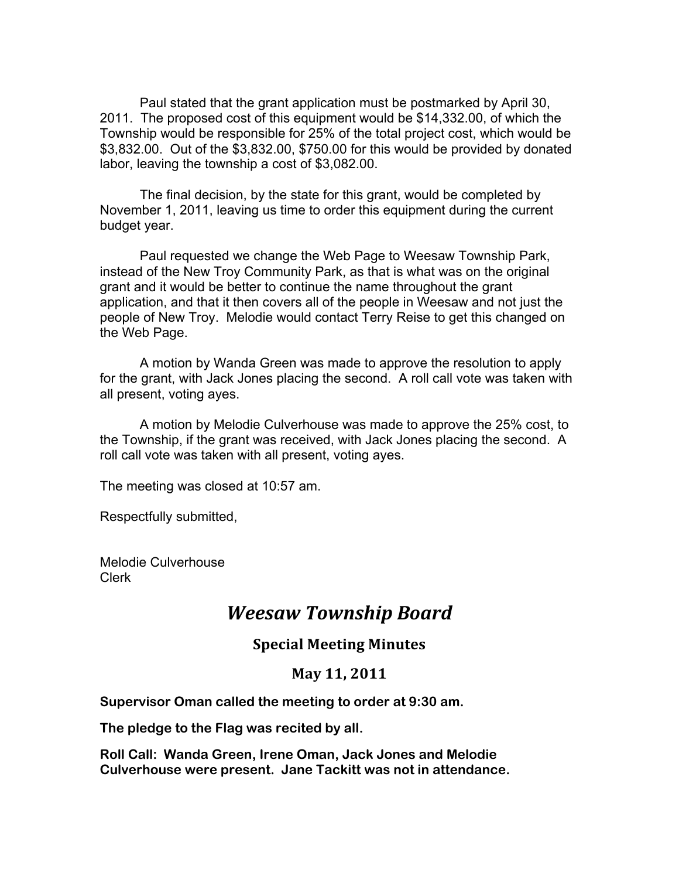Paul stated that the grant application must be postmarked by April 30, 2011. The proposed cost of this equipment would be \$14,332.00, of which the Township would be responsible for 25% of the total project cost, which would be \$3,832.00. Out of the \$3,832.00, \$750.00 for this would be provided by donated labor, leaving the township a cost of \$3,082.00.

The final decision, by the state for this grant, would be completed by November 1, 2011, leaving us time to order this equipment during the current budget year.

Paul requested we change the Web Page to Weesaw Township Park, instead of the New Troy Community Park, as that is what was on the original grant and it would be better to continue the name throughout the grant application, and that it then covers all of the people in Weesaw and not just the people of New Troy. Melodie would contact Terry Reise to get this changed on the Web Page.

A motion by Wanda Green was made to approve the resolution to apply for the grant, with Jack Jones placing the second. A roll call vote was taken with all present, voting ayes.

A motion by Melodie Culverhouse was made to approve the 25% cost, to the Township, if the grant was received, with Jack Jones placing the second. A roll call vote was taken with all present, voting ayes.

The meeting was closed at 10:57 am.

Respectfully submitted,

Melodie Culverhouse Clerk

# *Weesaw Township Board*

### **Special Meeting Minutes**

#### **May 11, 2011**

**Supervisor Oman called the meeting to order at 9:30 am.**

**The pledge to the Flag was recited by all.**

**Roll Call: Wanda Green, Irene Oman, Jack Jones and Melodie Culverhouse were present. Jane Tackitt was not in attendance.**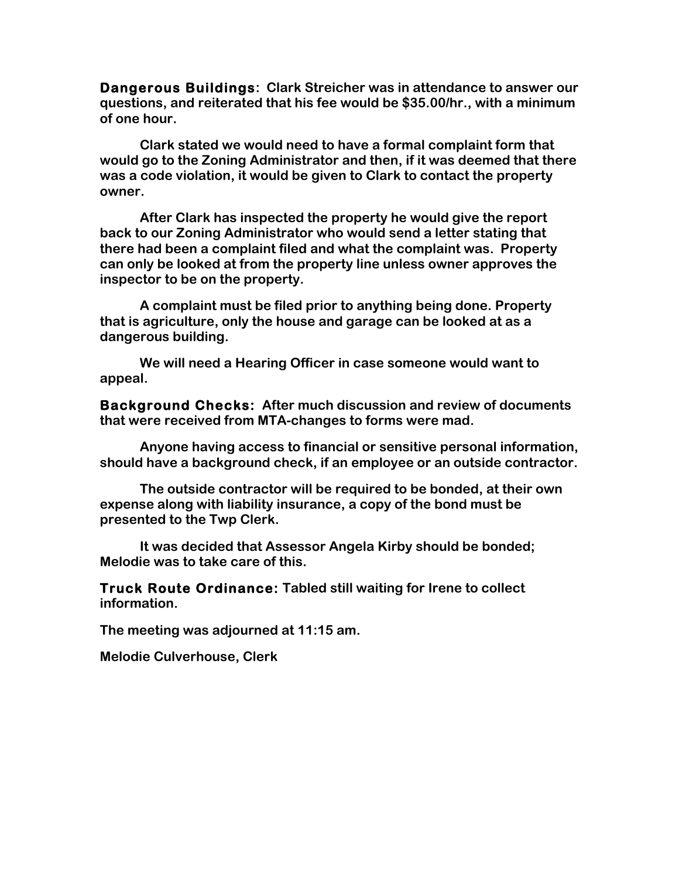**Dangerous Buildings: Clark Streicher was in attendance to answer our questions, and reiterated that his fee would be \$35.00/hr., with a minimum of one hour.**

**Clark stated we would need to have a formal complaint form that would go to the Zoning Administrator and then, if it was deemed that there was a code violation, it would be given to Clark to contact the property owner.**

**After Clark has inspected the property he would give the report back to our Zoning Administrator who would send a letter stating that there had been a complaint filed and what the complaint was. Property can only be looked at from the property line unless owner approves the inspector to be on the property.**

**A complaint must be filed prior to anything being done. Property that is agriculture, only the house and garage can be looked at as a dangerous building.**

**We will need a Hearing Officer in case someone would want to appeal.**

**Background Checks: After much discussion and review of documents that were received from MTA-changes to forms were mad.**

**Anyone having access to financial or sensitive personal information, should have a background check, if an employee or an outside contractor.**

**The outside contractor will be required to be bonded, at their own expense along with liability insurance, a copy of the bond must be presented to the Twp Clerk.**

**It was decided that Assessor Angela Kirby should be bonded; Melodie was to take care of this.**

**Truck Route Ordinance: Tabled still waiting for Irene to collect information.**

**The meeting was adjourned at 11:15 am.**

**Melodie Culverhouse, Clerk**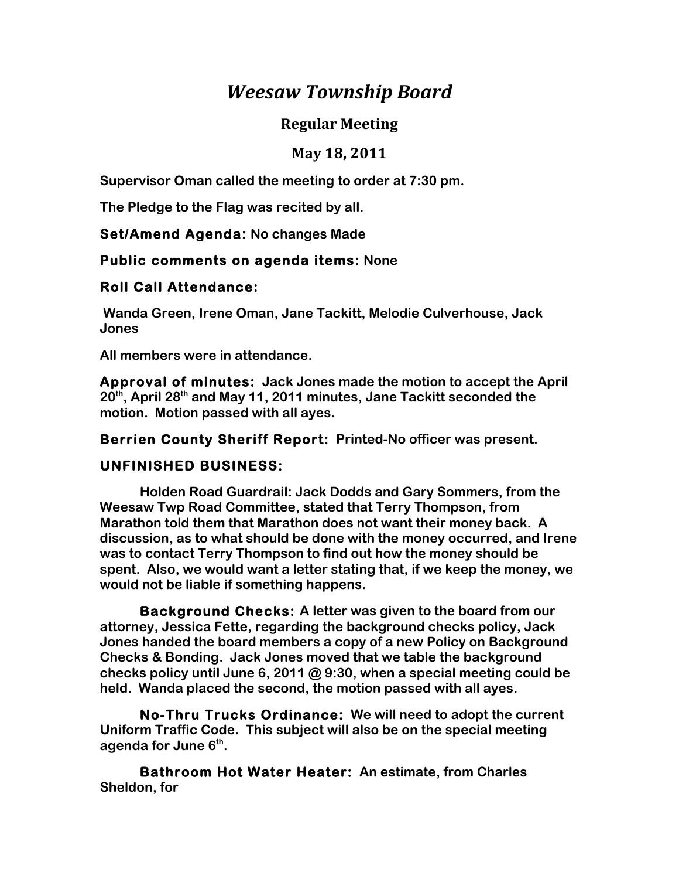# *Weesaw Township Board*

# **Regular Meeting**

## **May 18, 2011**

**Supervisor Oman called the meeting to order at 7:30 pm.**

**The Pledge to the Flag was recited by all.**

**Set/Amend Agenda: No changes Made**

### **Public comments on agenda items: None**

## **Roll Call Attendance:**

 **Wanda Green, Irene Oman, Jane Tackitt, Melodie Culverhouse, Jack Jones**

**All members were in attendance.**

**Approval of minutes: Jack Jones made the motion to accept the April 20th, April 28th and May 11, 2011 minutes, Jane Tackitt seconded the motion. Motion passed with all ayes.**

**Berrien County Sheriff Report: Printed-No officer was present.**

## **UNFINISHED BUSINESS:**

**Holden Road Guardrail: Jack Dodds and Gary Sommers, from the Weesaw Twp Road Committee, stated that Terry Thompson, from Marathon told them that Marathon does not want their money back. A discussion, as to what should be done with the money occurred, and Irene was to contact Terry Thompson to find out how the money should be spent. Also, we would want a letter stating that, if we keep the money, we would not be liable if something happens.**

**Background Checks: A letter was given to the board from our attorney, Jessica Fette, regarding the background checks policy, Jack Jones handed the board members a copy of a new Policy on Background Checks & Bonding. Jack Jones moved that we table the background checks policy until June 6, 2011 @ 9:30, when a special meeting could be held. Wanda placed the second, the motion passed with all ayes.**

**No-Thru Trucks Ordinance: We will need to adopt the current Uniform Traffic Code. This subject will also be on the special meeting agenda for June 6th.**

**Bathroom Hot Water Heater: An estimate, from Charles Sheldon, for**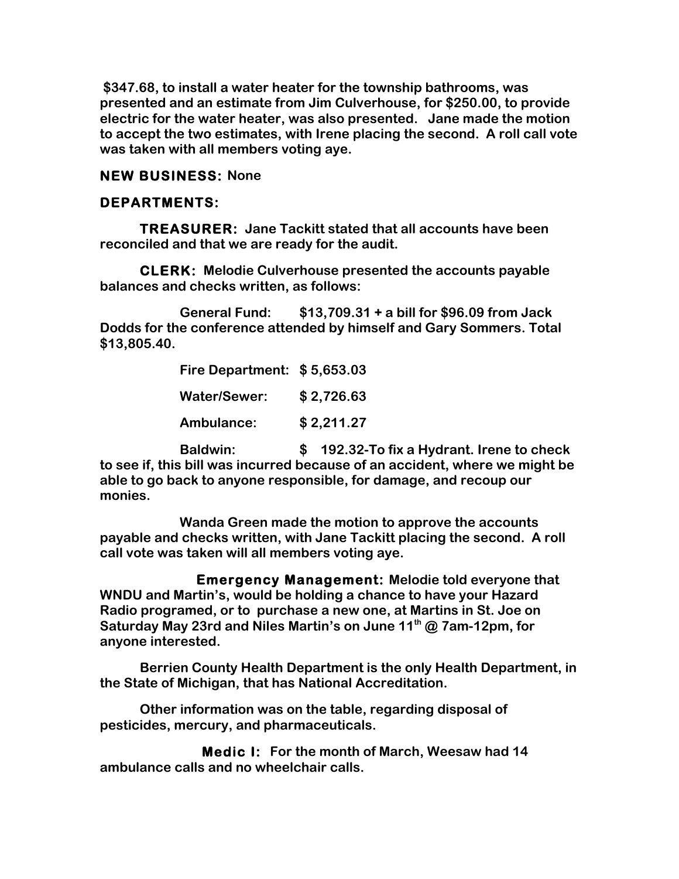**\$347.68, to install a water heater for the township bathrooms, was presented and an estimate from Jim Culverhouse, for \$250.00, to provide electric for the water heater, was also presented. Jane made the motion to accept the two estimates, with Irene placing the second. A roll call vote was taken with all members voting aye.**

## **NEW BUSINESS: None**

### **DEPARTMENTS:**

**TREASURER: Jane Tackitt stated that all accounts have been reconciled and that we are ready for the audit.**

**CLERK: Melodie Culverhouse presented the accounts payable balances and checks written, as follows:**

**General Fund: \$13,709.31 + a bill for \$96.09 from Jack Dodds for the conference attended by himself and Gary Sommers. Total \$13,805.40.**

> **Fire Department: \$ 5,653.03 Water/Sewer: \$ 2,726.63 Ambulance: \$ 2,211.27**

**Baldwin: \$ 192.32-To fix a Hydrant. Irene to check to see if, this bill was incurred because of an accident, where we might be able to go back to anyone responsible, for damage, and recoup our monies.**

**Wanda Green made the motion to approve the accounts payable and checks written, with Jane Tackitt placing the second. A roll call vote was taken will all members voting aye.**

 **Emergency Management: Melodie told everyone that WNDU and Martin's, would be holding a chance to have your Hazard Radio programed, or to purchase a new one, at Martins in St. Joe on**  Saturday May 23rd and Niles Martin's on June 11<sup>th</sup> @ 7am-12pm, for **anyone interested.**

**Berrien County Health Department is the only Health Department, in the State of Michigan, that has National Accreditation.**

**Other information was on the table, regarding disposal of pesticides, mercury, and pharmaceuticals.**

 **Medic I: For the month of March, Weesaw had 14 ambulance calls and no wheelchair calls.**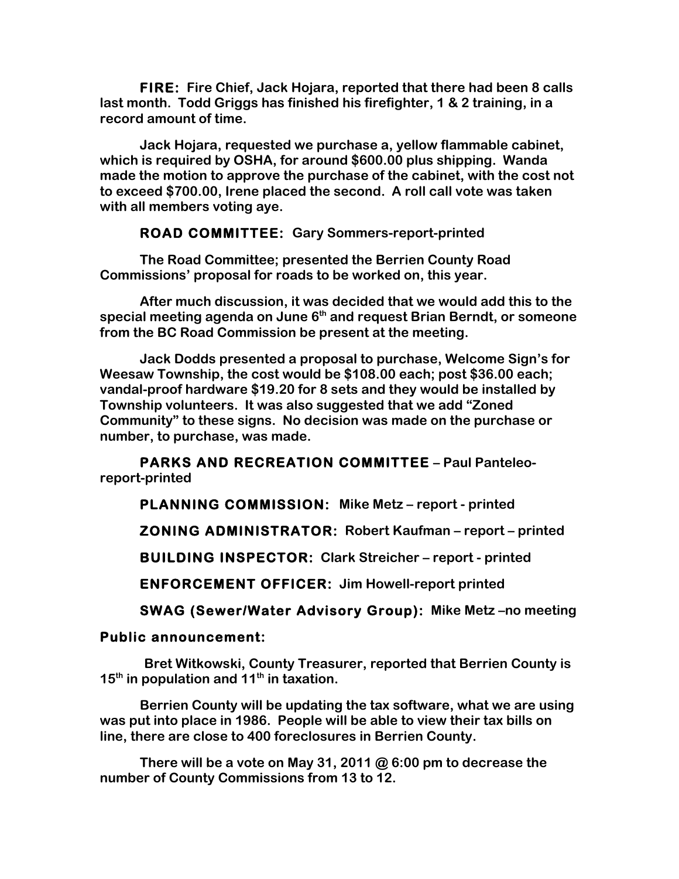**FIRE: Fire Chief, Jack Hojara, reported that there had been 8 calls last month. Todd Griggs has finished his firefighter, 1 & 2 training, in a record amount of time.** 

**Jack Hojara, requested we purchase a, yellow flammable cabinet, which is required by OSHA, for around \$600.00 plus shipping. Wanda made the motion to approve the purchase of the cabinet, with the cost not to exceed \$700.00, Irene placed the second. A roll call vote was taken with all members voting aye.**

**ROAD COMMITTEE: Gary Sommers-report-printed**

**The Road Committee; presented the Berrien County Road Commissions' proposal for roads to be worked on, this year.**

**After much discussion, it was decided that we would add this to the special meeting agenda on June 6th and request Brian Berndt, or someone from the BC Road Commission be present at the meeting.**

**Jack Dodds presented a proposal to purchase, Welcome Sign's for Weesaw Township, the cost would be \$108.00 each; post \$36.00 each; vandal-proof hardware \$19.20 for 8 sets and they would be installed by Township volunteers. It was also suggested that we add "Zoned Community" to these signs. No decision was made on the purchase or number, to purchase, was made.**

**PARKS AND RECREATION COMMITTEE – Paul Panteleoreport-printed**

**PLANNING COMMISSION: Mike Metz – report - printed**

**ZONING ADMINISTRATOR: Robert Kaufman – report – printed**

**BUILDING INSPECTOR: Clark Streicher – report - printed**

**ENFORCEMENT OFFICER: Jim Howell-report printed**

**SWAG (Sewer/Water Advisory Group): Mike Metz –no meeting**

#### **Public announcement:**

 **Bret Witkowski, County Treasurer, reported that Berrien County is**  15<sup>th</sup> in population and 11<sup>th</sup> in taxation.

**Berrien County will be updating the tax software, what we are using was put into place in 1986. People will be able to view their tax bills on line, there are close to 400 foreclosures in Berrien County.**

**There will be a vote on May 31, 2011 @ 6:00 pm to decrease the number of County Commissions from 13 to 12.**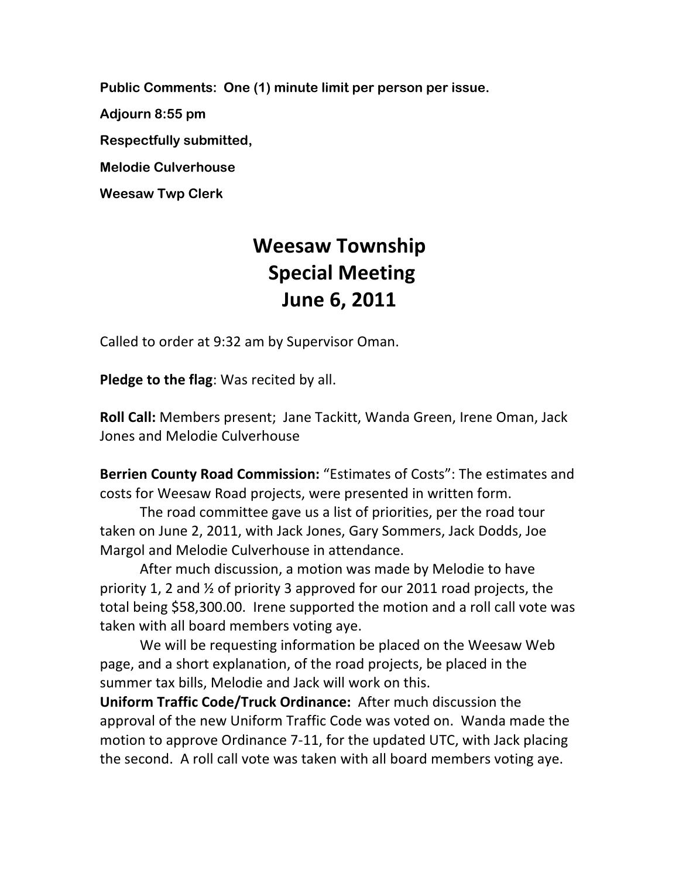**Public Comments: One (1) minute limit per person per issue.**

**Adjourn 8:55 pm**

**Respectfully submitted,**

**Melodie Culverhouse**

**Weesaw Twp Clerk**

# **Weesaw Township Special Meeting June 6, 2011**

Called to order at 9:32 am by Supervisor Oman.

**Pledge to the flag**: Was recited by all.

**Roll Call:** Members present; Jane Tackitt, Wanda Green, Irene Oman, Jack Jones and Melodie Culverhouse

**Berrien County Road Commission:** "Estimates of Costs": The estimates and costs for Weesaw Road projects, were presented in written form.

The road committee gave us a list of priorities, per the road tour taken on June 2, 2011, with Jack Jones, Gary Sommers, Jack Dodds, Joe Margol and Melodie Culverhouse in attendance.

After much discussion, a motion was made by Melodie to have priority 1, 2 and  $\frac{1}{2}$  of priority 3 approved for our 2011 road projects, the total being \$58,300.00. Irene supported the motion and a roll call vote was taken with all board members voting aye.

We will be requesting information be placed on the Weesaw Web page, and a short explanation, of the road projects, be placed in the summer tax bills, Melodie and Jack will work on this.

**Uniform Traffic Code/Truck Ordinance:** After much discussion the approval of the new Uniform Traffic Code was voted on. Wanda made the motion to approve Ordinance 7-11, for the updated UTC, with Jack placing the second. A roll call vote was taken with all board members voting aye.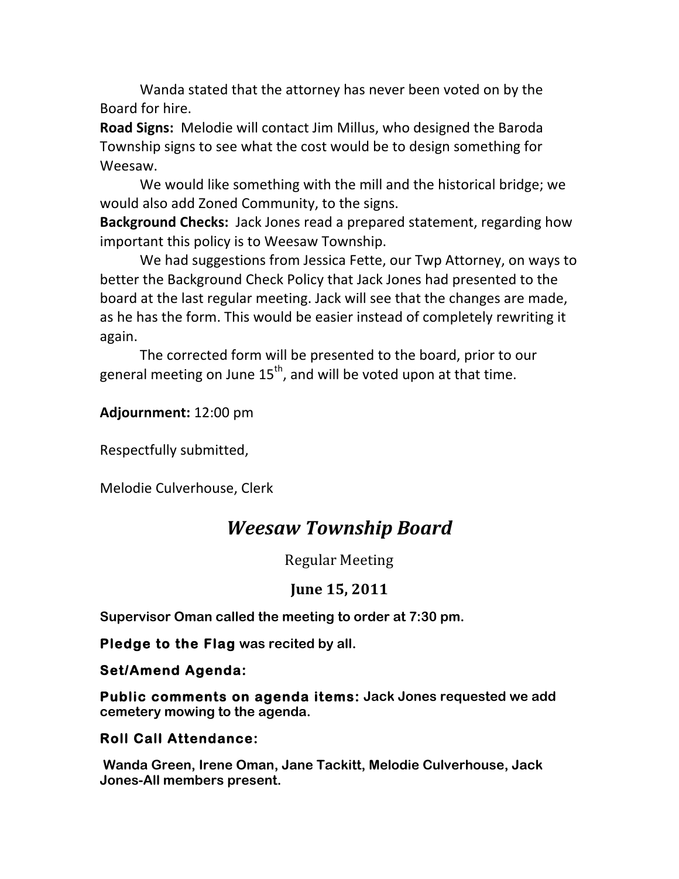Wanda stated that the attorney has never been voted on by the Board for hire.

**Road Signs:** Melodie will contact Jim Millus, who designed the Baroda Township signs to see what the cost would be to design something for Weesaw. 

We would like something with the mill and the historical bridge; we would also add Zoned Community, to the signs.

**Background Checks:** Jack Jones read a prepared statement, regarding how important this policy is to Weesaw Township.

We had suggestions from Jessica Fette, our Twp Attorney, on ways to better the Background Check Policy that Jack Jones had presented to the board at the last regular meeting. Jack will see that the changes are made, as he has the form. This would be easier instead of completely rewriting it again. 

The corrected form will be presented to the board, prior to our general meeting on June  $15<sup>th</sup>$ , and will be voted upon at that time.

## Adjournment: 12:00 pm

Respectfully submitted,

Melodie Culverhouse, Clerk

# *Weesaw Township Board*

Regular Meeting

## **June 15, 2011**

**Supervisor Oman called the meeting to order at 7:30 pm.**

**Pledge to the Flag was recited by all.**

## **Set/Amend Agenda:**

**Public comments on agenda items: Jack Jones requested we add cemetery mowing to the agenda.**

## **Roll Call Attendance:**

 **Wanda Green, Irene Oman, Jane Tackitt, Melodie Culverhouse, Jack Jones-All members present.**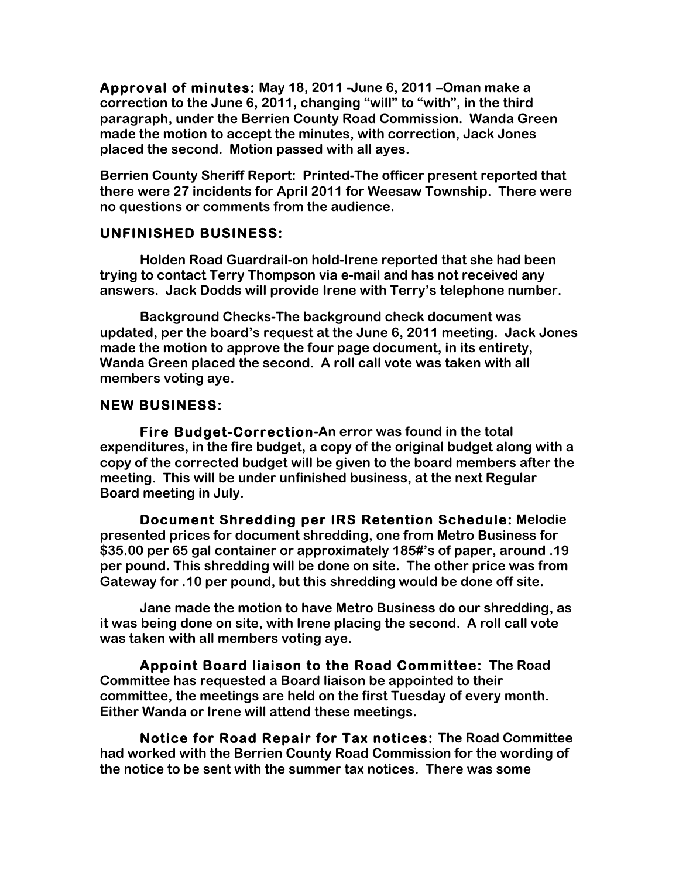**Approval of minutes: May 18, 2011 -June 6, 2011 –Oman make a correction to the June 6, 2011, changing "will" to "with", in the third paragraph, under the Berrien County Road Commission. Wanda Green made the motion to accept the minutes, with correction, Jack Jones placed the second. Motion passed with all ayes.**

**Berrien County Sheriff Report: Printed-The officer present reported that there were 27 incidents for April 2011 for Weesaw Township. There were no questions or comments from the audience.**

## **UNFINISHED BUSINESS:**

**Holden Road Guardrail-on hold-Irene reported that she had been trying to contact Terry Thompson via e-mail and has not received any answers. Jack Dodds will provide Irene with Terry's telephone number.**

**Background Checks-The background check document was updated, per the board's request at the June 6, 2011 meeting. Jack Jones made the motion to approve the four page document, in its entirety, Wanda Green placed the second. A roll call vote was taken with all members voting aye.**

## **NEW BUSINESS:**

**Fire Budget-Correction-An error was found in the total expenditures, in the fire budget, a copy of the original budget along with a copy of the corrected budget will be given to the board members after the meeting. This will be under unfinished business, at the next Regular Board meeting in July.**

**Document Shredding per IRS Retention Schedule: Melodie presented prices for document shredding, one from Metro Business for \$35.00 per 65 gal container or approximately 185#'s of paper, around .19 per pound. This shredding will be done on site. The other price was from Gateway for .10 per pound, but this shredding would be done off site.**

**Jane made the motion to have Metro Business do our shredding, as it was being done on site, with Irene placing the second. A roll call vote was taken with all members voting aye.**

**Appoint Board liaison to the Road Committee: The Road Committee has requested a Board liaison be appointed to their committee, the meetings are held on the first Tuesday of every month. Either Wanda or Irene will attend these meetings.**

**Notice for Road Repair for Tax notices: The Road Committee had worked with the Berrien County Road Commission for the wording of the notice to be sent with the summer tax notices. There was some**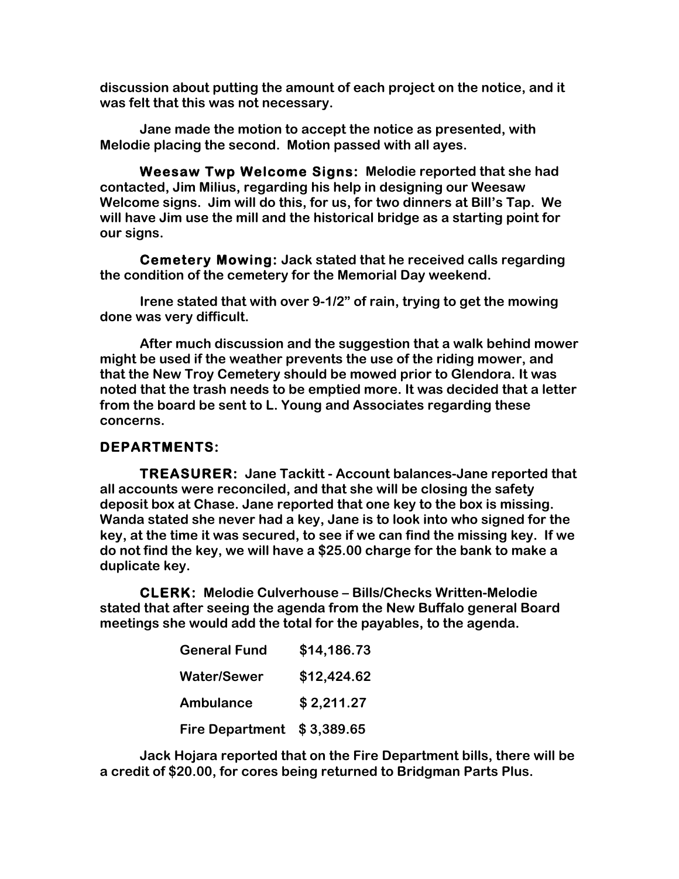**discussion about putting the amount of each project on the notice, and it was felt that this was not necessary.**

**Jane made the motion to accept the notice as presented, with Melodie placing the second. Motion passed with all ayes.**

**Weesaw Twp Welcome Signs: Melodie reported that she had contacted, Jim Milius, regarding his help in designing our Weesaw Welcome signs. Jim will do this, for us, for two dinners at Bill's Tap. We will have Jim use the mill and the historical bridge as a starting point for our signs.**

**Cemetery Mowing: Jack stated that he received calls regarding the condition of the cemetery for the Memorial Day weekend.** 

**Irene stated that with over 9-1/2" of rain, trying to get the mowing done was very difficult.** 

**After much discussion and the suggestion that a walk behind mower might be used if the weather prevents the use of the riding mower, and that the New Troy Cemetery should be mowed prior to Glendora. It was noted that the trash needs to be emptied more. It was decided that a letter from the board be sent to L. Young and Associates regarding these concerns.** 

### **DEPARTMENTS:**

**TREASURER: Jane Tackitt - Account balances-Jane reported that all accounts were reconciled, and that she will be closing the safety deposit box at Chase. Jane reported that one key to the box is missing. Wanda stated she never had a key, Jane is to look into who signed for the key, at the time it was secured, to see if we can find the missing key. If we do not find the key, we will have a \$25.00 charge for the bank to make a duplicate key.**

**CLERK: Melodie Culverhouse – Bills/Checks Written-Melodie stated that after seeing the agenda from the New Buffalo general Board meetings she would add the total for the payables, to the agenda.**

| <b>General Fund</b>    | \$14,186.73 |
|------------------------|-------------|
| <b>Water/Sewer</b>     | \$12,424.62 |
| <b>Ambulance</b>       | \$2,211.27  |
| <b>Fire Department</b> | \$3,389.65  |

**Jack Hojara reported that on the Fire Department bills, there will be a credit of \$20.00, for cores being returned to Bridgman Parts Plus.**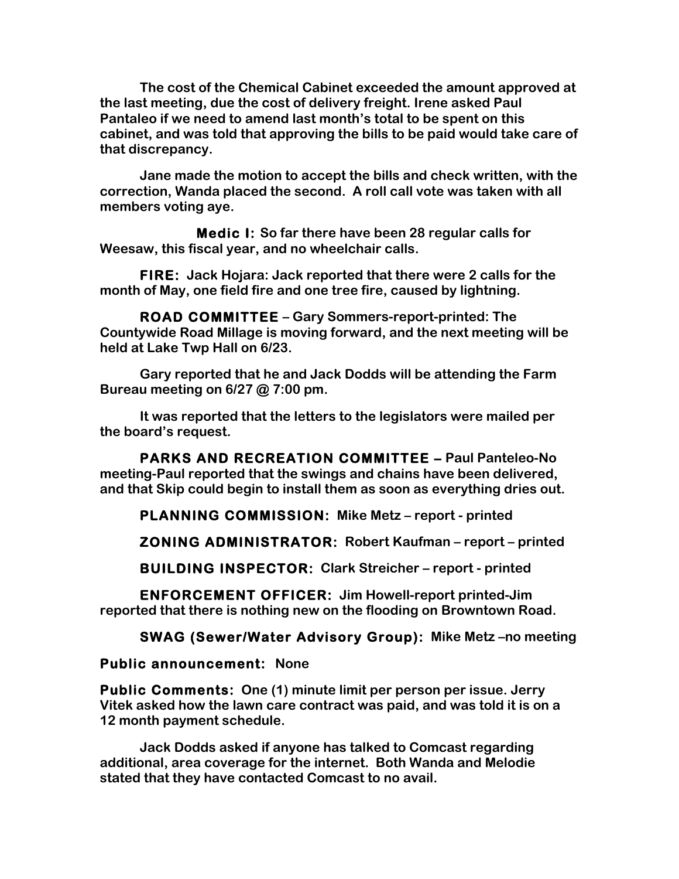**The cost of the Chemical Cabinet exceeded the amount approved at the last meeting, due the cost of delivery freight. Irene asked Paul Pantaleo if we need to amend last month's total to be spent on this cabinet, and was told that approving the bills to be paid would take care of that discrepancy.**

**Jane made the motion to accept the bills and check written, with the correction, Wanda placed the second. A roll call vote was taken with all members voting aye.**

 **Medic I: So far there have been 28 regular calls for Weesaw, this fiscal year, and no wheelchair calls.**

**FIRE: Jack Hojara: Jack reported that there were 2 calls for the month of May, one field fire and one tree fire, caused by lightning.**

**ROAD COMMITTEE – Gary Sommers-report-printed: The Countywide Road Millage is moving forward, and the next meeting will be held at Lake Twp Hall on 6/23.**

**Gary reported that he and Jack Dodds will be attending the Farm Bureau meeting on 6/27 @ 7:00 pm.**

**It was reported that the letters to the legislators were mailed per the board's request.**

**PARKS AND RECREATION COMMITTEE – Paul Panteleo-No meeting-Paul reported that the swings and chains have been delivered, and that Skip could begin to install them as soon as everything dries out.**

**PLANNING COMMISSION: Mike Metz – report - printed**

**ZONING ADMINISTRATOR: Robert Kaufman – report – printed**

**BUILDING INSPECTOR: Clark Streicher – report - printed**

**ENFORCEMENT OFFICER: Jim Howell-report printed-Jim reported that there is nothing new on the flooding on Browntown Road.**

**SWAG (Sewer/Water Advisory Group): Mike Metz –no meeting**

### **Public announcement: None**

**Public Comments: One (1) minute limit per person per issue. Jerry Vitek asked how the lawn care contract was paid, and was told it is on a 12 month payment schedule.**

**Jack Dodds asked if anyone has talked to Comcast regarding additional, area coverage for the internet. Both Wanda and Melodie stated that they have contacted Comcast to no avail.**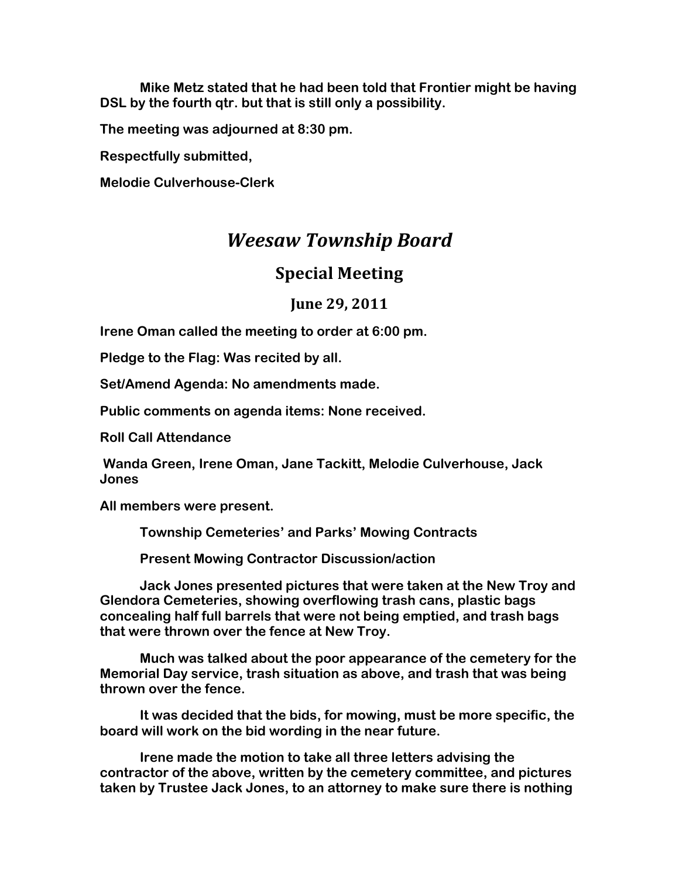**Mike Metz stated that he had been told that Frontier might be having DSL by the fourth qtr. but that is still only a possibility.**

**The meeting was adjourned at 8:30 pm.**

**Respectfully submitted,**

**Melodie Culverhouse-Clerk**

# *Weesaw Township Board*

# **Special Meeting**

### **June 29, 2011**

**Irene Oman called the meeting to order at 6:00 pm.**

**Pledge to the Flag: Was recited by all.**

**Set/Amend Agenda: No amendments made.**

**Public comments on agenda items: None received.**

**Roll Call Attendance**

 **Wanda Green, Irene Oman, Jane Tackitt, Melodie Culverhouse, Jack Jones**

**All members were present.**

**Township Cemeteries' and Parks' Mowing Contracts**

**Present Mowing Contractor Discussion/action**

**Jack Jones presented pictures that were taken at the New Troy and Glendora Cemeteries, showing overflowing trash cans, plastic bags concealing half full barrels that were not being emptied, and trash bags that were thrown over the fence at New Troy.**

**Much was talked about the poor appearance of the cemetery for the Memorial Day service, trash situation as above, and trash that was being thrown over the fence.**

**It was decided that the bids, for mowing, must be more specific, the board will work on the bid wording in the near future.**

**Irene made the motion to take all three letters advising the contractor of the above, written by the cemetery committee, and pictures taken by Trustee Jack Jones, to an attorney to make sure there is nothing**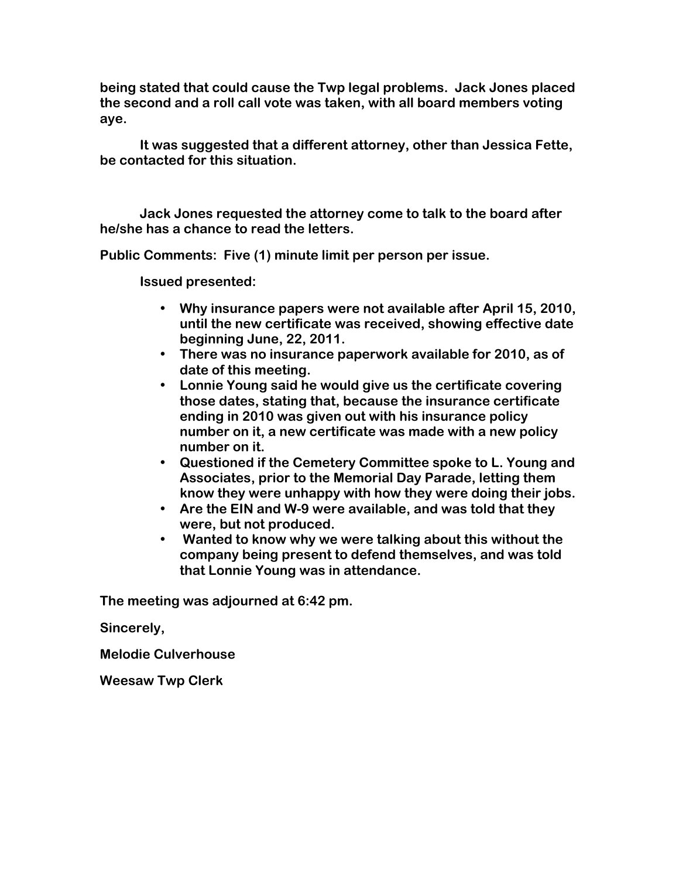**being stated that could cause the Twp legal problems. Jack Jones placed the second and a roll call vote was taken, with all board members voting aye.**

**It was suggested that a different attorney, other than Jessica Fette, be contacted for this situation.**

**Jack Jones requested the attorney come to talk to the board after he/she has a chance to read the letters.**

**Public Comments: Five (1) minute limit per person per issue.**

**Issued presented:**

- **Why insurance papers were not available after April 15, 2010, until the new certificate was received, showing effective date beginning June, 22, 2011.**
- **There was no insurance paperwork available for 2010, as of date of this meeting.**
- **Lonnie Young said he would give us the certificate covering those dates, stating that, because the insurance certificate ending in 2010 was given out with his insurance policy number on it, a new certificate was made with a new policy number on it.**
- **Questioned if the Cemetery Committee spoke to L. Young and Associates, prior to the Memorial Day Parade, letting them know they were unhappy with how they were doing their jobs.**
- **Are the EIN and W-9 were available, and was told that they were, but not produced.**
- • **Wanted to know why we were talking about this without the company being present to defend themselves, and was told that Lonnie Young was in attendance.**

**The meeting was adjourned at 6:42 pm.**

**Sincerely,**

**Melodie Culverhouse**

**Weesaw Twp Clerk**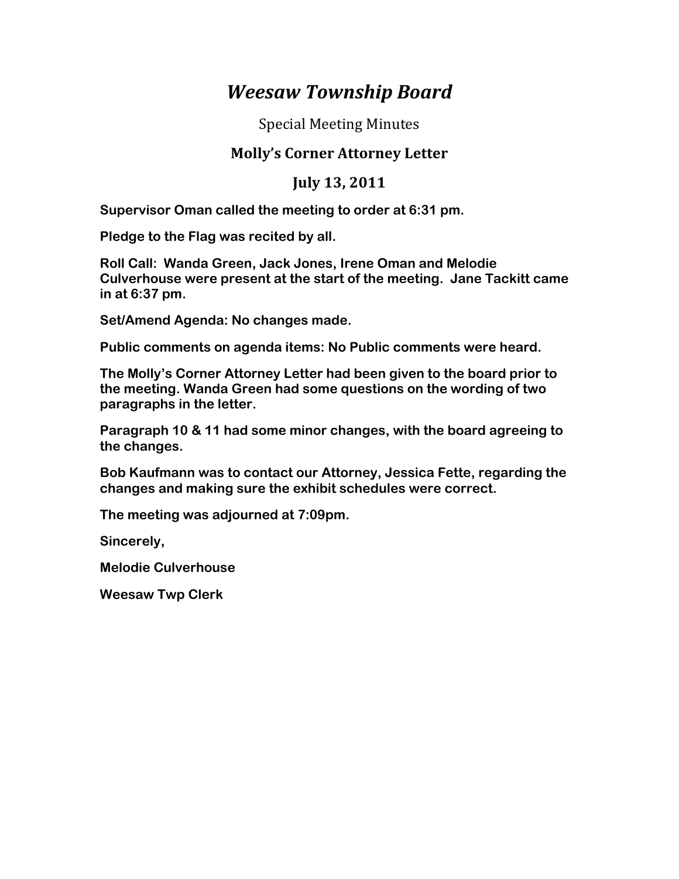# *Weesaw Township Board*

Special Meeting Minutes

## **Molly's Corner Attorney Letter**

## **July 13, 2011**

**Supervisor Oman called the meeting to order at 6:31 pm.**

**Pledge to the Flag was recited by all.**

**Roll Call: Wanda Green, Jack Jones, Irene Oman and Melodie Culverhouse were present at the start of the meeting. Jane Tackitt came in at 6:37 pm.**

**Set/Amend Agenda: No changes made.**

**Public comments on agenda items: No Public comments were heard.**

**The Molly's Corner Attorney Letter had been given to the board prior to the meeting. Wanda Green had some questions on the wording of two paragraphs in the letter.**

**Paragraph 10 & 11 had some minor changes, with the board agreeing to the changes.**

**Bob Kaufmann was to contact our Attorney, Jessica Fette, regarding the changes and making sure the exhibit schedules were correct.**

**The meeting was adjourned at 7:09pm.**

**Sincerely,**

**Melodie Culverhouse**

**Weesaw Twp Clerk**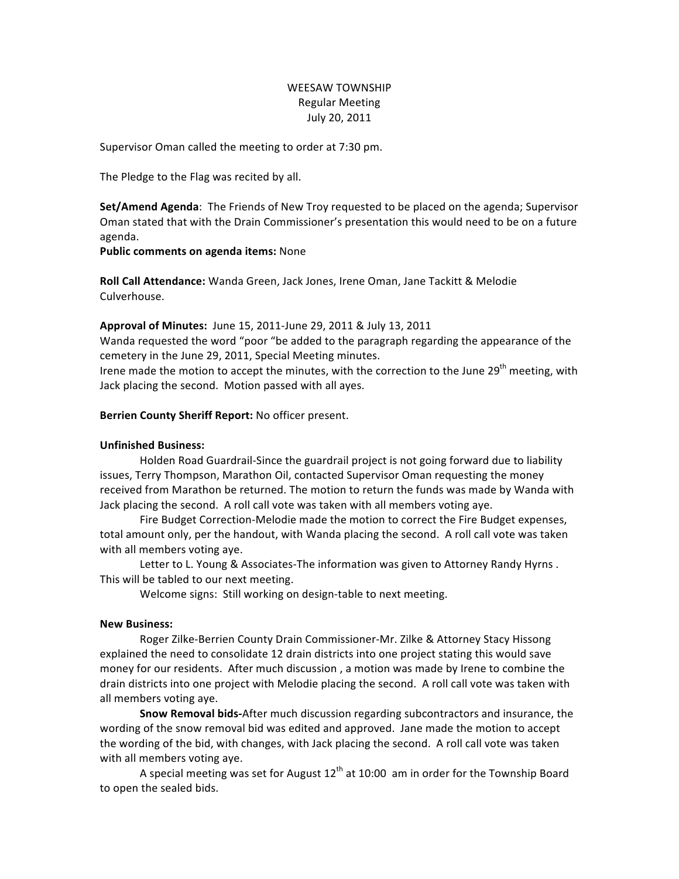#### WEESAW TOWNSHIP Regular Meeting July 20, 2011

Supervisor Oman called the meeting to order at 7:30 pm.

The Pledge to the Flag was recited by all.

**Set/Amend Agenda**: The Friends of New Troy requested to be placed on the agenda; Supervisor Oman stated that with the Drain Commissioner's presentation this would need to be on a future agenda.

**Public comments on agenda items:** None

Roll Call Attendance: Wanda Green, Jack Jones, Irene Oman, Jane Tackitt & Melodie Culverhouse.

#### **Approval of Minutes:** June 15, 2011-June 29, 2011 & July 13, 2011

Wanda requested the word "poor "be added to the paragraph regarding the appearance of the cemetery in the June 29, 2011, Special Meeting minutes.

Irene made the motion to accept the minutes, with the correction to the June 29<sup>th</sup> meeting, with Jack placing the second. Motion passed with all ayes.

Berrien County Sheriff Report: No officer present.

#### **Unfinished Business:**

Holden Road Guardrail-Since the guardrail project is not going forward due to liability issues, Terry Thompson, Marathon Oil, contacted Supervisor Oman requesting the money received from Marathon be returned. The motion to return the funds was made by Wanda with Jack placing the second. A roll call vote was taken with all members voting aye.

Fire Budget Correction-Melodie made the motion to correct the Fire Budget expenses, total amount only, per the handout, with Wanda placing the second. A roll call vote was taken with all members voting aye.

Letter to L. Young & Associates-The information was given to Attorney Randy Hyrns. This will be tabled to our next meeting.

Welcome signs: Still working on design-table to next meeting.

#### **New Business:**

Roger Zilke-Berrien County Drain Commissioner-Mr. Zilke & Attorney Stacy Hissong explained the need to consolidate 12 drain districts into one project stating this would save money for our residents. After much discussion, a motion was made by Irene to combine the drain districts into one project with Melodie placing the second. A roll call vote was taken with all members voting aye.

**Snow Removal bids-**After much discussion regarding subcontractors and insurance, the wording of the snow removal bid was edited and approved. Jane made the motion to accept the wording of the bid, with changes, with Jack placing the second. A roll call vote was taken with all members voting aye.

A special meeting was set for August  $12<sup>th</sup>$  at 10:00 am in order for the Township Board to open the sealed bids.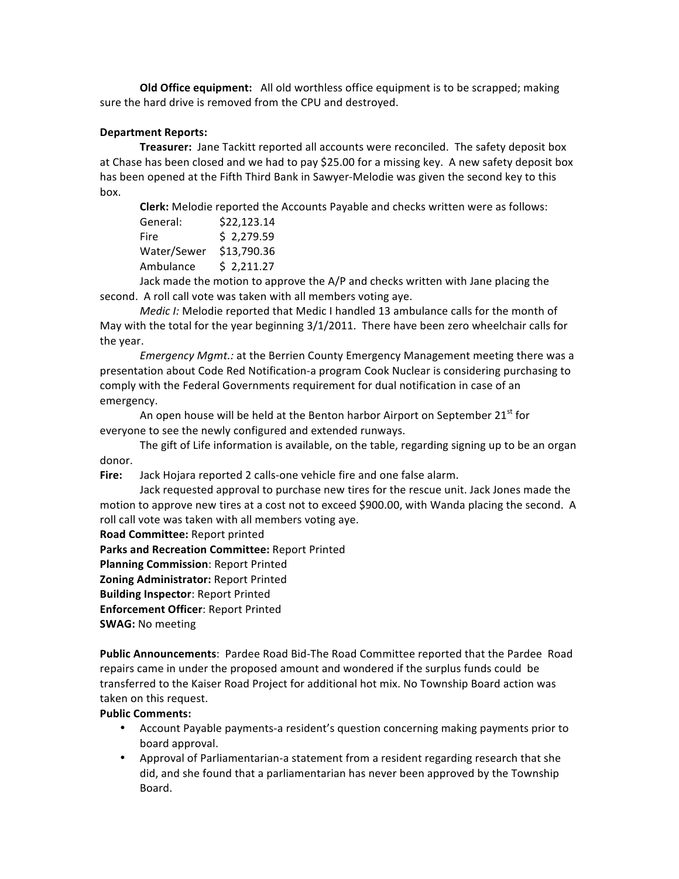**Old Office equipment:** All old worthless office equipment is to be scrapped; making sure the hard drive is removed from the CPU and destroyed.

#### **Department Reports:**

Treasurer: Jane Tackitt reported all accounts were reconciled. The safety deposit box at Chase has been closed and we had to pay \$25.00 for a missing key. A new safety deposit box has been opened at the Fifth Third Bank in Sawyer-Melodie was given the second key to this box.

**Clerk:** Melodie reported the Accounts Payable and checks written were as follows: General: \$22,123.14  $Fira$   $\zeta$   $\zeta$   $\zeta$   $\zeta$   $\zeta$   $\zeta$   $\zeta$   $\zeta$ 

| .           | ر ت.ر ، ے, ے ب |
|-------------|----------------|
| Water/Sewer | \$13,790.36    |
| Ambulance   | \$2,211.27     |

Jack made the motion to approve the A/P and checks written with Jane placing the second. A roll call vote was taken with all members voting aye.

*Medic I:* Melodie reported that Medic I handled 13 ambulance calls for the month of May with the total for the year beginning 3/1/2011. There have been zero wheelchair calls for the year.

*Emergency Mgmt.:* at the Berrien County Emergency Management meeting there was a presentation about Code Red Notification-a program Cook Nuclear is considering purchasing to comply with the Federal Governments requirement for dual notification in case of an emergency.

An open house will be held at the Benton harbor Airport on September  $21^{st}$  for everyone to see the newly configured and extended runways.

The gift of Life information is available, on the table, regarding signing up to be an organ donor.

**Fire:** Jack Hojara reported 2 calls-one vehicle fire and one false alarm.

Jack requested approval to purchase new tires for the rescue unit. Jack Jones made the motion to approve new tires at a cost not to exceed \$900.00, with Wanda placing the second. A roll call vote was taken with all members voting aye.

**Road Committee: Report printed** 

Parks and Recreation Committee: Report Printed

**Planning Commission: Report Printed** 

**Zoning Administrator: Report Printed** 

**Building Inspector:** Report Printed

**Enforcement Officer: Report Printed** 

**SWAG:** No meeting

Public Announcements: Pardee Road Bid-The Road Committee reported that the Pardee Road repairs came in under the proposed amount and wondered if the surplus funds could be transferred to the Kaiser Road Project for additional hot mix. No Township Board action was taken on this request.

#### **Public Comments:**

- Account Payable payments-a resident's question concerning making payments prior to board approval.
- Approval of Parliamentarian-a statement from a resident regarding research that she did, and she found that a parliamentarian has never been approved by the Township Board.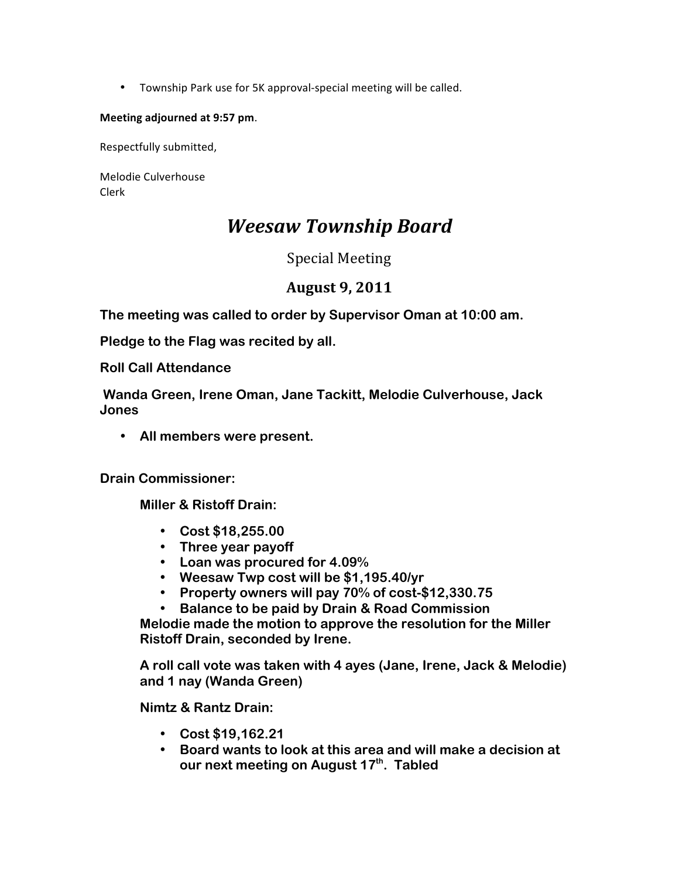• Township Park use for 5K approval-special meeting will be called.

#### **Meeting adjourned at 9:57 pm**.

Respectfully submitted,

Melodie Culverhouse Clerk

# *Weesaw Township Board*

Special Meeting

## **August 9, 2011**

**The meeting was called to order by Supervisor Oman at 10:00 am.**

**Pledge to the Flag was recited by all.**

**Roll Call Attendance**

 **Wanda Green, Irene Oman, Jane Tackitt, Melodie Culverhouse, Jack Jones**

• **All members were present.**

**Drain Commissioner:**

**Miller & Ristoff Drain:**

- **Cost \$18,255.00**
- **Three year payoff**
- **Loan was procured for 4.09%**
- **Weesaw Twp cost will be \$1,195.40/yr**
- **Property owners will pay 70% of cost-\$12,330.75**
- **Balance to be paid by Drain & Road Commission**

**Melodie made the motion to approve the resolution for the Miller Ristoff Drain, seconded by Irene.**

**A roll call vote was taken with 4 ayes (Jane, Irene, Jack & Melodie) and 1 nay (Wanda Green)**

**Nimtz & Rantz Drain:** 

- **Cost \$19,162.21**
- **Board wants to look at this area and will make a decision at**  our next meeting on August 17<sup>th</sup>. Tabled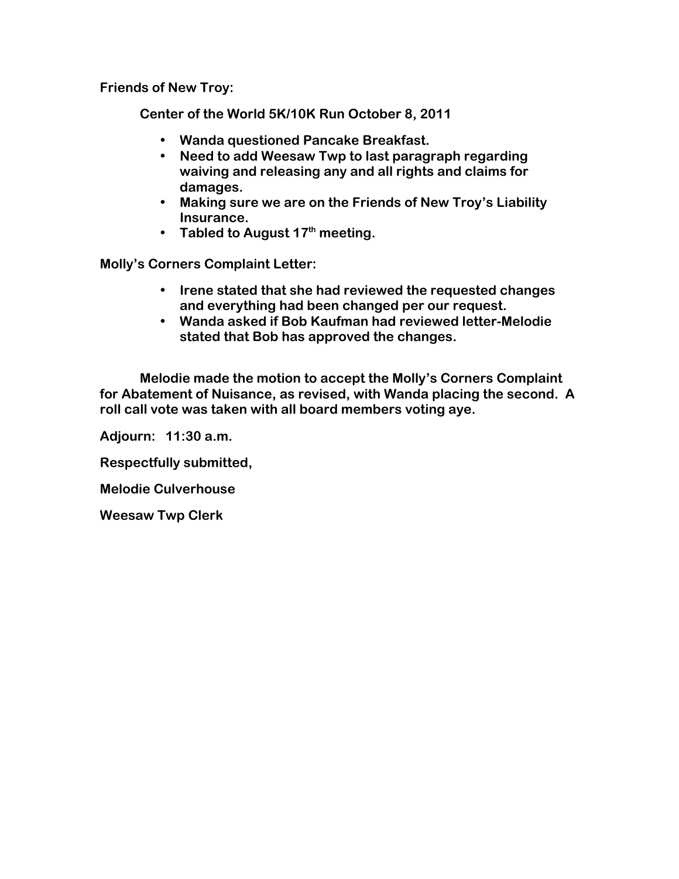**Friends of New Troy:**

**Center of the World 5K/10K Run October 8, 2011**

- **Wanda questioned Pancake Breakfast.**
- **Need to add Weesaw Twp to last paragraph regarding waiving and releasing any and all rights and claims for damages.**
- **Making sure we are on the Friends of New Troy's Liability Insurance.**
- Tabled to August 17<sup>th</sup> meeting.

**Molly's Corners Complaint Letter:**

- **Irene stated that she had reviewed the requested changes and everything had been changed per our request.**
- **Wanda asked if Bob Kaufman had reviewed letter-Melodie stated that Bob has approved the changes.**

**Melodie made the motion to accept the Molly's Corners Complaint for Abatement of Nuisance, as revised, with Wanda placing the second. A roll call vote was taken with all board members voting aye.**

**Adjourn: 11:30 a.m.**

**Respectfully submitted,**

**Melodie Culverhouse**

**Weesaw Twp Clerk**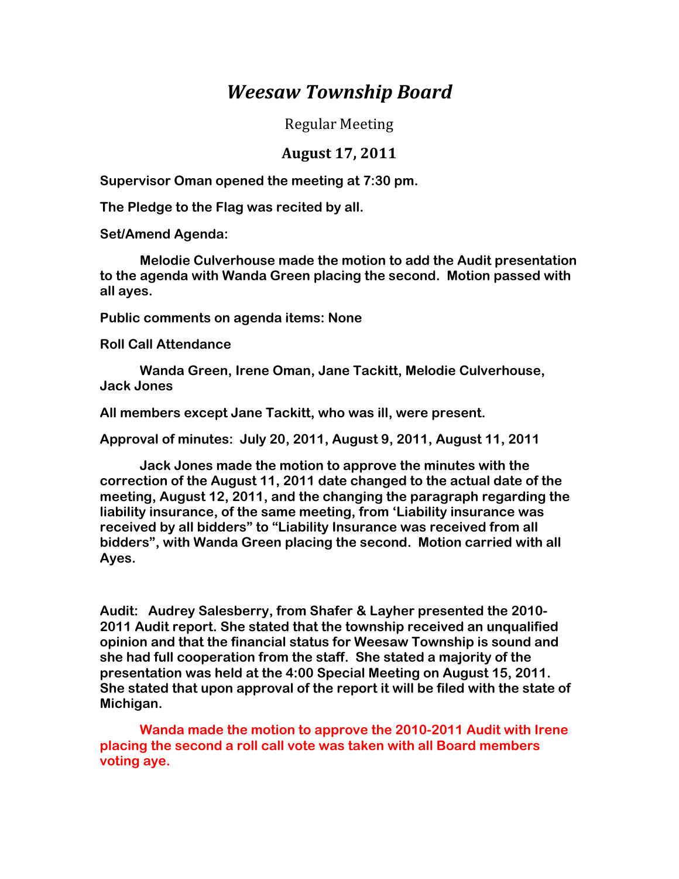# *Weesaw Township Board*

Regular Meeting

## **August 17, 2011**

**Supervisor Oman opened the meeting at 7:30 pm.**

**The Pledge to the Flag was recited by all.**

**Set/Amend Agenda:**

**Melodie Culverhouse made the motion to add the Audit presentation to the agenda with Wanda Green placing the second. Motion passed with all ayes.**

**Public comments on agenda items: None**

**Roll Call Attendance**

**Wanda Green, Irene Oman, Jane Tackitt, Melodie Culverhouse, Jack Jones**

**All members except Jane Tackitt, who was ill, were present.**

**Approval of minutes: July 20, 2011, August 9, 2011, August 11, 2011**

**Jack Jones made the motion to approve the minutes with the correction of the August 11, 2011 date changed to the actual date of the meeting, August 12, 2011, and the changing the paragraph regarding the liability insurance, of the same meeting, from 'Liability insurance was received by all bidders" to "Liability Insurance was received from all bidders", with Wanda Green placing the second. Motion carried with all Ayes.**

**Audit: Audrey Salesberry, from Shafer & Layher presented the 2010- 2011 Audit report. She stated that the township received an unqualified opinion and that the financial status for Weesaw Township is sound and she had full cooperation from the staff. She stated a majority of the presentation was held at the 4:00 Special Meeting on August 15, 2011. She stated that upon approval of the report it will be filed with the state of Michigan.**

**Wanda made the motion to approve the 2010-2011 Audit with Irene placing the second a roll call vote was taken with all Board members voting aye.**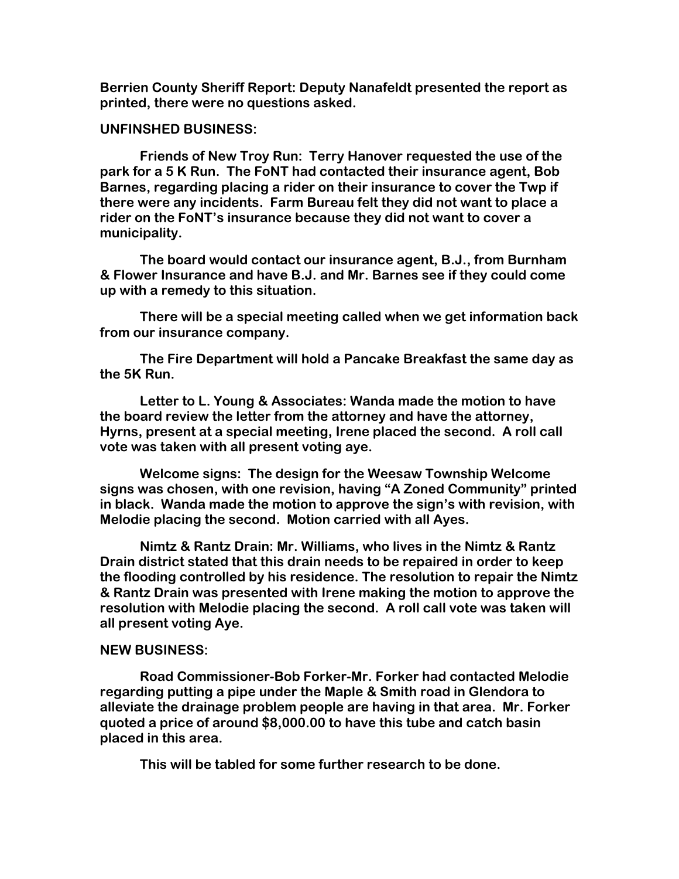**Berrien County Sheriff Report: Deputy Nanafeldt presented the report as printed, there were no questions asked.**

#### **UNFINSHED BUSINESS:**

**Friends of New Troy Run: Terry Hanover requested the use of the park for a 5 K Run. The FoNT had contacted their insurance agent, Bob Barnes, regarding placing a rider on their insurance to cover the Twp if there were any incidents. Farm Bureau felt they did not want to place a rider on the FoNT's insurance because they did not want to cover a municipality.**

**The board would contact our insurance agent, B.J., from Burnham & Flower Insurance and have B.J. and Mr. Barnes see if they could come up with a remedy to this situation.**

**There will be a special meeting called when we get information back from our insurance company.**

**The Fire Department will hold a Pancake Breakfast the same day as the 5K Run.**

**Letter to L. Young & Associates: Wanda made the motion to have the board review the letter from the attorney and have the attorney, Hyrns, present at a special meeting, Irene placed the second. A roll call vote was taken with all present voting aye.**

**Welcome signs: The design for the Weesaw Township Welcome signs was chosen, with one revision, having "A Zoned Community" printed in black. Wanda made the motion to approve the sign's with revision, with Melodie placing the second. Motion carried with all Ayes.**

**Nimtz & Rantz Drain: Mr. Williams, who lives in the Nimtz & Rantz Drain district stated that this drain needs to be repaired in order to keep the flooding controlled by his residence. The resolution to repair the Nimtz & Rantz Drain was presented with Irene making the motion to approve the resolution with Melodie placing the second. A roll call vote was taken will all present voting Aye.**

#### **NEW BUSINESS:**

**Road Commissioner-Bob Forker-Mr. Forker had contacted Melodie regarding putting a pipe under the Maple & Smith road in Glendora to alleviate the drainage problem people are having in that area. Mr. Forker quoted a price of around \$8,000.00 to have this tube and catch basin placed in this area.** 

**This will be tabled for some further research to be done.**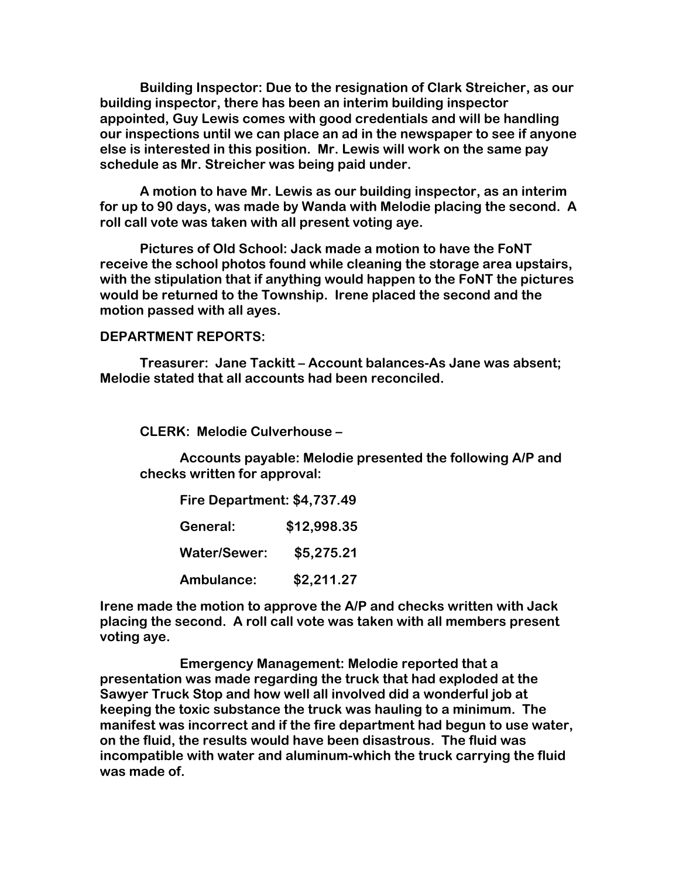**Building Inspector: Due to the resignation of Clark Streicher, as our building inspector, there has been an interim building inspector appointed, Guy Lewis comes with good credentials and will be handling our inspections until we can place an ad in the newspaper to see if anyone else is interested in this position. Mr. Lewis will work on the same pay schedule as Mr. Streicher was being paid under.** 

**A motion to have Mr. Lewis as our building inspector, as an interim for up to 90 days, was made by Wanda with Melodie placing the second. A roll call vote was taken with all present voting aye.**

**Pictures of Old School: Jack made a motion to have the FoNT receive the school photos found while cleaning the storage area upstairs, with the stipulation that if anything would happen to the FoNT the pictures would be returned to the Township. Irene placed the second and the motion passed with all ayes.**

#### **DEPARTMENT REPORTS:**

**Treasurer: Jane Tackitt – Account balances-As Jane was absent; Melodie stated that all accounts had been reconciled.**

**CLERK: Melodie Culverhouse –**

**Accounts payable: Melodie presented the following A/P and checks written for approval:**

| Fire Department: \$4,737.49 |             |
|-----------------------------|-------------|
| General:                    | \$12,998.35 |
| <b>Water/Sewer:</b>         | \$5,275.21  |
| Ambulance:                  | \$2,211.27  |

**Irene made the motion to approve the A/P and checks written with Jack placing the second. A roll call vote was taken with all members present voting aye.**

**Emergency Management: Melodie reported that a presentation was made regarding the truck that had exploded at the Sawyer Truck Stop and how well all involved did a wonderful job at keeping the toxic substance the truck was hauling to a minimum. The manifest was incorrect and if the fire department had begun to use water, on the fluid, the results would have been disastrous. The fluid was incompatible with water and aluminum-which the truck carrying the fluid was made of.**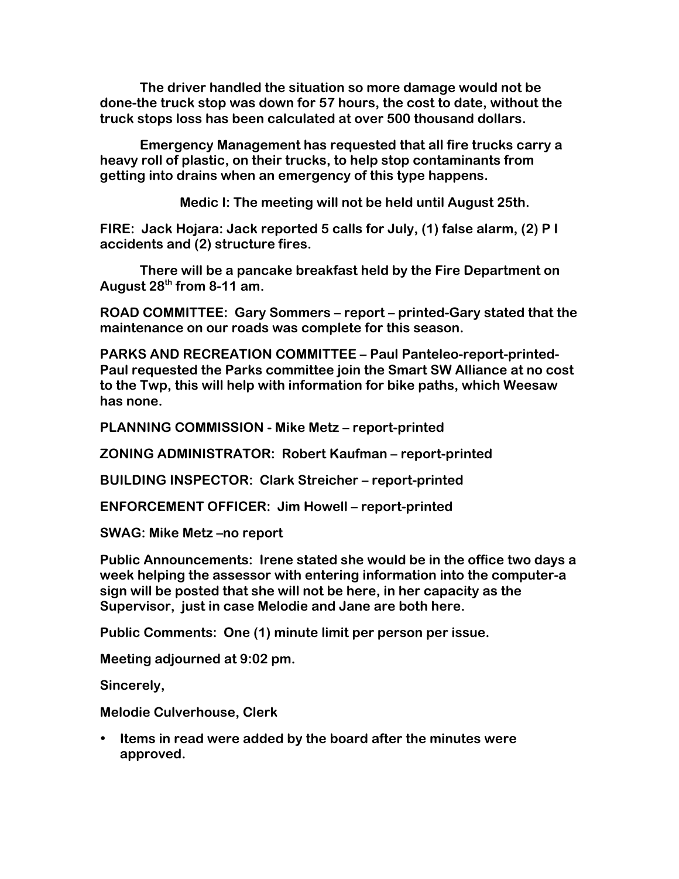**The driver handled the situation so more damage would not be done-the truck stop was down for 57 hours, the cost to date, without the truck stops loss has been calculated at over 500 thousand dollars.**

**Emergency Management has requested that all fire trucks carry a heavy roll of plastic, on their trucks, to help stop contaminants from getting into drains when an emergency of this type happens.**

**Medic I: The meeting will not be held until August 25th.**

**FIRE: Jack Hojara: Jack reported 5 calls for July, (1) false alarm, (2) P I accidents and (2) structure fires.** 

**There will be a pancake breakfast held by the Fire Department on August 28th from 8-11 am.**

**ROAD COMMITTEE: Gary Sommers – report – printed-Gary stated that the maintenance on our roads was complete for this season.**

**PARKS AND RECREATION COMMITTEE – Paul Panteleo-report-printed-Paul requested the Parks committee join the Smart SW Alliance at no cost to the Twp, this will help with information for bike paths, which Weesaw has none.** 

**PLANNING COMMISSION - Mike Metz – report-printed**

**ZONING ADMINISTRATOR: Robert Kaufman – report-printed**

**BUILDING INSPECTOR: Clark Streicher – report-printed**

**ENFORCEMENT OFFICER: Jim Howell – report-printed**

**SWAG: Mike Metz –no report**

**Public Announcements: Irene stated she would be in the office two days a week helping the assessor with entering information into the computer-a sign will be posted that she will not be here, in her capacity as the Supervisor, just in case Melodie and Jane are both here.** 

**Public Comments: One (1) minute limit per person per issue.**

**Meeting adjourned at 9:02 pm.**

**Sincerely,**

**Melodie Culverhouse, Clerk**

• **Items in read were added by the board after the minutes were approved.**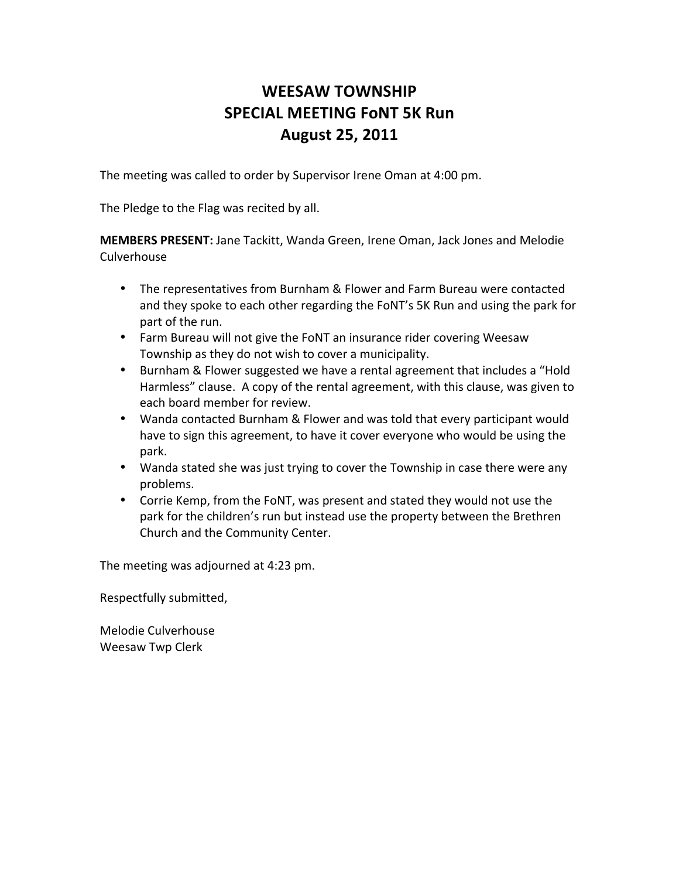# **WEESAW TOWNSHIP SPECIAL MEETING FONT 5K Run August 25, 2011**

The meeting was called to order by Supervisor Irene Oman at 4:00 pm.

The Pledge to the Flag was recited by all.

**MEMBERS PRESENT:** Jane Tackitt, Wanda Green, Irene Oman, Jack Jones and Melodie **Culverhouse** 

- The representatives from Burnham & Flower and Farm Bureau were contacted and they spoke to each other regarding the FoNT's 5K Run and using the park for part of the run.
- Farm Bureau will not give the FoNT an insurance rider covering Weesaw Township as they do not wish to cover a municipality.
- Burnham & Flower suggested we have a rental agreement that includes a "Hold Harmless" clause. A copy of the rental agreement, with this clause, was given to each board member for review.
- Wanda contacted Burnham & Flower and was told that every participant would have to sign this agreement, to have it cover everyone who would be using the park.
- Wanda stated she was just trying to cover the Township in case there were any problems.
- Corrie Kemp, from the FoNT, was present and stated they would not use the park for the children's run but instead use the property between the Brethren Church and the Community Center.

The meeting was adjourned at 4:23 pm.

Respectfully submitted,

Melodie Culverhouse Weesaw Twp Clerk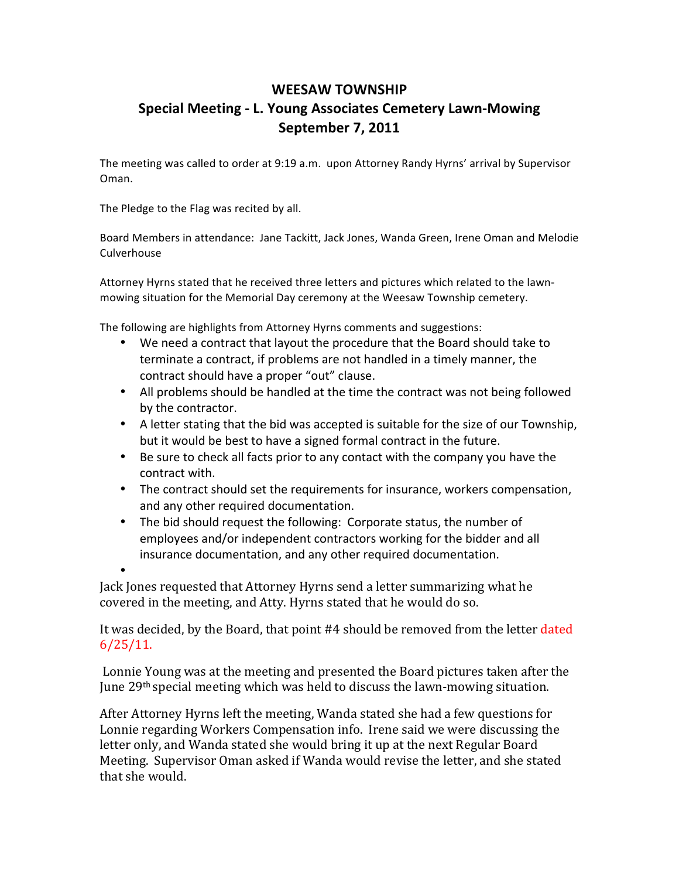# **WEESAW TOWNSHIP Special Meeting - L. Young Associates Cemetery Lawn-Mowing September 7, 2011**

The meeting was called to order at 9:19 a.m. upon Attorney Randy Hyrns' arrival by Supervisor Oman.

The Pledge to the Flag was recited by all.

Board Members in attendance: Jane Tackitt, Jack Jones, Wanda Green, Irene Oman and Melodie Culverhouse

Attorney Hyrns stated that he received three letters and pictures which related to the lawnmowing situation for the Memorial Day ceremony at the Weesaw Township cemetery.

The following are highlights from Attorney Hyrns comments and suggestions:

- We need a contract that layout the procedure that the Board should take to terminate a contract, if problems are not handled in a timely manner, the contract should have a proper "out" clause.
- All problems should be handled at the time the contract was not being followed by the contractor.
- A letter stating that the bid was accepted is suitable for the size of our Township, but it would be best to have a signed formal contract in the future.
- Be sure to check all facts prior to any contact with the company you have the contract with.
- The contract should set the requirements for insurance, workers compensation, and any other required documentation.
- The bid should request the following: Corporate status, the number of employees and/or independent contractors working for the bidder and all insurance documentation, and any other required documentation.

• Jack Jones requested that Attorney Hyrns send a letter summarizing what he covered in the meeting, and Atty. Hyrns stated that he would do so.

It was decided, by the Board, that point #4 should be removed from the letter dated 6/25/11.

Lonnie Young was at the meeting and presented the Board pictures taken after the June 29<sup>th</sup> special meeting which was held to discuss the lawn-mowing situation.

After Attorney Hyrns left the meeting, Wanda stated she had a few questions for Lonnie regarding Workers Compensation info. Irene said we were discussing the letter only, and Wanda stated she would bring it up at the next Regular Board Meeting. Supervisor Oman asked if Wanda would revise the letter, and she stated that she would.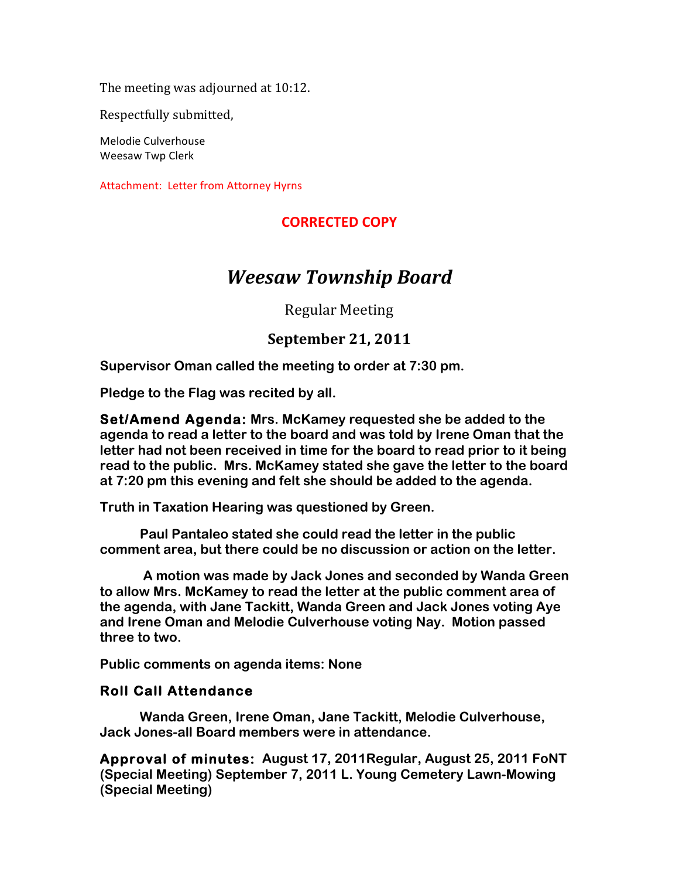The meeting was adjourned at 10:12.

Respectfully submitted,

Melodie Culverhouse Weesaw Twp Clerk

Attachment: Letter from Attorney Hyrns

## **CORRECTED COPY**

# *Weesaw Township Board*

Regular Meeting

## **September 21, 2011**

**Supervisor Oman called the meeting to order at 7:30 pm.**

**Pledge to the Flag was recited by all.**

**Set/Amend Agenda: Mrs. McKamey requested she be added to the agenda to read a letter to the board and was told by Irene Oman that the letter had not been received in time for the board to read prior to it being read to the public. Mrs. McKamey stated she gave the letter to the board at 7:20 pm this evening and felt she should be added to the agenda.**

**Truth in Taxation Hearing was questioned by Green.**

**Paul Pantaleo stated she could read the letter in the public comment area, but there could be no discussion or action on the letter.**

 **A motion was made by Jack Jones and seconded by Wanda Green to allow Mrs. McKamey to read the letter at the public comment area of the agenda, with Jane Tackitt, Wanda Green and Jack Jones voting Aye and Irene Oman and Melodie Culverhouse voting Nay. Motion passed three to two.**

**Public comments on agenda items: None**

### **Roll Call Attendance**

**Wanda Green, Irene Oman, Jane Tackitt, Melodie Culverhouse, Jack Jones-all Board members were in attendance.**

**Approval of minutes: August 17, 2011Regular, August 25, 2011 FoNT (Special Meeting) September 7, 2011 L. Young Cemetery Lawn-Mowing (Special Meeting)**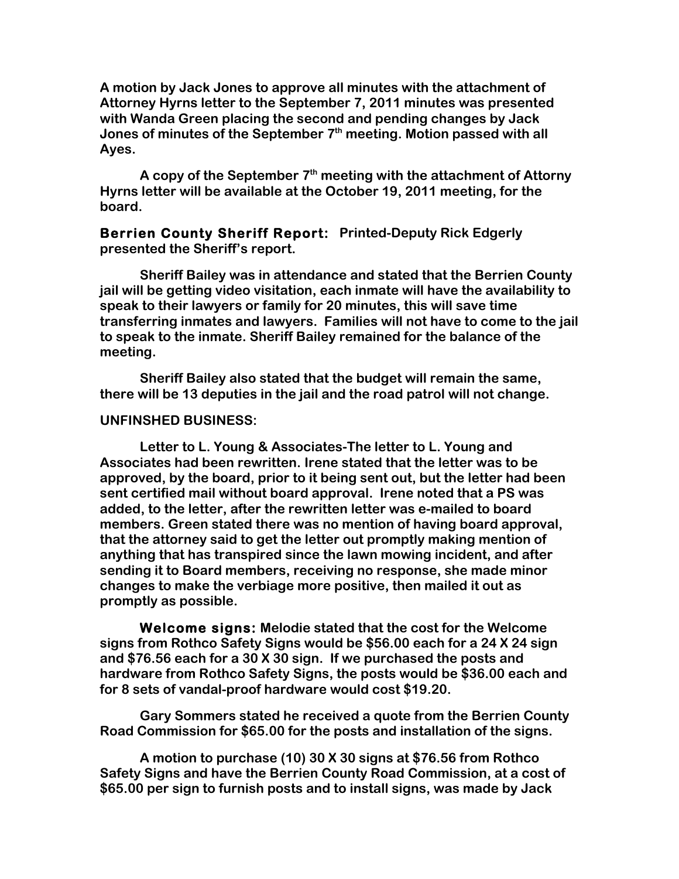**A motion by Jack Jones to approve all minutes with the attachment of Attorney Hyrns letter to the September 7, 2011 minutes was presented with Wanda Green placing the second and pending changes by Jack**  Jones of minutes of the September 7<sup>th</sup> meeting. Motion passed with all **Ayes.**

**A copy of the September 7th meeting with the attachment of Attorny Hyrns letter will be available at the October 19, 2011 meeting, for the board.**

**Berrien County Sheriff Report: Printed-Deputy Rick Edgerly presented the Sheriff's report.** 

**Sheriff Bailey was in attendance and stated that the Berrien County jail will be getting video visitation, each inmate will have the availability to speak to their lawyers or family for 20 minutes, this will save time transferring inmates and lawyers. Families will not have to come to the jail to speak to the inmate. Sheriff Bailey remained for the balance of the meeting.**

**Sheriff Bailey also stated that the budget will remain the same, there will be 13 deputies in the jail and the road patrol will not change.**

#### **UNFINSHED BUSINESS:**

**Letter to L. Young & Associates-The letter to L. Young and Associates had been rewritten. Irene stated that the letter was to be approved, by the board, prior to it being sent out, but the letter had been sent certified mail without board approval. Irene noted that a PS was added, to the letter, after the rewritten letter was e-mailed to board members. Green stated there was no mention of having board approval, that the attorney said to get the letter out promptly making mention of anything that has transpired since the lawn mowing incident, and after sending it to Board members, receiving no response, she made minor changes to make the verbiage more positive, then mailed it out as promptly as possible.**

**Welcome signs: Melodie stated that the cost for the Welcome signs from Rothco Safety Signs would be \$56.00 each for a 24 X 24 sign and \$76.56 each for a 30 X 30 sign. If we purchased the posts and hardware from Rothco Safety Signs, the posts would be \$36.00 each and for 8 sets of vandal-proof hardware would cost \$19.20.**

**Gary Sommers stated he received a quote from the Berrien County Road Commission for \$65.00 for the posts and installation of the signs.**

**A motion to purchase (10) 30 X 30 signs at \$76.56 from Rothco Safety Signs and have the Berrien County Road Commission, at a cost of \$65.00 per sign to furnish posts and to install signs, was made by Jack**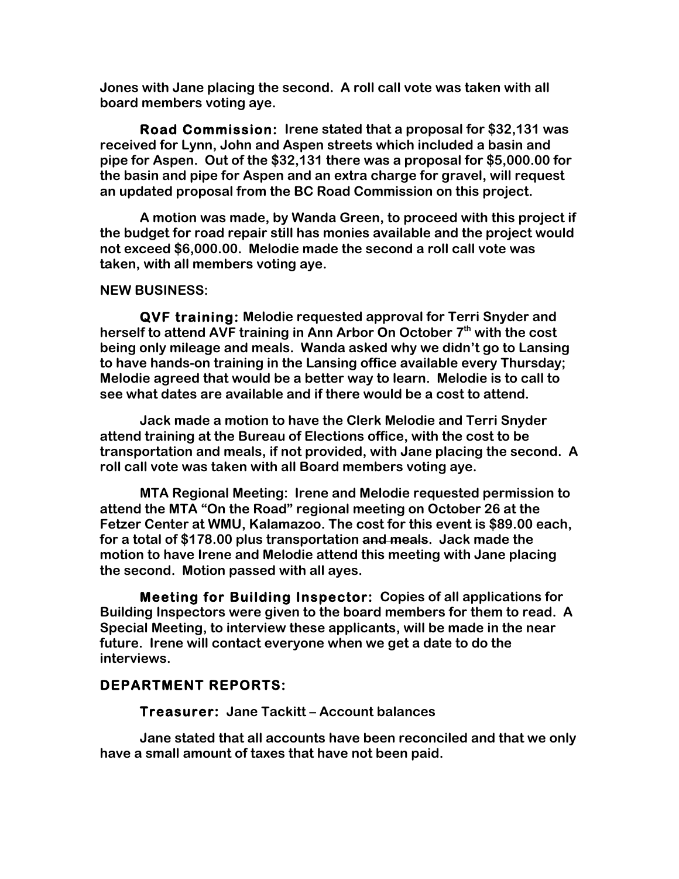**Jones with Jane placing the second. A roll call vote was taken with all board members voting aye.**

**Road Commission: Irene stated that a proposal for \$32,131 was received for Lynn, John and Aspen streets which included a basin and pipe for Aspen. Out of the \$32,131 there was a proposal for \$5,000.00 for the basin and pipe for Aspen and an extra charge for gravel, will request an updated proposal from the BC Road Commission on this project.**

**A motion was made, by Wanda Green, to proceed with this project if the budget for road repair still has monies available and the project would not exceed \$6,000.00. Melodie made the second a roll call vote was taken, with all members voting aye.**

#### **NEW BUSINESS:**

**QVF training: Melodie requested approval for Terri Snyder and herself to attend AVF training in Ann Arbor On October 7th with the cost being only mileage and meals. Wanda asked why we didn't go to Lansing to have hands-on training in the Lansing office available every Thursday; Melodie agreed that would be a better way to learn. Melodie is to call to see what dates are available and if there would be a cost to attend.**

**Jack made a motion to have the Clerk Melodie and Terri Snyder attend training at the Bureau of Elections office, with the cost to be transportation and meals, if not provided, with Jane placing the second. A roll call vote was taken with all Board members voting aye.**

**MTA Regional Meeting: Irene and Melodie requested permission to attend the MTA "On the Road" regional meeting on October 26 at the Fetzer Center at WMU, Kalamazoo. The cost for this event is \$89.00 each, for a total of \$178.00 plus transportation and meals. Jack made the motion to have Irene and Melodie attend this meeting with Jane placing the second. Motion passed with all ayes.**

**Meeting for Building Inspector: Copies of all applications for Building Inspectors were given to the board members for them to read. A Special Meeting, to interview these applicants, will be made in the near future. Irene will contact everyone when we get a date to do the interviews.**

### **DEPARTMENT REPORTS:**

**Treasurer: Jane Tackitt – Account balances**

**Jane stated that all accounts have been reconciled and that we only have a small amount of taxes that have not been paid.**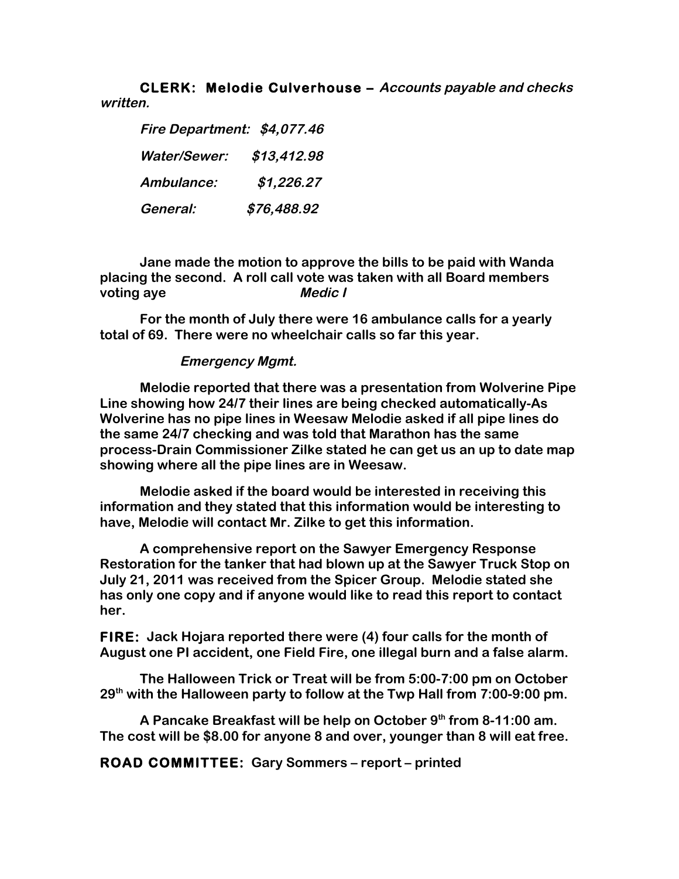**CLERK: Melodie Culverhouse – Accounts payable and checks written.**

| Fire Department: \$4,077.46 |             |
|-----------------------------|-------------|
| <b>Water/Sewer:</b>         | \$13,412.98 |
| Ambulance:                  | \$1,226.27  |
| General:                    | \$76,488.92 |

**Jane made the motion to approve the bills to be paid with Wanda placing the second. A roll call vote was taken with all Board members voting aye Medic I**

**For the month of July there were 16 ambulance calls for a yearly total of 69. There were no wheelchair calls so far this year.**

### **Emergency Mgmt.**

**Melodie reported that there was a presentation from Wolverine Pipe Line showing how 24/7 their lines are being checked automatically-As Wolverine has no pipe lines in Weesaw Melodie asked if all pipe lines do the same 24/7 checking and was told that Marathon has the same process-Drain Commissioner Zilke stated he can get us an up to date map showing where all the pipe lines are in Weesaw.** 

**Melodie asked if the board would be interested in receiving this information and they stated that this information would be interesting to have, Melodie will contact Mr. Zilke to get this information.**

**A comprehensive report on the Sawyer Emergency Response Restoration for the tanker that had blown up at the Sawyer Truck Stop on July 21, 2011 was received from the Spicer Group. Melodie stated she has only one copy and if anyone would like to read this report to contact her.**

**FIRE: Jack Hojara reported there were (4) four calls for the month of August one PI accident, one Field Fire, one illegal burn and a false alarm.**

**The Halloween Trick or Treat will be from 5:00-7:00 pm on October 29th with the Halloween party to follow at the Twp Hall from 7:00-9:00 pm.**

A Pancake Breakfast will be help on October 9<sup>th</sup> from 8-11:00 am. **The cost will be \$8.00 for anyone 8 and over, younger than 8 will eat free.**

**ROAD COMMITTEE: Gary Sommers – report – printed**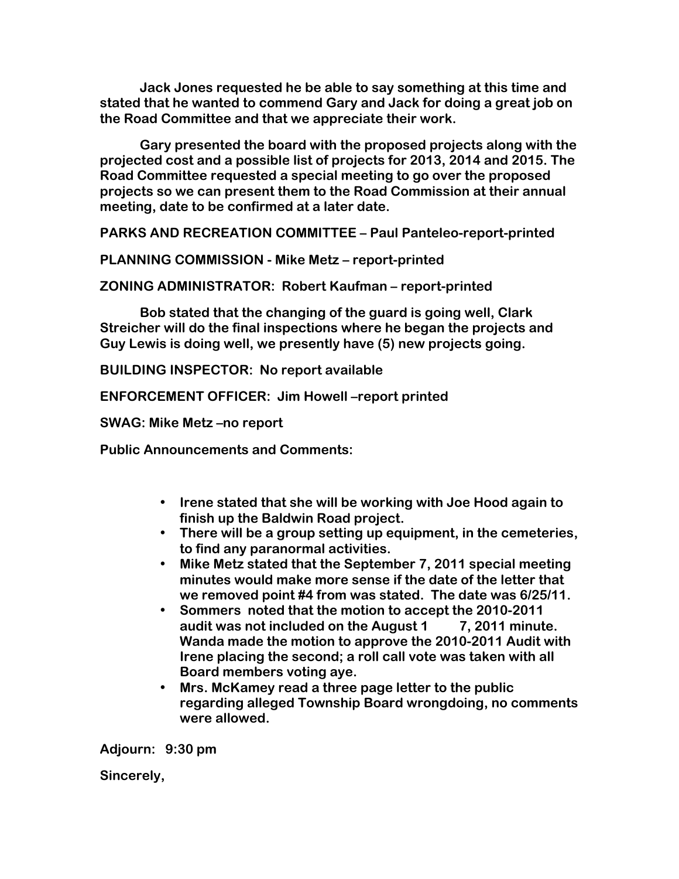**Jack Jones requested he be able to say something at this time and stated that he wanted to commend Gary and Jack for doing a great job on the Road Committee and that we appreciate their work.**

**Gary presented the board with the proposed projects along with the projected cost and a possible list of projects for 2013, 2014 and 2015. The Road Committee requested a special meeting to go over the proposed projects so we can present them to the Road Commission at their annual meeting, date to be confirmed at a later date.**

**PARKS AND RECREATION COMMITTEE – Paul Panteleo-report-printed**

**PLANNING COMMISSION - Mike Metz – report-printed**

**ZONING ADMINISTRATOR: Robert Kaufman – report-printed**

**Bob stated that the changing of the guard is going well, Clark Streicher will do the final inspections where he began the projects and Guy Lewis is doing well, we presently have (5) new projects going.**

**BUILDING INSPECTOR: No report available**

**ENFORCEMENT OFFICER: Jim Howell –report printed**

**SWAG: Mike Metz –no report**

**Public Announcements and Comments:** 

- **Irene stated that she will be working with Joe Hood again to finish up the Baldwin Road project.**
- **There will be a group setting up equipment, in the cemeteries, to find any paranormal activities.**
- **Mike Metz stated that the September 7, 2011 special meeting minutes would make more sense if the date of the letter that we removed point #4 from was stated. The date was 6/25/11.**
- **Sommers noted that the motion to accept the 2010-2011 audit was not included on the August 1 7, 2011 minute. Wanda made the motion to approve the 2010-2011 Audit with Irene placing the second; a roll call vote was taken with all Board members voting aye.**
- **Mrs. McKamey read a three page letter to the public regarding alleged Township Board wrongdoing, no comments were allowed.**

**Adjourn: 9:30 pm**

**Sincerely,**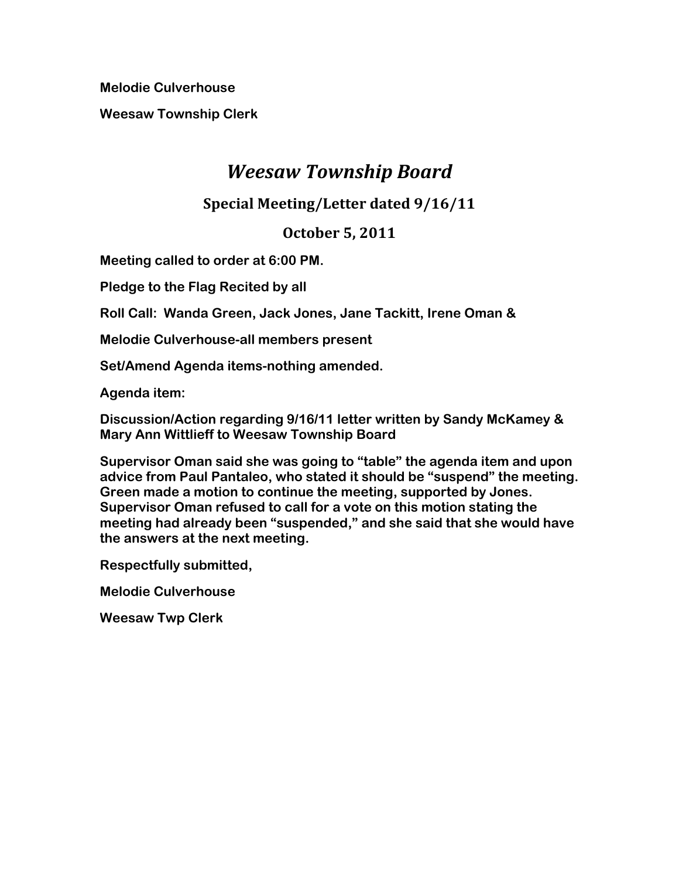**Melodie Culverhouse**

**Weesaw Township Clerk**

# *Weesaw Township Board*

# **Special Meeting/Letter dated 9/16/11**

## **October 5, 2011**

**Meeting called to order at 6:00 PM.**

**Pledge to the Flag Recited by all**

**Roll Call: Wanda Green, Jack Jones, Jane Tackitt, Irene Oman &** 

**Melodie Culverhouse-all members present**

**Set/Amend Agenda items-nothing amended.**

**Agenda item:**

**Discussion/Action regarding 9/16/11 letter written by Sandy McKamey & Mary Ann Wittlieff to Weesaw Township Board**

**Supervisor Oman said she was going to "table" the agenda item and upon advice from Paul Pantaleo, who stated it should be "suspend" the meeting. Green made a motion to continue the meeting, supported by Jones. Supervisor Oman refused to call for a vote on this motion stating the meeting had already been "suspended," and she said that she would have the answers at the next meeting.**

**Respectfully submitted,**

**Melodie Culverhouse**

**Weesaw Twp Clerk**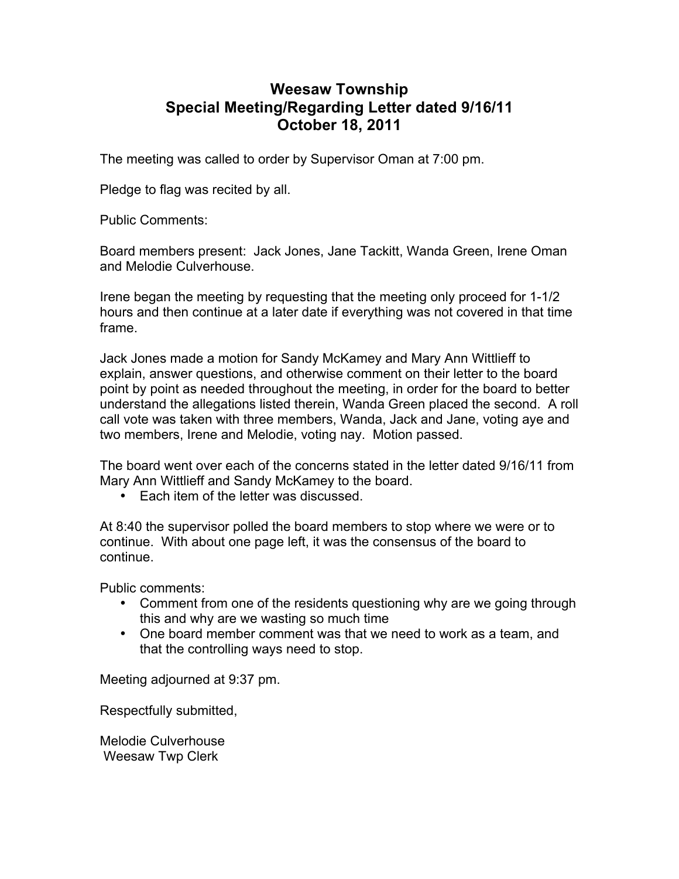# **Weesaw Township Special Meeting/Regarding Letter dated 9/16/11 October 18, 2011**

The meeting was called to order by Supervisor Oman at 7:00 pm.

Pledge to flag was recited by all.

Public Comments:

Board members present: Jack Jones, Jane Tackitt, Wanda Green, Irene Oman and Melodie Culverhouse.

Irene began the meeting by requesting that the meeting only proceed for 1-1/2 hours and then continue at a later date if everything was not covered in that time frame.

Jack Jones made a motion for Sandy McKamey and Mary Ann Wittlieff to explain, answer questions, and otherwise comment on their letter to the board point by point as needed throughout the meeting, in order for the board to better understand the allegations listed therein, Wanda Green placed the second. A roll call vote was taken with three members, Wanda, Jack and Jane, voting aye and two members, Irene and Melodie, voting nay. Motion passed.

The board went over each of the concerns stated in the letter dated 9/16/11 from Mary Ann Wittlieff and Sandy McKamey to the board.

• Each item of the letter was discussed.

At 8:40 the supervisor polled the board members to stop where we were or to continue. With about one page left, it was the consensus of the board to continue.

Public comments:

- Comment from one of the residents questioning why are we going through this and why are we wasting so much time
- One board member comment was that we need to work as a team, and that the controlling ways need to stop.

Meeting adjourned at 9:37 pm.

Respectfully submitted,

Melodie Culverhouse Weesaw Twp Clerk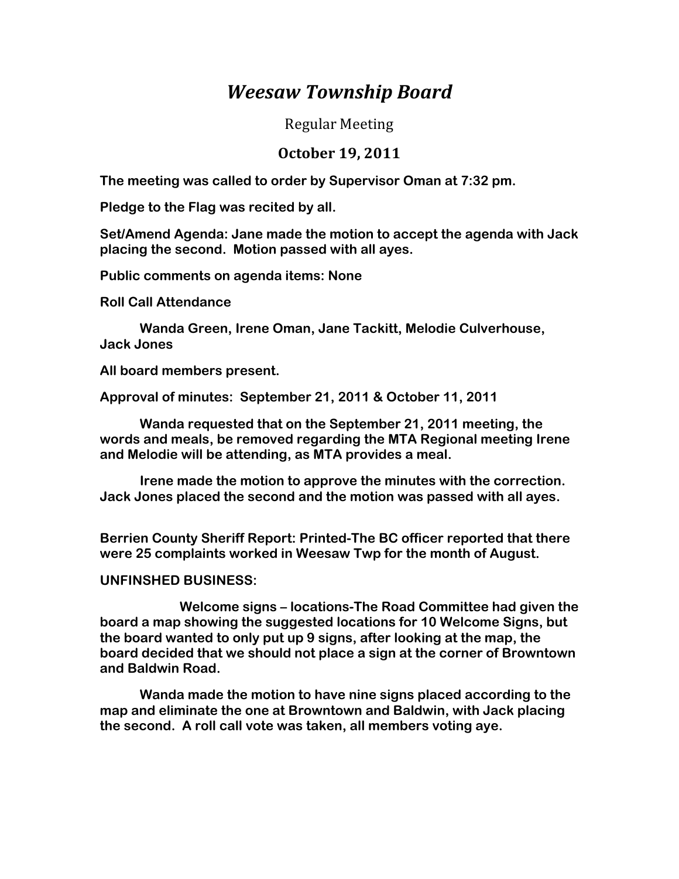# *Weesaw Township Board*

Regular Meeting

## **October 19, 2011**

**The meeting was called to order by Supervisor Oman at 7:32 pm.**

**Pledge to the Flag was recited by all.**

**Set/Amend Agenda: Jane made the motion to accept the agenda with Jack placing the second. Motion passed with all ayes.**

**Public comments on agenda items: None**

**Roll Call Attendance**

**Wanda Green, Irene Oman, Jane Tackitt, Melodie Culverhouse, Jack Jones**

**All board members present.**

**Approval of minutes: September 21, 2011 & October 11, 2011**

**Wanda requested that on the September 21, 2011 meeting, the words and meals, be removed regarding the MTA Regional meeting Irene and Melodie will be attending, as MTA provides a meal.**

**Irene made the motion to approve the minutes with the correction. Jack Jones placed the second and the motion was passed with all ayes.**

**Berrien County Sheriff Report: Printed-The BC officer reported that there were 25 complaints worked in Weesaw Twp for the month of August.**

#### **UNFINSHED BUSINESS:**

**Welcome signs – locations-The Road Committee had given the board a map showing the suggested locations for 10 Welcome Signs, but the board wanted to only put up 9 signs, after looking at the map, the board decided that we should not place a sign at the corner of Browntown and Baldwin Road.**

**Wanda made the motion to have nine signs placed according to the map and eliminate the one at Browntown and Baldwin, with Jack placing the second. A roll call vote was taken, all members voting aye.**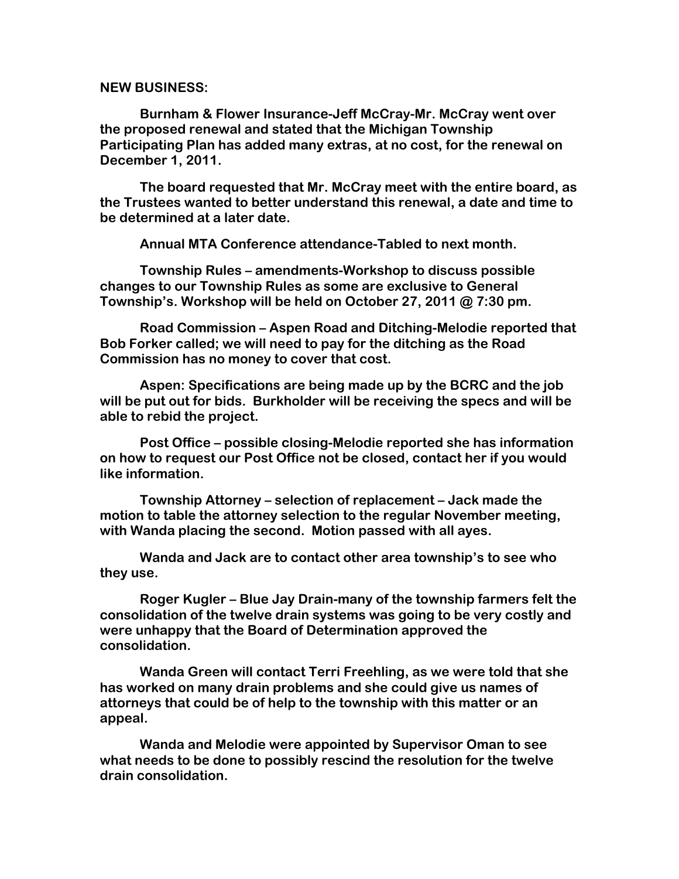#### **NEW BUSINESS:**

**Burnham & Flower Insurance-Jeff McCray-Mr. McCray went over the proposed renewal and stated that the Michigan Township Participating Plan has added many extras, at no cost, for the renewal on December 1, 2011.**

**The board requested that Mr. McCray meet with the entire board, as the Trustees wanted to better understand this renewal, a date and time to be determined at a later date.**

**Annual MTA Conference attendance-Tabled to next month.**

**Township Rules – amendments-Workshop to discuss possible changes to our Township Rules as some are exclusive to General Township's. Workshop will be held on October 27, 2011 @ 7:30 pm.**

**Road Commission – Aspen Road and Ditching-Melodie reported that Bob Forker called; we will need to pay for the ditching as the Road Commission has no money to cover that cost.** 

**Aspen: Specifications are being made up by the BCRC and the job will be put out for bids. Burkholder will be receiving the specs and will be able to rebid the project.**

**Post Office – possible closing-Melodie reported she has information on how to request our Post Office not be closed, contact her if you would like information.**

**Township Attorney – selection of replacement – Jack made the motion to table the attorney selection to the regular November meeting, with Wanda placing the second. Motion passed with all ayes.**

**Wanda and Jack are to contact other area township's to see who they use.**

**Roger Kugler – Blue Jay Drain-many of the township farmers felt the consolidation of the twelve drain systems was going to be very costly and were unhappy that the Board of Determination approved the consolidation.**

**Wanda Green will contact Terri Freehling, as we were told that she has worked on many drain problems and she could give us names of attorneys that could be of help to the township with this matter or an appeal.**

**Wanda and Melodie were appointed by Supervisor Oman to see what needs to be done to possibly rescind the resolution for the twelve drain consolidation.**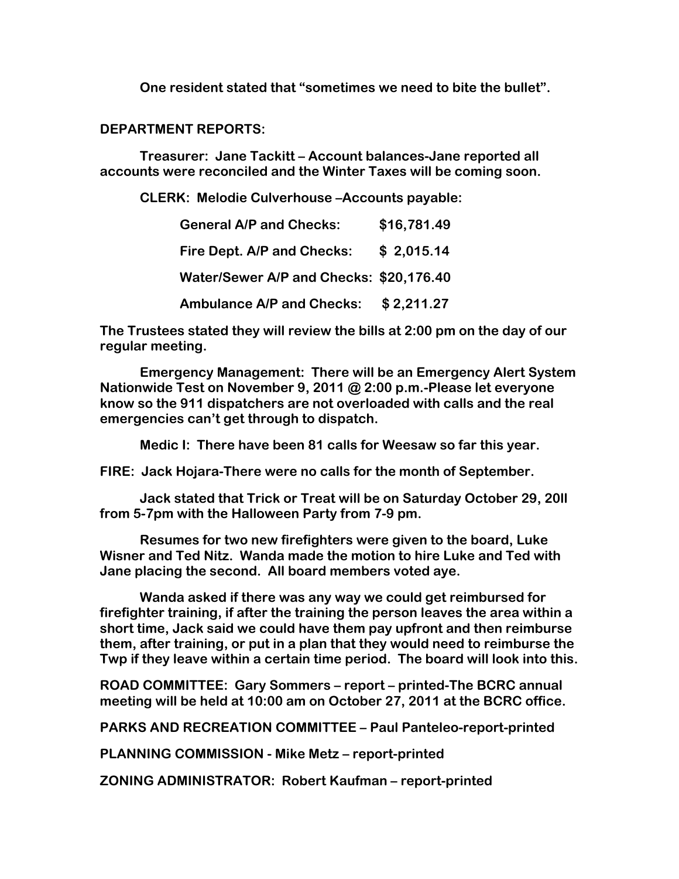**One resident stated that "sometimes we need to bite the bullet".**

### **DEPARTMENT REPORTS:**

**Treasurer: Jane Tackitt – Account balances-Jane reported all accounts were reconciled and the Winter Taxes will be coming soon.**

**CLERK: Melodie Culverhouse –Accounts payable:**

| <b>General A/P and Checks:</b>          | \$16,781.49 |
|-----------------------------------------|-------------|
| Fire Dept. A/P and Checks:              | \$2,015.14  |
| Water/Sewer A/P and Checks: \$20,176.40 |             |
| Ambulance A/P and Checks: \$2,211.27    |             |

**The Trustees stated they will review the bills at 2:00 pm on the day of our regular meeting.**

**Emergency Management: There will be an Emergency Alert System Nationwide Test on November 9, 2011 @ 2:00 p.m.-Please let everyone know so the 911 dispatchers are not overloaded with calls and the real emergencies can't get through to dispatch.**

**Medic I: There have been 81 calls for Weesaw so far this year.**

**FIRE: Jack Hojara-There were no calls for the month of September.** 

**Jack stated that Trick or Treat will be on Saturday October 29, 20ll from 5-7pm with the Halloween Party from 7-9 pm.**

**Resumes for two new firefighters were given to the board, Luke Wisner and Ted Nitz. Wanda made the motion to hire Luke and Ted with Jane placing the second. All board members voted aye.**

**Wanda asked if there was any way we could get reimbursed for firefighter training, if after the training the person leaves the area within a short time, Jack said we could have them pay upfront and then reimburse them, after training, or put in a plan that they would need to reimburse the Twp if they leave within a certain time period. The board will look into this.**

**ROAD COMMITTEE: Gary Sommers – report – printed-The BCRC annual meeting will be held at 10:00 am on October 27, 2011 at the BCRC office.** 

**PARKS AND RECREATION COMMITTEE – Paul Panteleo-report-printed**

**PLANNING COMMISSION - Mike Metz – report-printed**

**ZONING ADMINISTRATOR: Robert Kaufman – report-printed**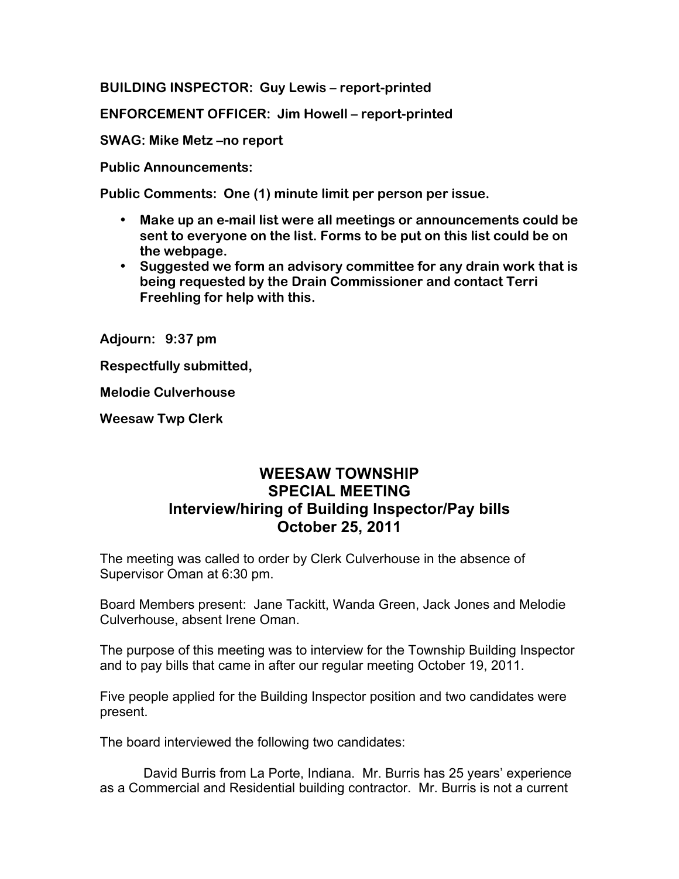### **BUILDING INSPECTOR: Guy Lewis – report-printed**

**ENFORCEMENT OFFICER: Jim Howell – report-printed**

**SWAG: Mike Metz –no report**

**Public Announcements:**

**Public Comments: One (1) minute limit per person per issue.**

- **Make up an e-mail list were all meetings or announcements could be sent to everyone on the list. Forms to be put on this list could be on the webpage.**
- **Suggested we form an advisory committee for any drain work that is being requested by the Drain Commissioner and contact Terri Freehling for help with this.**

**Adjourn: 9:37 pm**

**Respectfully submitted,**

**Melodie Culverhouse**

**Weesaw Twp Clerk**

# **WEESAW TOWNSHIP SPECIAL MEETING Interview/hiring of Building Inspector/Pay bills October 25, 2011**

The meeting was called to order by Clerk Culverhouse in the absence of Supervisor Oman at 6:30 pm.

Board Members present: Jane Tackitt, Wanda Green, Jack Jones and Melodie Culverhouse, absent Irene Oman.

The purpose of this meeting was to interview for the Township Building Inspector and to pay bills that came in after our regular meeting October 19, 2011.

Five people applied for the Building Inspector position and two candidates were present.

The board interviewed the following two candidates:

 David Burris from La Porte, Indiana. Mr. Burris has 25 years' experience as a Commercial and Residential building contractor. Mr. Burris is not a current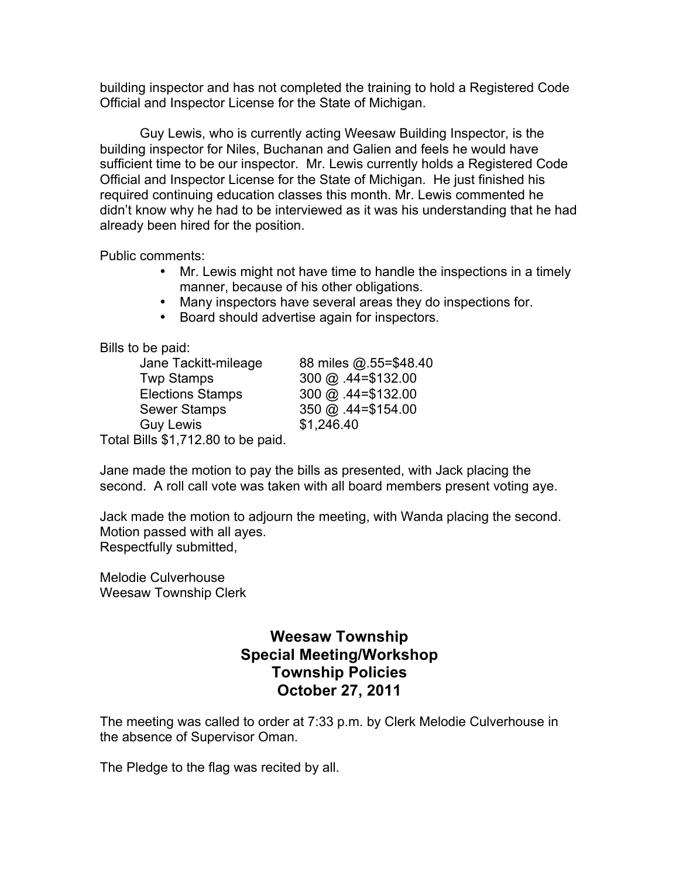building inspector and has not completed the training to hold a Registered Code Official and Inspector License for the State of Michigan.

Guy Lewis, who is currently acting Weesaw Building Inspector, is the building inspector for Niles, Buchanan and Galien and feels he would have sufficient time to be our inspector. Mr. Lewis currently holds a Registered Code Official and Inspector License for the State of Michigan. He just finished his required continuing education classes this month. Mr. Lewis commented he didn't know why he had to be interviewed as it was his understanding that he had already been hired for the position.

Public comments:

- Mr. Lewis might not have time to handle the inspections in a timely manner, because of his other obligations.
- Many inspectors have several areas they do inspections for.
- Board should advertise again for inspectors.

Bills to be paid:

| Jane Tackitt-mileage               | 88 miles @.55=\$48.40 |
|------------------------------------|-----------------------|
| <b>Twp Stamps</b>                  | 300 @ $.44 = $132.00$ |
| <b>Elections Stamps</b>            | 300 @ $.44 = $132.00$ |
| <b>Sewer Stamps</b>                | 350 @ $.44 = $154.00$ |
| <b>Guy Lewis</b>                   | \$1,246.40            |
| Total Bills \$1,712.80 to be paid. |                       |

Jane made the motion to pay the bills as presented, with Jack placing the second. A roll call vote was taken with all board members present voting aye.

Jack made the motion to adjourn the meeting, with Wanda placing the second. Motion passed with all ayes. Respectfully submitted,

Melodie Culverhouse Weesaw Township Clerk

# **Weesaw Township Special Meeting/Workshop Township Policies October 27, 2011**

The meeting was called to order at 7:33 p.m. by Clerk Melodie Culverhouse in the absence of Supervisor Oman.

The Pledge to the flag was recited by all.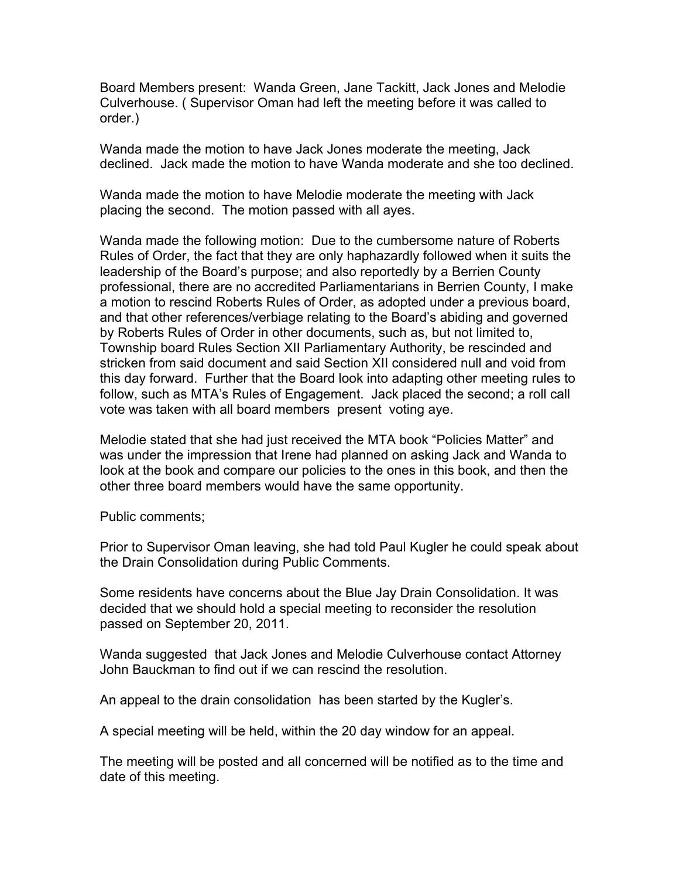Board Members present: Wanda Green, Jane Tackitt, Jack Jones and Melodie Culverhouse. ( Supervisor Oman had left the meeting before it was called to order.)

Wanda made the motion to have Jack Jones moderate the meeting, Jack declined. Jack made the motion to have Wanda moderate and she too declined.

Wanda made the motion to have Melodie moderate the meeting with Jack placing the second. The motion passed with all ayes.

Wanda made the following motion: Due to the cumbersome nature of Roberts Rules of Order, the fact that they are only haphazardly followed when it suits the leadership of the Board's purpose; and also reportedly by a Berrien County professional, there are no accredited Parliamentarians in Berrien County, I make a motion to rescind Roberts Rules of Order, as adopted under a previous board, and that other references/verbiage relating to the Board's abiding and governed by Roberts Rules of Order in other documents, such as, but not limited to, Township board Rules Section XII Parliamentary Authority, be rescinded and stricken from said document and said Section XII considered null and void from this day forward. Further that the Board look into adapting other meeting rules to follow, such as MTA's Rules of Engagement. Jack placed the second; a roll call vote was taken with all board members present voting aye.

Melodie stated that she had just received the MTA book "Policies Matter" and was under the impression that Irene had planned on asking Jack and Wanda to look at the book and compare our policies to the ones in this book, and then the other three board members would have the same opportunity.

Public comments;

Prior to Supervisor Oman leaving, she had told Paul Kugler he could speak about the Drain Consolidation during Public Comments.

Some residents have concerns about the Blue Jay Drain Consolidation. It was decided that we should hold a special meeting to reconsider the resolution passed on September 20, 2011.

Wanda suggested that Jack Jones and Melodie Culverhouse contact Attorney John Bauckman to find out if we can rescind the resolution.

An appeal to the drain consolidation has been started by the Kugler's.

A special meeting will be held, within the 20 day window for an appeal.

The meeting will be posted and all concerned will be notified as to the time and date of this meeting.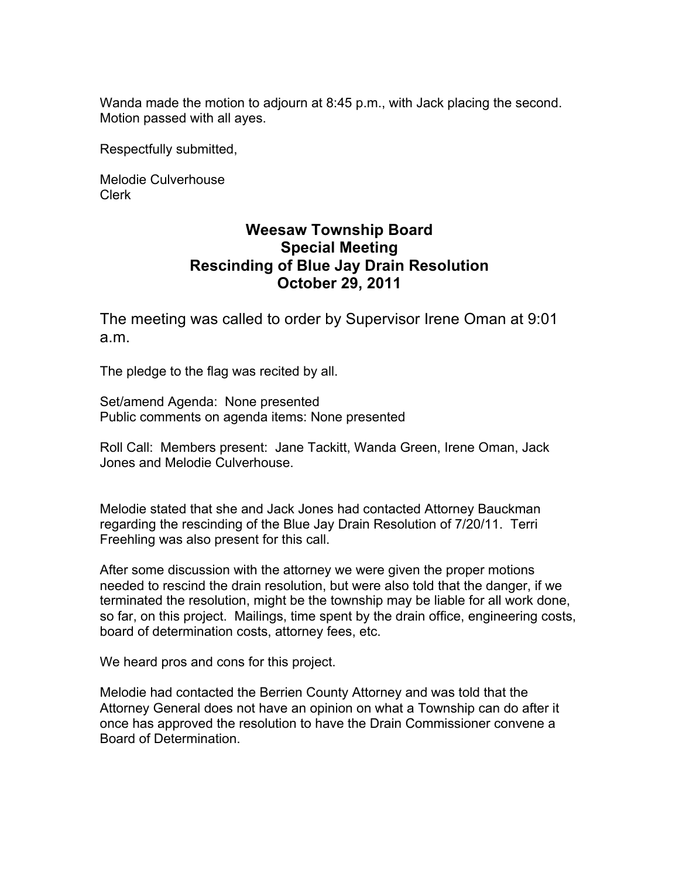Wanda made the motion to adjourn at 8:45 p.m., with Jack placing the second. Motion passed with all ayes.

Respectfully submitted,

Melodie Culverhouse Clerk

# **Weesaw Township Board Special Meeting Rescinding of Blue Jay Drain Resolution October 29, 2011**

The meeting was called to order by Supervisor Irene Oman at 9:01 a.m.

The pledge to the flag was recited by all.

Set/amend Agenda: None presented Public comments on agenda items: None presented

Roll Call: Members present: Jane Tackitt, Wanda Green, Irene Oman, Jack Jones and Melodie Culverhouse.

Melodie stated that she and Jack Jones had contacted Attorney Bauckman regarding the rescinding of the Blue Jay Drain Resolution of 7/20/11. Terri Freehling was also present for this call.

After some discussion with the attorney we were given the proper motions needed to rescind the drain resolution, but were also told that the danger, if we terminated the resolution, might be the township may be liable for all work done, so far, on this project. Mailings, time spent by the drain office, engineering costs, board of determination costs, attorney fees, etc.

We heard pros and cons for this project.

Melodie had contacted the Berrien County Attorney and was told that the Attorney General does not have an opinion on what a Township can do after it once has approved the resolution to have the Drain Commissioner convene a Board of Determination.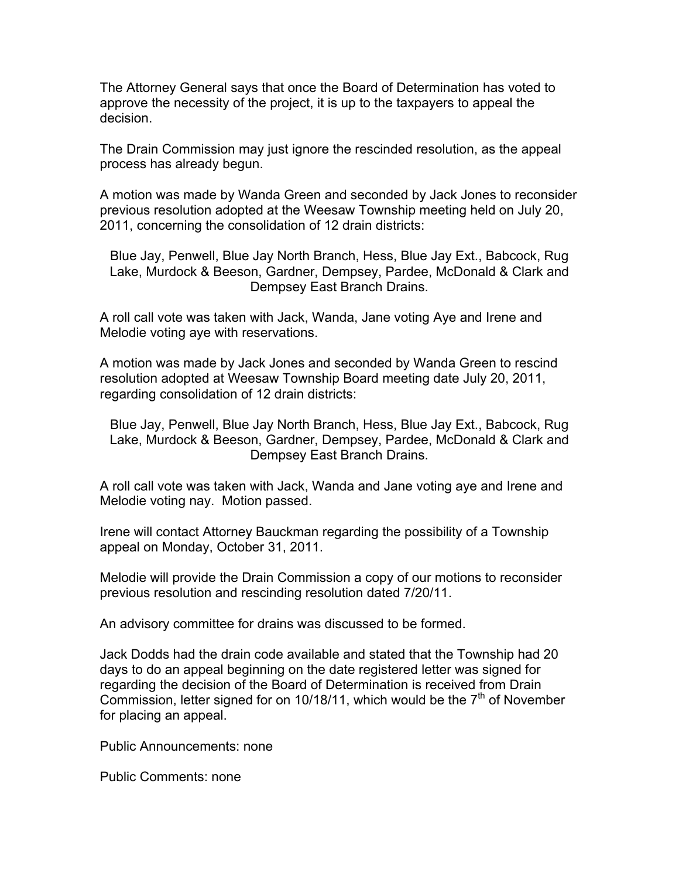The Attorney General says that once the Board of Determination has voted to approve the necessity of the project, it is up to the taxpayers to appeal the decision.

The Drain Commission may just ignore the rescinded resolution, as the appeal process has already begun.

A motion was made by Wanda Green and seconded by Jack Jones to reconsider previous resolution adopted at the Weesaw Township meeting held on July 20, 2011, concerning the consolidation of 12 drain districts:

Blue Jay, Penwell, Blue Jay North Branch, Hess, Blue Jay Ext., Babcock, Rug Lake, Murdock & Beeson, Gardner, Dempsey, Pardee, McDonald & Clark and Dempsey East Branch Drains.

A roll call vote was taken with Jack, Wanda, Jane voting Aye and Irene and Melodie voting aye with reservations.

A motion was made by Jack Jones and seconded by Wanda Green to rescind resolution adopted at Weesaw Township Board meeting date July 20, 2011, regarding consolidation of 12 drain districts:

Blue Jay, Penwell, Blue Jay North Branch, Hess, Blue Jay Ext., Babcock, Rug Lake, Murdock & Beeson, Gardner, Dempsey, Pardee, McDonald & Clark and Dempsey East Branch Drains.

A roll call vote was taken with Jack, Wanda and Jane voting aye and Irene and Melodie voting nay. Motion passed.

Irene will contact Attorney Bauckman regarding the possibility of a Township appeal on Monday, October 31, 2011.

Melodie will provide the Drain Commission a copy of our motions to reconsider previous resolution and rescinding resolution dated 7/20/11.

An advisory committee for drains was discussed to be formed.

Jack Dodds had the drain code available and stated that the Township had 20 days to do an appeal beginning on the date registered letter was signed for regarding the decision of the Board of Determination is received from Drain Commission, letter signed for on 10/18/11, which would be the  $7<sup>th</sup>$  of November for placing an appeal.

Public Announcements: none

Public Comments: none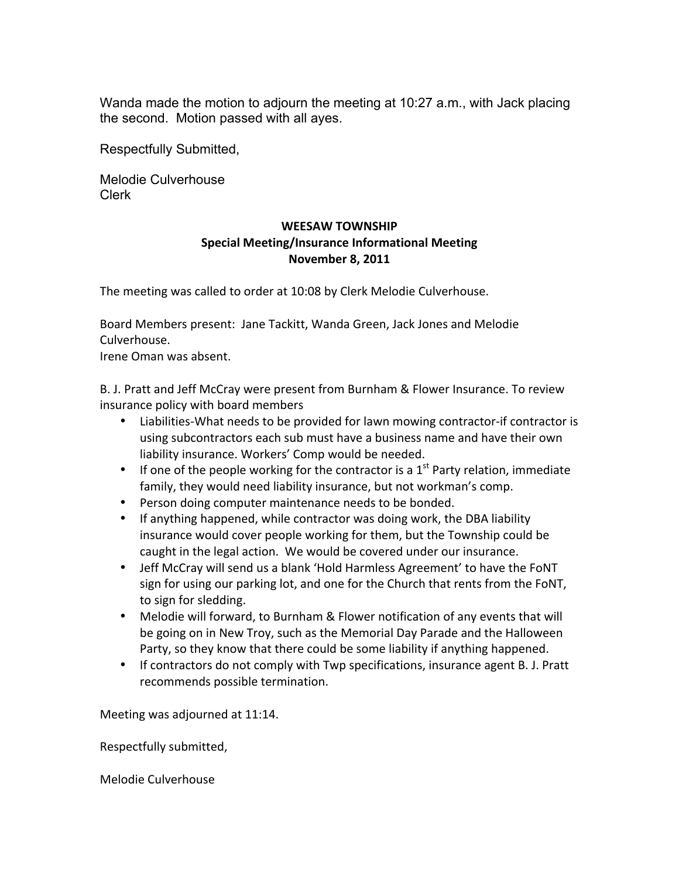Wanda made the motion to adjourn the meeting at 10:27 a.m., with Jack placing the second. Motion passed with all ayes.

Respectfully Submitted,

Melodie Culverhouse Clerk

### **WEESAW TOWNSHIP Special Meeting/Insurance Informational Meeting November 8, 2011**

The meeting was called to order at 10:08 by Clerk Melodie Culverhouse.

Board Members present: Jane Tackitt, Wanda Green, Jack Jones and Melodie Culverhouse.

Irene Oman was absent.

B. J. Pratt and Jeff McCray were present from Burnham & Flower Insurance. To review insurance policy with board members

- Liabilities-What needs to be provided for lawn mowing contractor-if contractor is using subcontractors each sub must have a business name and have their own liability insurance. Workers' Comp would be needed.
- If one of the people working for the contractor is a  $1<sup>st</sup>$  Party relation, immediate family, they would need liability insurance, but not workman's comp.
- Person doing computer maintenance needs to be bonded.
- If anything happened, while contractor was doing work, the DBA liability insurance would cover people working for them, but the Township could be caught in the legal action. We would be covered under our insurance.
- Jeff McCray will send us a blank 'Hold Harmless Agreement' to have the FoNT sign for using our parking lot, and one for the Church that rents from the FoNT, to sign for sledding.
- Melodie will forward, to Burnham & Flower notification of any events that will be going on in New Troy, such as the Memorial Day Parade and the Halloween Party, so they know that there could be some liability if anything happened.
- If contractors do not comply with Twp specifications, insurance agent B. J. Pratt recommends possible termination.

Meeting was adjourned at 11:14.

Respectfully submitted,

Melodie Culverhouse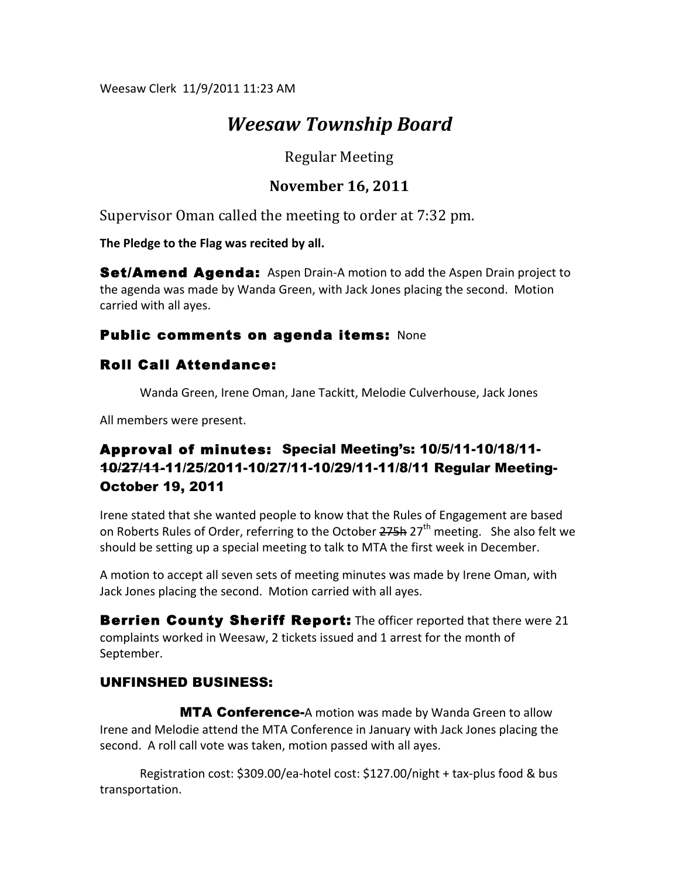Weesaw Clerk 11/9/2011 11:23 AM

# *Weesaw Township Board*

Regular Meeting

# **November 16, 2011**

Supervisor Oman called the meeting to order at 7:32 pm.

The Pledge to the Flag was recited by all.

**Set/Amend Agenda:** Aspen Drain-A motion to add the Aspen Drain project to the agenda was made by Wanda Green, with Jack Jones placing the second. Motion carried with all ayes.

## Public comments on agenda items:None

# Roll Call Attendance:

Wanda Green, Irene Oman, Jane Tackitt, Melodie Culverhouse, Jack Jones

All members were present.

# Approval of minutes: Special Meeting's: 10/5/11-10/18/11- 10/27/11-11/25/2011-10/27/11-10/29/11-11/8/11 Regular Meeting-October 19, 2011

Irene stated that she wanted people to know that the Rules of Engagement are based on Roberts Rules of Order, referring to the October  $275h 27<sup>th</sup>$  meeting. She also felt we should be setting up a special meeting to talk to MTA the first week in December.

A motion to accept all seven sets of meeting minutes was made by Irene Oman, with Jack Jones placing the second. Motion carried with all ayes.

**Berrien County Sheriff Report:** The officer reported that there were 21 complaints worked in Weesaw, 2 tickets issued and 1 arrest for the month of September.

## UNFINSHED BUSINESS:

**MTA Conference-A** motion was made by Wanda Green to allow Irene and Melodie attend the MTA Conference in January with Jack Jones placing the second. A roll call vote was taken, motion passed with all ayes.

Registration cost: \$309.00/ea-hotel cost: \$127.00/night + tax-plus food & bus transportation.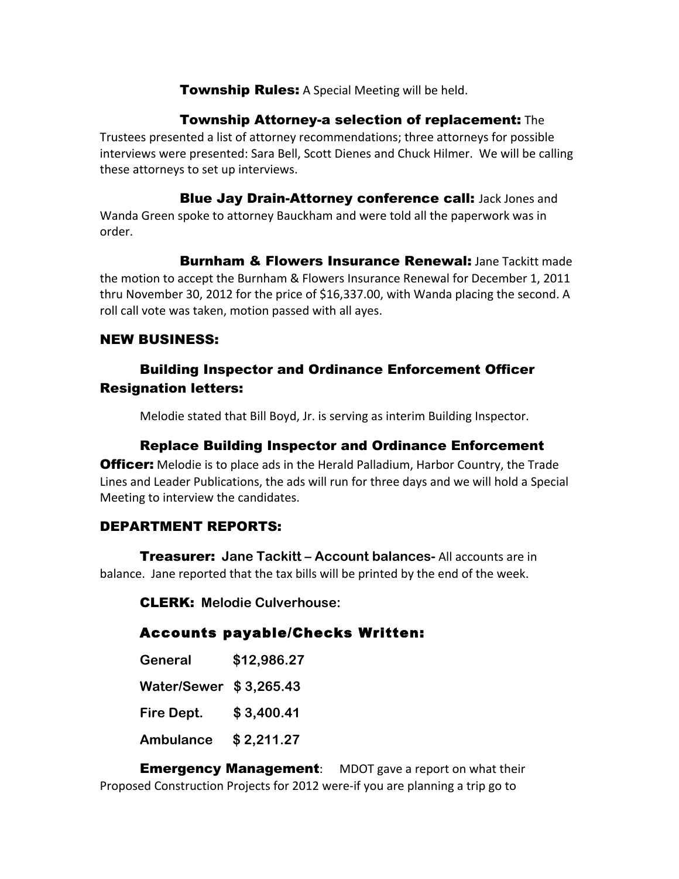**Township Rules:** A Special Meeting will be held.

## Township Attorney-a selection of replacement: The

Trustees presented a list of attorney recommendations; three attorneys for possible interviews were presented: Sara Bell, Scott Dienes and Chuck Hilmer. We will be calling these attorneys to set up interviews.

Blue Jay Drain-Attorney conference call: Jack Jones and Wanda Green spoke to attorney Bauckham and were told all the paperwork was in order. 

**Burnham & Flowers Insurance Renewal: Jane Tackitt made** the motion to accept the Burnham & Flowers Insurance Renewal for December 1, 2011 thru November 30, 2012 for the price of \$16,337.00, with Wanda placing the second. A roll call vote was taken, motion passed with all ayes.

## NEW BUSINESS:

## Building Inspector and Ordinance Enforcement Officer Resignation letters:

Melodie stated that Bill Boyd, Jr. is serving as interim Building Inspector.

## Replace Building Inspector and Ordinance Enforcement

**Officer:** Melodie is to place ads in the Herald Palladium, Harbor Country, the Trade Lines and Leader Publications, the ads will run for three days and we will hold a Special Meeting to interview the candidates.

## DEPARTMENT REPORTS:

**Treasurer: Jane Tackitt – Account balances-** All accounts are in balance. Jane reported that the tax bills will be printed by the end of the week.

CLERK: **Melodie Culverhouse:**

## Accounts payable/Checks Written:

| General                | \$12,986.27 |
|------------------------|-------------|
| Water/Sewer \$3,265.43 |             |
| <b>Fire Dept.</b>      | \$3,400.41  |
| Ambulance              | \$2,211.27  |

**Emergency Management:** MDOT gave a report on what their Proposed Construction Projects for 2012 were-if you are planning a trip go to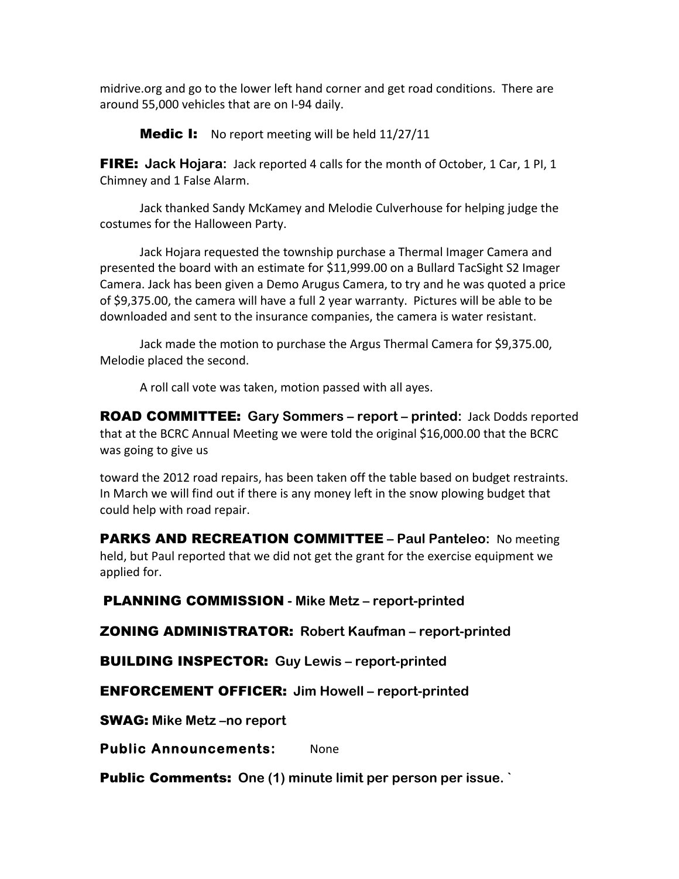midrive.org and go to the lower left hand corner and get road conditions. There are around 55,000 vehicles that are on I-94 daily.

**Medic I:** No report meeting will be held 11/27/11

FIRE: Jack Hojara: Jack reported 4 calls for the month of October, 1 Car, 1 PI, 1 Chimney and 1 False Alarm.

Jack thanked Sandy McKamey and Melodie Culverhouse for helping judge the costumes for the Halloween Party.

Jack Hojara requested the township purchase a Thermal Imager Camera and presented the board with an estimate for \$11,999.00 on a Bullard TacSight S2 Imager Camera. Jack has been given a Demo Arugus Camera, to try and he was quoted a price of \$9,375.00, the camera will have a full 2 year warranty. Pictures will be able to be downloaded and sent to the insurance companies, the camera is water resistant.

Jack made the motion to purchase the Argus Thermal Camera for \$9,375.00, Melodie placed the second.

A roll call vote was taken, motion passed with all ayes.

**ROAD COMMITTEE:** Gary Sommers – report – printed: Jack Dodds reported that at the BCRC Annual Meeting we were told the original \$16,000.00 that the BCRC was going to give us

toward the 2012 road repairs, has been taken off the table based on budget restraints. In March we will find out if there is any money left in the snow plowing budget that could help with road repair.

**PARKS AND RECREATION COMMITTEE - Paul Panteleo: No meeting** held, but Paul reported that we did not get the grant for the exercise equipment we applied for.

PLANNING COMMISSION **- Mike Metz – report-printed**

ZONING ADMINISTRATOR: **Robert Kaufman – report-printed**

BUILDING INSPECTOR: **Guy Lewis – report-printed**

ENFORCEMENT OFFICER: **Jim Howell – report-printed**

SWAG: **Mike Metz –no report**

**Public Announcements:** None

Public Comments: **One (1) minute limit per person per issue. `**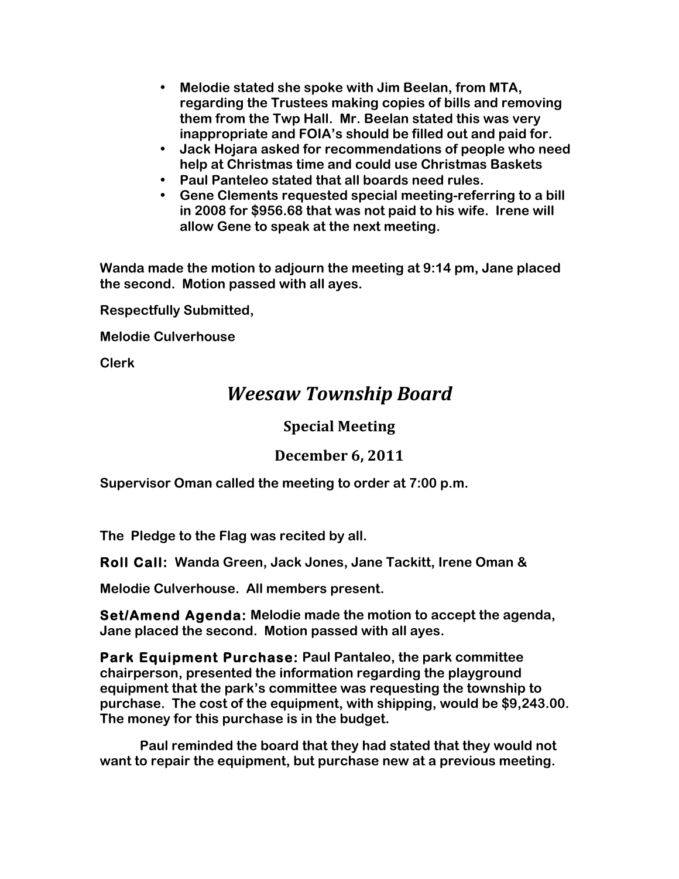- **Melodie stated she spoke with Jim Beelan, from MTA, regarding the Trustees making copies of bills and removing them from the Twp Hall. Mr. Beelan stated this was very inappropriate and FOIA's should be filled out and paid for.**
- **Jack Hojara asked for recommendations of people who need help at Christmas time and could use Christmas Baskets**
- **Paul Panteleo stated that all boards need rules.**
- **Gene Clements requested special meeting-referring to a bill in 2008 for \$956.68 that was not paid to his wife. Irene will allow Gene to speak at the next meeting.**

**Wanda made the motion to adjourn the meeting at 9:14 pm, Jane placed the second. Motion passed with all ayes.**

**Respectfully Submitted,**

**Melodie Culverhouse**

**Clerk**

# *Weesaw Township Board*

## **Special Meeting**

## **December 6, 2011**

**Supervisor Oman called the meeting to order at 7:00 p.m.**

**The Pledge to the Flag was recited by all.**

**Roll Call: Wanda Green, Jack Jones, Jane Tackitt, Irene Oman &** 

**Melodie Culverhouse. All members present.**

**Set/Amend Agenda: Melodie made the motion to accept the agenda, Jane placed the second. Motion passed with all ayes.**

**Park Equipment Purchase: Paul Pantaleo, the park committee chairperson, presented the information regarding the playground equipment that the park's committee was requesting the township to purchase. The cost of the equipment, with shipping, would be \$9,243.00. The money for this purchase is in the budget.**

**Paul reminded the board that they had stated that they would not want to repair the equipment, but purchase new at a previous meeting.**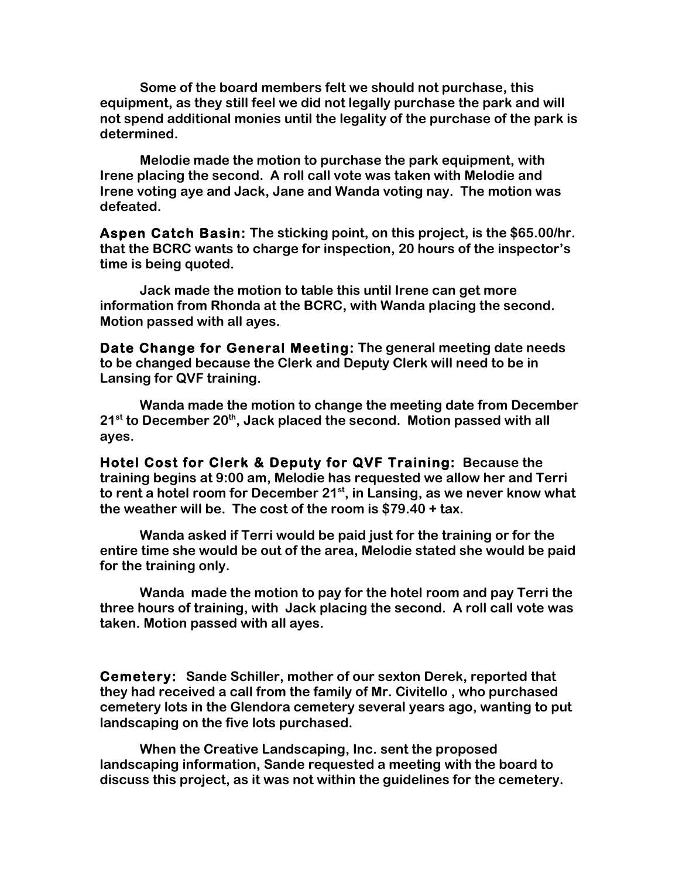**Some of the board members felt we should not purchase, this equipment, as they still feel we did not legally purchase the park and will not spend additional monies until the legality of the purchase of the park is determined.**

**Melodie made the motion to purchase the park equipment, with Irene placing the second. A roll call vote was taken with Melodie and Irene voting aye and Jack, Jane and Wanda voting nay. The motion was defeated.**

**Aspen Catch Basin: The sticking point, on this project, is the \$65.00/hr. that the BCRC wants to charge for inspection, 20 hours of the inspector's time is being quoted.**

**Jack made the motion to table this until Irene can get more information from Rhonda at the BCRC, with Wanda placing the second. Motion passed with all ayes.**

**Date Change for General Meeting: The general meeting date needs to be changed because the Clerk and Deputy Clerk will need to be in Lansing for QVF training.**

**Wanda made the motion to change the meeting date from December 21st to December 20th, Jack placed the second. Motion passed with all ayes.**

**Hotel Cost for Clerk & Deputy for QVF Training: Because the training begins at 9:00 am, Melodie has requested we allow her and Terri to rent a hotel room for December 21st, in Lansing, as we never know what the weather will be. The cost of the room is \$79.40 + tax.**

**Wanda asked if Terri would be paid just for the training or for the entire time she would be out of the area, Melodie stated she would be paid for the training only.**

**Wanda made the motion to pay for the hotel room and pay Terri the three hours of training, with Jack placing the second. A roll call vote was taken. Motion passed with all ayes.**

**Cemetery: Sande Schiller, mother of our sexton Derek, reported that they had received a call from the family of Mr. Civitello , who purchased cemetery lots in the Glendora cemetery several years ago, wanting to put landscaping on the five lots purchased.** 

**When the Creative Landscaping, Inc. sent the proposed landscaping information, Sande requested a meeting with the board to discuss this project, as it was not within the guidelines for the cemetery.**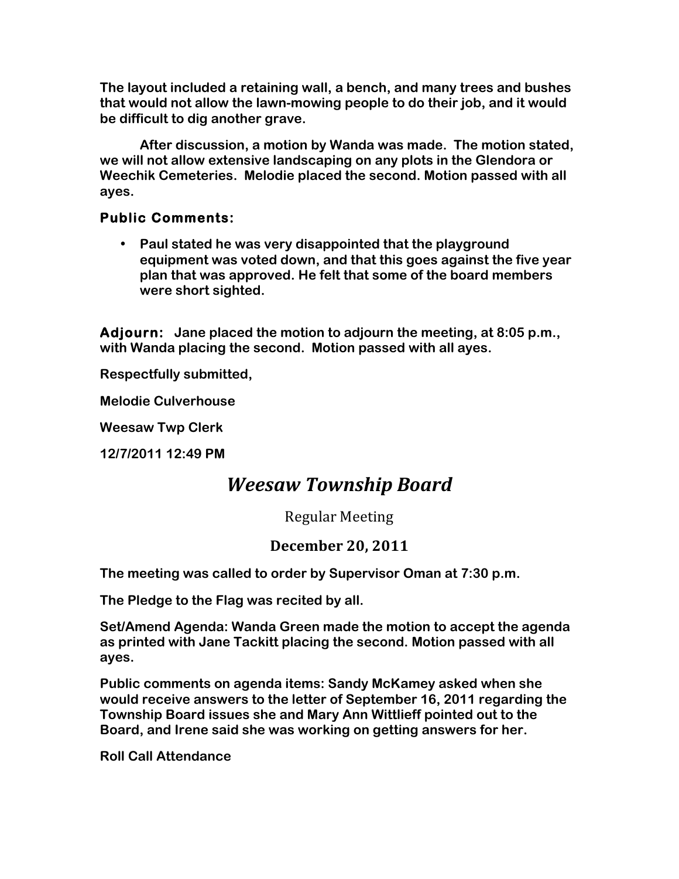**The layout included a retaining wall, a bench, and many trees and bushes that would not allow the lawn-mowing people to do their job, and it would be difficult to dig another grave.**

**After discussion, a motion by Wanda was made. The motion stated, we will not allow extensive landscaping on any plots in the Glendora or Weechik Cemeteries. Melodie placed the second. Motion passed with all ayes.**

## **Public Comments:**

• **Paul stated he was very disappointed that the playground equipment was voted down, and that this goes against the five year plan that was approved. He felt that some of the board members were short sighted.**

**Adjourn: Jane placed the motion to adjourn the meeting, at 8:05 p.m., with Wanda placing the second. Motion passed with all ayes.**

**Respectfully submitted,**

**Melodie Culverhouse**

**Weesaw Twp Clerk**

**12/7/2011 12:49 PM**

# *Weesaw Township Board*

Regular Meeting

## **December 20, 2011**

**The meeting was called to order by Supervisor Oman at 7:30 p.m.**

**The Pledge to the Flag was recited by all.**

**Set/Amend Agenda: Wanda Green made the motion to accept the agenda as printed with Jane Tackitt placing the second. Motion passed with all ayes.**

**Public comments on agenda items: Sandy McKamey asked when she would receive answers to the letter of September 16, 2011 regarding the Township Board issues she and Mary Ann Wittlieff pointed out to the Board, and Irene said she was working on getting answers for her.**

**Roll Call Attendance**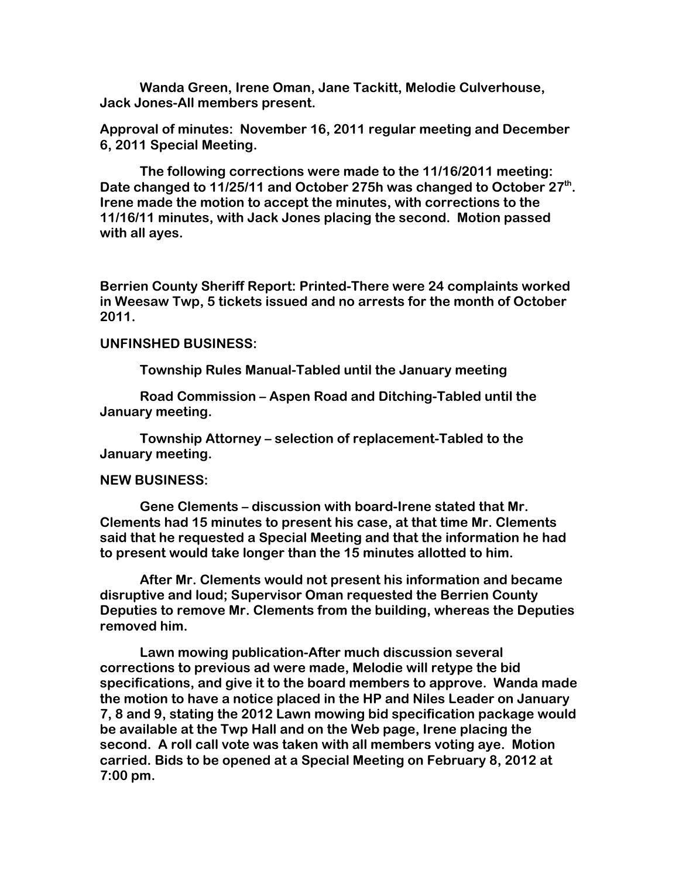**Wanda Green, Irene Oman, Jane Tackitt, Melodie Culverhouse, Jack Jones-All members present.**

**Approval of minutes: November 16, 2011 regular meeting and December 6, 2011 Special Meeting.** 

**The following corrections were made to the 11/16/2011 meeting:**  Date changed to 11/25/11 and October 275h was changed to October 27<sup>th</sup>. **Irene made the motion to accept the minutes, with corrections to the 11/16/11 minutes, with Jack Jones placing the second. Motion passed with all ayes.**

**Berrien County Sheriff Report: Printed-There were 24 complaints worked in Weesaw Twp, 5 tickets issued and no arrests for the month of October 2011.**

#### **UNFINSHED BUSINESS:**

**Township Rules Manual-Tabled until the January meeting**

**Road Commission – Aspen Road and Ditching-Tabled until the January meeting.**

**Township Attorney – selection of replacement-Tabled to the January meeting.**

#### **NEW BUSINESS:**

**Gene Clements – discussion with board-Irene stated that Mr. Clements had 15 minutes to present his case, at that time Mr. Clements said that he requested a Special Meeting and that the information he had to present would take longer than the 15 minutes allotted to him.** 

**After Mr. Clements would not present his information and became disruptive and loud; Supervisor Oman requested the Berrien County Deputies to remove Mr. Clements from the building, whereas the Deputies removed him.**

**Lawn mowing publication-After much discussion several corrections to previous ad were made, Melodie will retype the bid specifications, and give it to the board members to approve. Wanda made the motion to have a notice placed in the HP and Niles Leader on January 7, 8 and 9, stating the 2012 Lawn mowing bid specification package would be available at the Twp Hall and on the Web page, Irene placing the second. A roll call vote was taken with all members voting aye. Motion carried. Bids to be opened at a Special Meeting on February 8, 2012 at 7:00 pm.**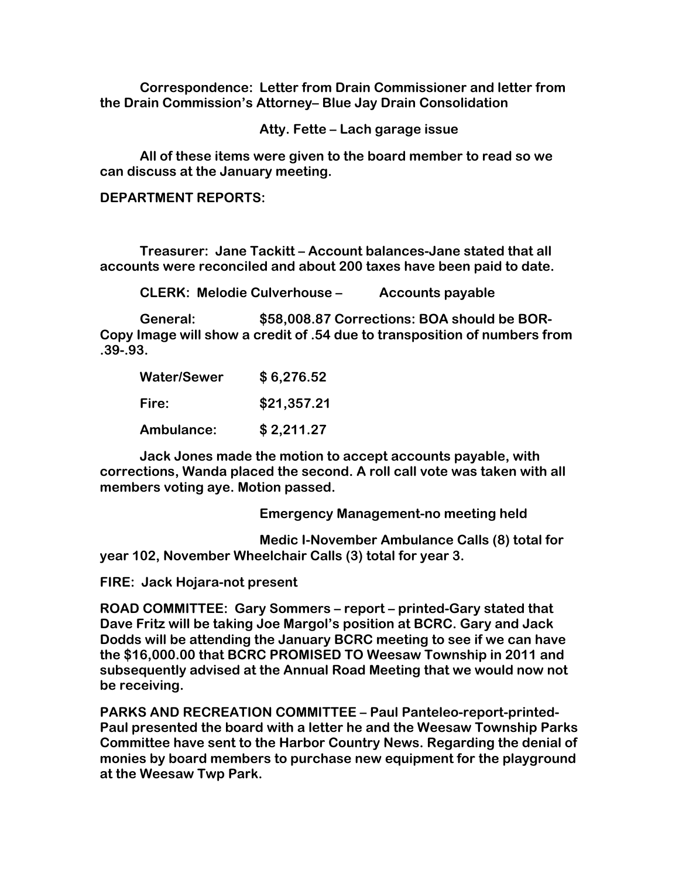**Correspondence: Letter from Drain Commissioner and letter from the Drain Commission's Attorney– Blue Jay Drain Consolidation**

**Atty. Fette – Lach garage issue**

**All of these items were given to the board member to read so we can discuss at the January meeting.**

**DEPARTMENT REPORTS:**

**Treasurer: Jane Tackitt – Account balances-Jane stated that all accounts were reconciled and about 200 taxes have been paid to date.**

**CLERK: Melodie Culverhouse – Accounts payable**

**General: \$58,008.87 Corrections: BOA should be BOR-Copy Image will show a credit of .54 due to transposition of numbers from .39-.93.**

| <b>Water/Sewer</b> | \$6,276.52  |
|--------------------|-------------|
| Fire:              | \$21,357.21 |
| <b>Ambulance:</b>  | \$2,211.27  |

**Jack Jones made the motion to accept accounts payable, with corrections, Wanda placed the second. A roll call vote was taken with all members voting aye. Motion passed.**

**Emergency Management-no meeting held**

**Medic I-November Ambulance Calls (8) total for year 102, November Wheelchair Calls (3) total for year 3.**

**FIRE: Jack Hojara-not present**

**ROAD COMMITTEE: Gary Sommers – report – printed-Gary stated that Dave Fritz will be taking Joe Margol's position at BCRC. Gary and Jack Dodds will be attending the January BCRC meeting to see if we can have the \$16,000.00 that BCRC PROMISED TO Weesaw Township in 2011 and subsequently advised at the Annual Road Meeting that we would now not be receiving.**

**PARKS AND RECREATION COMMITTEE – Paul Panteleo-report-printed-Paul presented the board with a letter he and the Weesaw Township Parks Committee have sent to the Harbor Country News. Regarding the denial of monies by board members to purchase new equipment for the playground at the Weesaw Twp Park.**